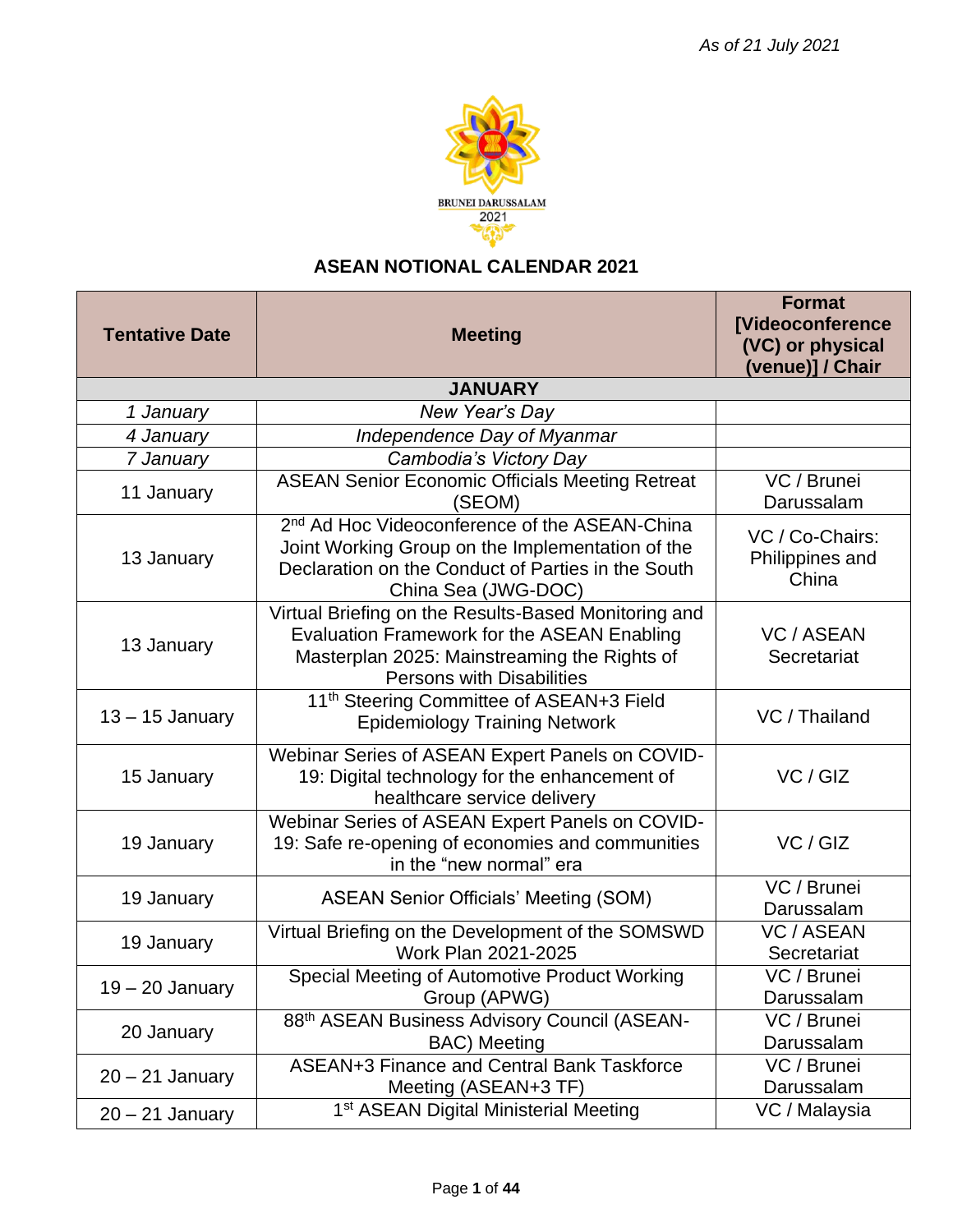

## **ASEAN NOTIONAL CALENDAR 2021**

| <b>Tentative Date</b> | <b>Meeting</b>                                                                                                                                                                                 | <b>Format</b><br><b>[Videoconference</b><br>(VC) or physical<br>(venue)] / Chair |
|-----------------------|------------------------------------------------------------------------------------------------------------------------------------------------------------------------------------------------|----------------------------------------------------------------------------------|
|                       | <b>JANUARY</b>                                                                                                                                                                                 |                                                                                  |
| 1 January             | New Year's Day                                                                                                                                                                                 |                                                                                  |
| 4 January             | Independence Day of Myanmar                                                                                                                                                                    |                                                                                  |
| 7 January             | Cambodia's Victory Day                                                                                                                                                                         |                                                                                  |
| 11 January            | <b>ASEAN Senior Economic Officials Meeting Retreat</b><br>(SEOM)                                                                                                                               | VC / Brunei<br>Darussalam                                                        |
| 13 January            | 2 <sup>nd</sup> Ad Hoc Videoconference of the ASEAN-China<br>Joint Working Group on the Implementation of the<br>Declaration on the Conduct of Parties in the South<br>China Sea (JWG-DOC)     | VC / Co-Chairs:<br>Philippines and<br>China                                      |
| 13 January            | Virtual Briefing on the Results-Based Monitoring and<br><b>Evaluation Framework for the ASEAN Enabling</b><br>Masterplan 2025: Mainstreaming the Rights of<br><b>Persons with Disabilities</b> | <b>VC / ASEAN</b><br>Secretariat                                                 |
| $13 - 15$ January     | 11 <sup>th</sup> Steering Committee of ASEAN+3 Field<br><b>Epidemiology Training Network</b>                                                                                                   | VC / Thailand                                                                    |
| 15 January            | Webinar Series of ASEAN Expert Panels on COVID-<br>19: Digital technology for the enhancement of<br>healthcare service delivery                                                                | VC / GIZ                                                                         |
| 19 January            | Webinar Series of ASEAN Expert Panels on COVID-<br>19: Safe re-opening of economies and communities<br>in the "new normal" era                                                                 | VC / GIZ                                                                         |
| 19 January            | <b>ASEAN Senior Officials' Meeting (SOM)</b>                                                                                                                                                   | $\overline{VC}$ Brunei<br>Darussalam                                             |
| 19 January            | Virtual Briefing on the Development of the SOMSWD<br>Work Plan 2021-2025                                                                                                                       | <b>VC / ASEAN</b><br>Secretariat                                                 |
| $19 - 20$ January     | Special Meeting of Automotive Product Working<br>Group (APWG)                                                                                                                                  | VC / Brunei<br>Darussalam                                                        |
| 20 January            | 88th ASEAN Business Advisory Council (ASEAN-<br><b>BAC</b> ) Meeting                                                                                                                           | VC / Brunei<br>Darussalam                                                        |
| $20 - 21$ January     | ASEAN+3 Finance and Central Bank Taskforce<br>Meeting (ASEAN+3 TF)                                                                                                                             | VC / Brunei<br>Darussalam                                                        |
| $20 - 21$ January     | 1 <sup>st</sup> ASEAN Digital Ministerial Meeting                                                                                                                                              | VC / Malaysia                                                                    |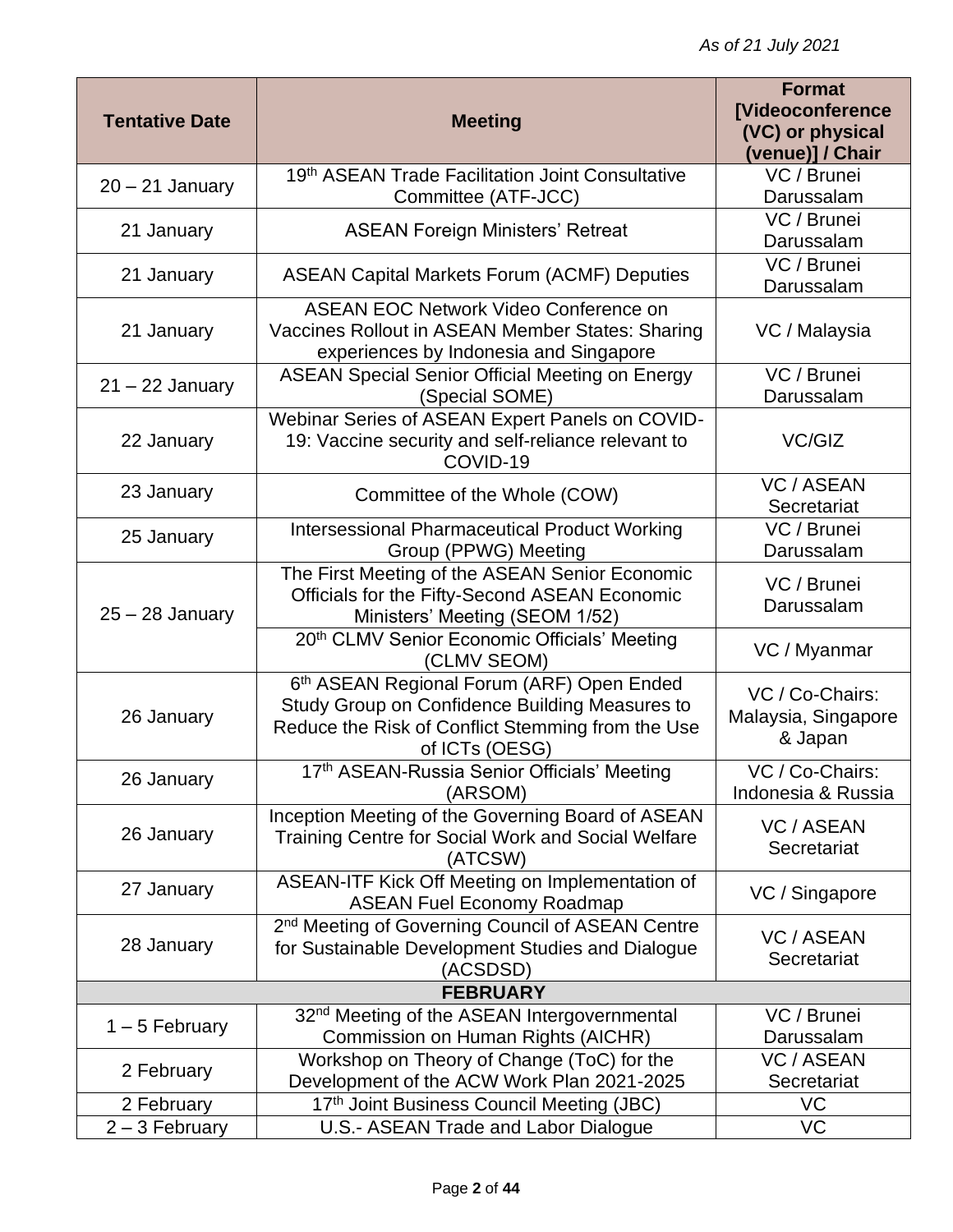|                       |                                                                                                                                                                    | <b>Format</b>                                     |
|-----------------------|--------------------------------------------------------------------------------------------------------------------------------------------------------------------|---------------------------------------------------|
| <b>Tentative Date</b> | <b>Meeting</b>                                                                                                                                                     | <b>[Videoconference</b><br>(VC) or physical       |
|                       |                                                                                                                                                                    | (venue)] / Chair                                  |
| $20 - 21$ January     | 19th ASEAN Trade Facilitation Joint Consultative                                                                                                                   | VC / Brunei                                       |
|                       | Committee (ATF-JCC)                                                                                                                                                | Darussalam                                        |
| 21 January            | <b>ASEAN Foreign Ministers' Retreat</b>                                                                                                                            | VC / Brunei                                       |
|                       |                                                                                                                                                                    | Darussalam                                        |
| 21 January            | <b>ASEAN Capital Markets Forum (ACMF) Deputies</b>                                                                                                                 | VC / Brunei<br>Darussalam                         |
| 21 January            | <b>ASEAN EOC Network Video Conference on</b><br>Vaccines Rollout in ASEAN Member States: Sharing                                                                   | VC / Malaysia                                     |
|                       | experiences by Indonesia and Singapore                                                                                                                             |                                                   |
| $21 - 22$ January     | <b>ASEAN Special Senior Official Meeting on Energy</b><br>(Special SOME)                                                                                           | VC / Brunei<br>Darussalam                         |
| 22 January            | Webinar Series of ASEAN Expert Panels on COVID-<br>19: Vaccine security and self-reliance relevant to<br>COVID-19                                                  | VC/GIZ                                            |
| 23 January            | Committee of the Whole (COW)                                                                                                                                       | <b>VC / ASEAN</b><br>Secretariat                  |
| 25 January            | <b>Intersessional Pharmaceutical Product Working</b><br>Group (PPWG) Meeting                                                                                       | VC / Brunei<br>Darussalam                         |
| $25 - 28$ January     | The First Meeting of the ASEAN Senior Economic<br>Officials for the Fifty-Second ASEAN Economic<br>Ministers' Meeting (SEOM 1/52)                                  | VC / Brunei<br>Darussalam                         |
|                       | 20th CLMV Senior Economic Officials' Meeting<br>(CLMV SEOM)                                                                                                        | VC / Myanmar                                      |
| 26 January            | 6th ASEAN Regional Forum (ARF) Open Ended<br>Study Group on Confidence Building Measures to<br>Reduce the Risk of Conflict Stemming from the Use<br>of ICTs (OESG) | VC / Co-Chairs:<br>Malaysia, Singapore<br>& Japan |
| 26 January            | 17th ASEAN-Russia Senior Officials' Meeting<br>(ARSOM)                                                                                                             | VC / Co-Chairs:<br>Indonesia & Russia             |
| 26 January            | Inception Meeting of the Governing Board of ASEAN<br>Training Centre for Social Work and Social Welfare<br>(ATCSW)                                                 | <b>VC / ASEAN</b><br>Secretariat                  |
| 27 January            | ASEAN-ITF Kick Off Meeting on Implementation of<br><b>ASEAN Fuel Economy Roadmap</b>                                                                               | VC / Singapore                                    |
| 28 January            | 2 <sup>nd</sup> Meeting of Governing Council of ASEAN Centre<br>for Sustainable Development Studies and Dialogue<br>(ACSDSD)                                       | <b>VC / ASEAN</b><br>Secretariat                  |
|                       | <b>FEBRUARY</b>                                                                                                                                                    |                                                   |
| $1 - 5$ February      | 32 <sup>nd</sup> Meeting of the ASEAN Intergovernmental<br>Commission on Human Rights (AICHR)                                                                      | VC / Brunei<br>Darussalam                         |
| 2 February            | Workshop on Theory of Change (ToC) for the<br>Development of the ACW Work Plan 2021-2025                                                                           | <b>VC / ASEAN</b><br>Secretariat                  |
| 2 February            | 17th Joint Business Council Meeting (JBC)                                                                                                                          | VC                                                |
| $2 - 3$ February      | U.S.- ASEAN Trade and Labor Dialogue                                                                                                                               | VC                                                |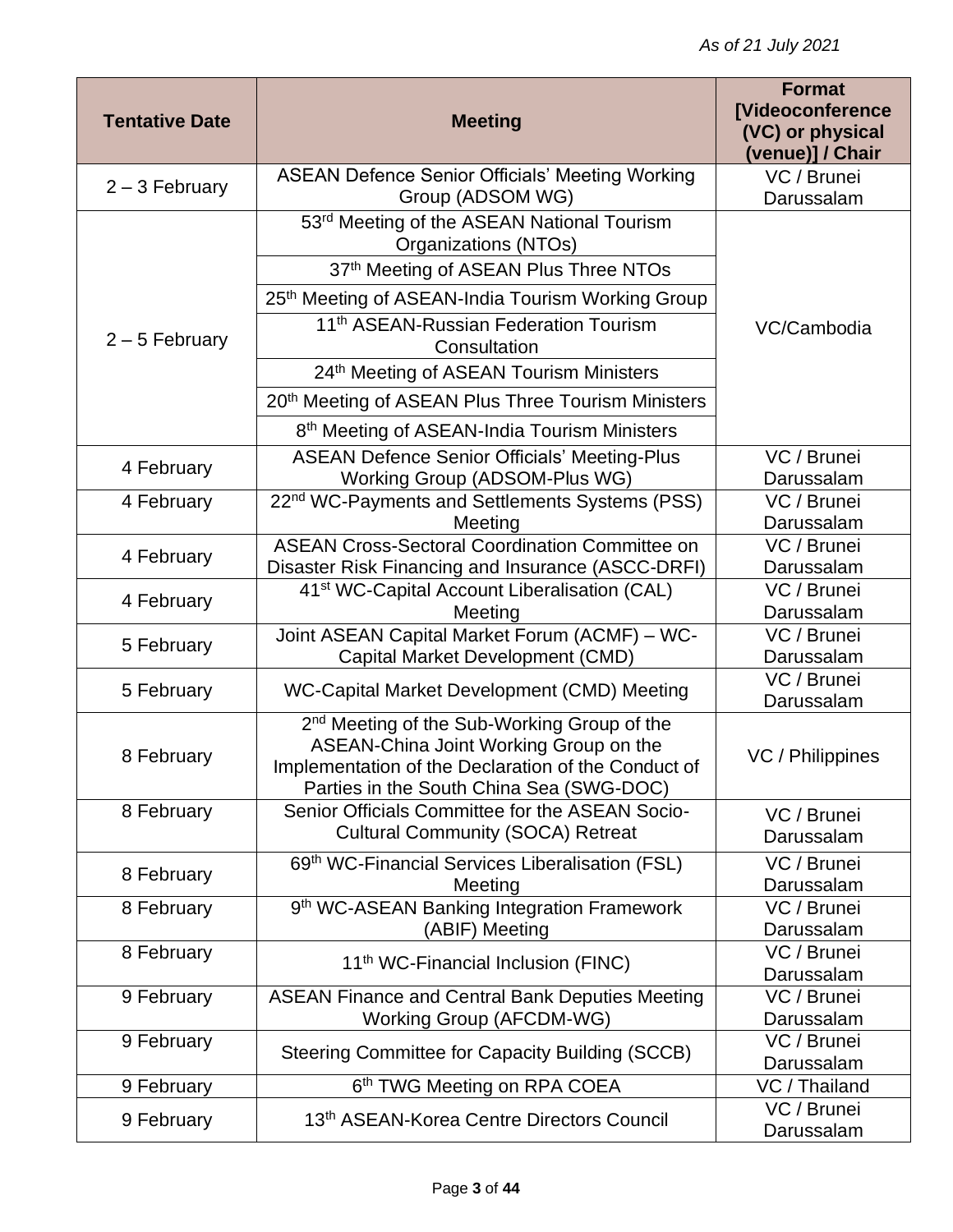| <b>Tentative Date</b> | <b>Meeting</b>                                                                                                                                                                                       | <b>Format</b><br><b>[Videoconference</b><br>(VC) or physical<br>(venue)] / Chair |
|-----------------------|------------------------------------------------------------------------------------------------------------------------------------------------------------------------------------------------------|----------------------------------------------------------------------------------|
| $2 - 3$ February      | <b>ASEAN Defence Senior Officials' Meeting Working</b><br>Group (ADSOM WG)                                                                                                                           | VC / Brunei<br>Darussalam                                                        |
|                       | 53 <sup>rd</sup> Meeting of the ASEAN National Tourism<br>Organizations (NTOs)                                                                                                                       |                                                                                  |
|                       | 37th Meeting of ASEAN Plus Three NTOs                                                                                                                                                                |                                                                                  |
|                       | 25th Meeting of ASEAN-India Tourism Working Group                                                                                                                                                    |                                                                                  |
| $2 - 5$ February      | 11 <sup>th</sup> ASEAN-Russian Federation Tourism<br>Consultation                                                                                                                                    | VC/Cambodia                                                                      |
|                       | 24th Meeting of ASEAN Tourism Ministers                                                                                                                                                              |                                                                                  |
|                       | 20 <sup>th</sup> Meeting of ASEAN Plus Three Tourism Ministers                                                                                                                                       |                                                                                  |
|                       | 8 <sup>th</sup> Meeting of ASEAN-India Tourism Ministers                                                                                                                                             |                                                                                  |
| 4 February            | <b>ASEAN Defence Senior Officials' Meeting-Plus</b><br>Working Group (ADSOM-Plus WG)                                                                                                                 | VC / Brunei<br>Darussalam                                                        |
| 4 February            | 22 <sup>nd</sup> WC-Payments and Settlements Systems (PSS)                                                                                                                                           | VC / Brunei                                                                      |
|                       | Meeting<br><b>ASEAN Cross-Sectoral Coordination Committee on</b>                                                                                                                                     | Darussalam<br>VC / Brunei                                                        |
| 4 February            | Disaster Risk Financing and Insurance (ASCC-DRFI)                                                                                                                                                    | Darussalam                                                                       |
| 4 February            | 41 <sup>st</sup> WC-Capital Account Liberalisation (CAL)                                                                                                                                             | VC / Brunei                                                                      |
|                       | Meeting                                                                                                                                                                                              | Darussalam                                                                       |
| 5 February            | Joint ASEAN Capital Market Forum (ACMF) - WC-<br>Capital Market Development (CMD)                                                                                                                    | VC / Brunei<br>Darussalam                                                        |
| 5 February            | WC-Capital Market Development (CMD) Meeting                                                                                                                                                          | VC / Brunei<br>Darussalam                                                        |
| 8 February            | 2 <sup>nd</sup> Meeting of the Sub-Working Group of the<br>ASEAN-China Joint Working Group on the<br>Implementation of the Declaration of the Conduct of<br>Parties in the South China Sea (SWG-DOC) | VC / Philippines                                                                 |
| 8 February            | Senior Officials Committee for the ASEAN Socio-<br><b>Cultural Community (SOCA) Retreat</b>                                                                                                          | VC / Brunei<br>Darussalam                                                        |
| 8 February            | 69th WC-Financial Services Liberalisation (FSL)<br>Meeting                                                                                                                                           | VC / Brunei<br>Darussalam                                                        |
| 8 February            | 9 <sup>th</sup> WC-ASEAN Banking Integration Framework<br>(ABIF) Meeting                                                                                                                             | VC / Brunei<br>Darussalam                                                        |
| 8 February            | 11 <sup>th</sup> WC-Financial Inclusion (FINC)                                                                                                                                                       | VC / Brunei<br>Darussalam                                                        |
| 9 February            | <b>ASEAN Finance and Central Bank Deputies Meeting</b><br><b>Working Group (AFCDM-WG)</b>                                                                                                            | VC / Brunei<br>Darussalam                                                        |
| 9 February            | <b>Steering Committee for Capacity Building (SCCB)</b>                                                                                                                                               | VC / Brunei<br>Darussalam                                                        |
| 9 February            | 6 <sup>th</sup> TWG Meeting on RPA COEA                                                                                                                                                              | $\overline{VC}$ / Thailand                                                       |
| 9 February            | 13th ASEAN-Korea Centre Directors Council                                                                                                                                                            | VC / Brunei<br>Darussalam                                                        |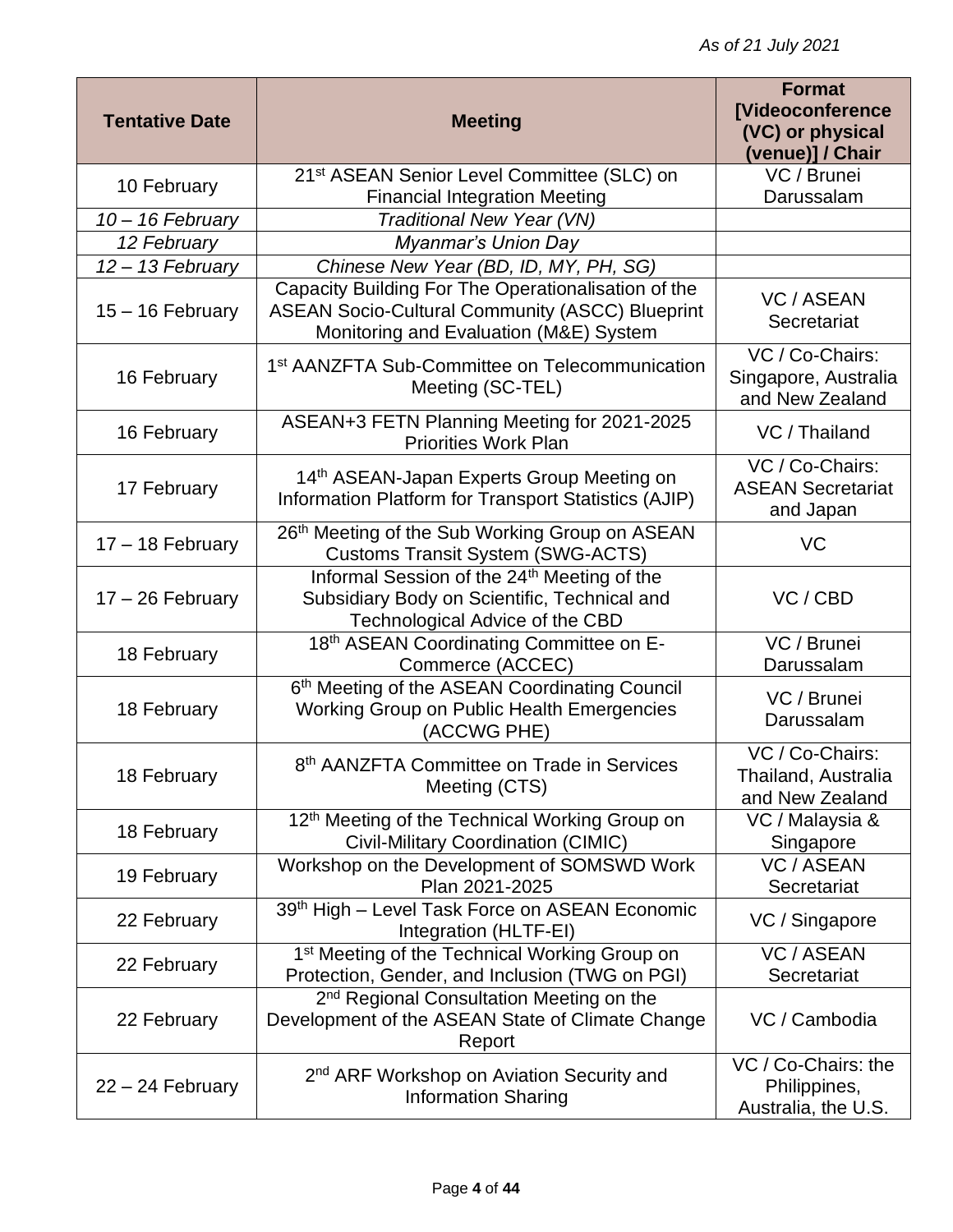| <b>Tentative Date</b> | <b>Meeting</b>                                                                                                                                          | <b>Format</b><br><b>[Videoconference</b><br>(VC) or physical<br>(venue)] / Chair |
|-----------------------|---------------------------------------------------------------------------------------------------------------------------------------------------------|----------------------------------------------------------------------------------|
| 10 February           | 21 <sup>st</sup> ASEAN Senior Level Committee (SLC) on<br><b>Financial Integration Meeting</b>                                                          | VC / Brunei<br>Darussalam                                                        |
| $10 - 16$ February    | Traditional New Year (VN)                                                                                                                               |                                                                                  |
| 12 February           | Myanmar's Union Day                                                                                                                                     |                                                                                  |
| 12 - 13 February      | Chinese New Year (BD, ID, MY, PH, SG)                                                                                                                   |                                                                                  |
| $15 - 16$ February    | Capacity Building For The Operationalisation of the<br><b>ASEAN Socio-Cultural Community (ASCC) Blueprint</b><br>Monitoring and Evaluation (M&E) System | <b>VC / ASEAN</b><br>Secretariat                                                 |
| 16 February           | 1 <sup>st</sup> AANZFTA Sub-Committee on Telecommunication<br>Meeting (SC-TEL)                                                                          | VC / Co-Chairs:<br>Singapore, Australia<br>and New Zealand                       |
| 16 February           | ASEAN+3 FETN Planning Meeting for 2021-2025<br><b>Priorities Work Plan</b>                                                                              | VC / Thailand                                                                    |
| 17 February           | 14th ASEAN-Japan Experts Group Meeting on<br>Information Platform for Transport Statistics (AJIP)                                                       | VC / Co-Chairs:<br><b>ASEAN Secretariat</b><br>and Japan                         |
| $17 - 18$ February    | 26th Meeting of the Sub Working Group on ASEAN<br><b>Customs Transit System (SWG-ACTS)</b>                                                              | VC                                                                               |
| $17 - 26$ February    | Informal Session of the 24 <sup>th</sup> Meeting of the<br>Subsidiary Body on Scientific, Technical and<br>Technological Advice of the CBD              | VC / CBD                                                                         |
| 18 February           | 18th ASEAN Coordinating Committee on E-<br>Commerce (ACCEC)                                                                                             | VC / Brunei<br>Darussalam                                                        |
| 18 February           | 6th Meeting of the ASEAN Coordinating Council<br>Working Group on Public Health Emergencies<br>(ACCWG PHE)                                              | VC / Brunei<br>Darussalam                                                        |
| 18 February           | 8 <sup>th</sup> AANZFTA Committee on Trade in Services<br>Meeting (CTS)                                                                                 | VC / Co-Chairs:<br>Thailand, Australia<br>and New Zealand                        |
| 18 February           | 12 <sup>th</sup> Meeting of the Technical Working Group on<br>Civil-Military Coordination (CIMIC)                                                       | VC / Malaysia &<br>Singapore                                                     |
| 19 February           | Workshop on the Development of SOMSWD Work<br>Plan 2021-2025                                                                                            | <b>VC / ASEAN</b><br>Secretariat                                                 |
| 22 February           | 39th High - Level Task Force on ASEAN Economic<br>Integration (HLTF-EI)                                                                                 | VC / Singapore                                                                   |
| 22 February           | 1 <sup>st</sup> Meeting of the Technical Working Group on<br>Protection, Gender, and Inclusion (TWG on PGI)                                             | <b>VC / ASEAN</b><br>Secretariat                                                 |
| 22 February           | 2 <sup>nd</sup> Regional Consultation Meeting on the<br>Development of the ASEAN State of Climate Change<br>Report                                      | VC / Cambodia                                                                    |
| $22 - 24$ February    | 2 <sup>nd</sup> ARF Workshop on Aviation Security and<br><b>Information Sharing</b>                                                                     | VC / Co-Chairs: the<br>Philippines,<br>Australia, the U.S.                       |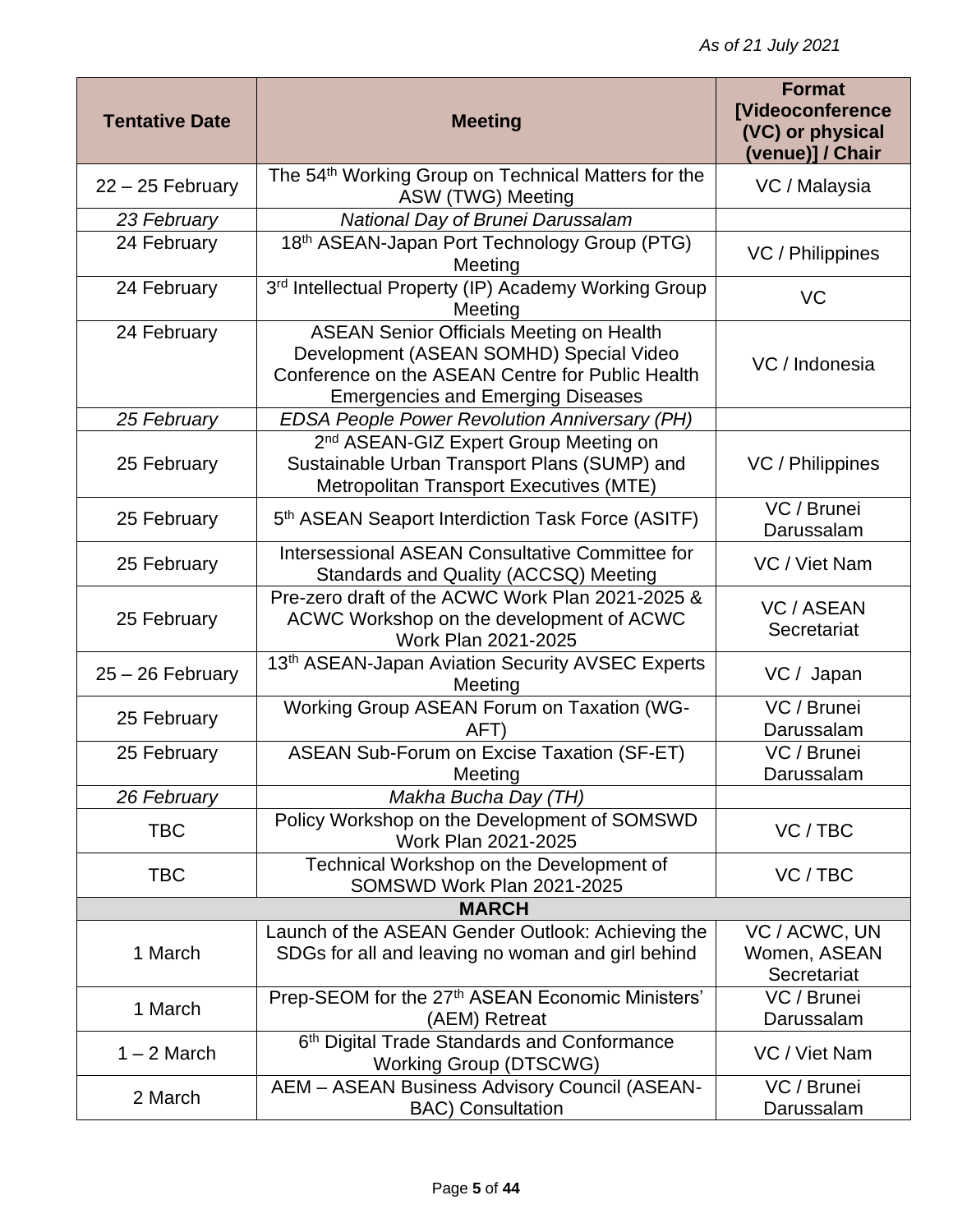| <b>Tentative Date</b> | <b>Meeting</b>                                                                                                                                                                             | <b>Format</b><br><b>[Videoconference</b><br>(VC) or physical<br>(venue)] / Chair |  |
|-----------------------|--------------------------------------------------------------------------------------------------------------------------------------------------------------------------------------------|----------------------------------------------------------------------------------|--|
| $22 - 25$ February    | The 54 <sup>th</sup> Working Group on Technical Matters for the<br>ASW (TWG) Meeting                                                                                                       | VC / Malaysia                                                                    |  |
| 23 February           | National Day of Brunei Darussalam                                                                                                                                                          |                                                                                  |  |
| 24 February           | 18th ASEAN-Japan Port Technology Group (PTG)<br>Meeting                                                                                                                                    | VC / Philippines                                                                 |  |
| 24 February           | 3rd Intellectual Property (IP) Academy Working Group<br>Meeting                                                                                                                            | VC                                                                               |  |
| 24 February           | <b>ASEAN Senior Officials Meeting on Health</b><br>Development (ASEAN SOMHD) Special Video<br>Conference on the ASEAN Centre for Public Health<br><b>Emergencies and Emerging Diseases</b> | VC / Indonesia                                                                   |  |
| 25 February           | <b>EDSA People Power Revolution Anniversary (PH)</b>                                                                                                                                       |                                                                                  |  |
| 25 February           | 2 <sup>nd</sup> ASEAN-GIZ Expert Group Meeting on<br>Sustainable Urban Transport Plans (SUMP) and<br>Metropolitan Transport Executives (MTE)                                               | VC / Philippines                                                                 |  |
| 25 February           | 5 <sup>th</sup> ASEAN Seaport Interdiction Task Force (ASITF)                                                                                                                              | $\overline{VC}$ / Brunei<br>Darussalam                                           |  |
| 25 February           | Intersessional ASEAN Consultative Committee for<br>Standards and Quality (ACCSQ) Meeting                                                                                                   | VC / Viet Nam                                                                    |  |
| 25 February           | Pre-zero draft of the ACWC Work Plan 2021-2025 &<br>ACWC Workshop on the development of ACWC<br>Work Plan 2021-2025                                                                        | <b>VC / ASEAN</b><br>Secretariat                                                 |  |
| $25 - 26$ February    | 13th ASEAN-Japan Aviation Security AVSEC Experts<br>Meeting                                                                                                                                | VC / Japan                                                                       |  |
| 25 February           | Working Group ASEAN Forum on Taxation (WG-<br>AFT                                                                                                                                          | VC / Brunei<br>Darussalam                                                        |  |
| 25 February           | <b>ASEAN Sub-Forum on Excise Taxation (SF-ET)</b><br>Meeting                                                                                                                               | VC / Brunei<br>Darussalam                                                        |  |
| 26 February           | Makha Bucha Day (TH)                                                                                                                                                                       |                                                                                  |  |
| <b>TBC</b>            | Policy Workshop on the Development of SOMSWD<br>Work Plan 2021-2025                                                                                                                        | VC / TBC                                                                         |  |
| <b>TBC</b>            | Technical Workshop on the Development of<br>SOMSWD Work Plan 2021-2025                                                                                                                     | VC/TBC                                                                           |  |
| <b>MARCH</b>          |                                                                                                                                                                                            |                                                                                  |  |
| 1 March               | Launch of the ASEAN Gender Outlook: Achieving the<br>SDGs for all and leaving no woman and girl behind                                                                                     | VC / ACWC, UN<br>Women, ASEAN<br>Secretariat                                     |  |
| 1 March               | Prep-SEOM for the 27 <sup>th</sup> ASEAN Economic Ministers'<br>(AEM) Retreat                                                                                                              | VC / Brunei<br>Darussalam                                                        |  |
| $1 - 2$ March         | 6th Digital Trade Standards and Conformance<br><b>Working Group (DTSCWG)</b>                                                                                                               | VC / Viet Nam                                                                    |  |
| 2 March               | <b>AEM - ASEAN Business Advisory Council (ASEAN-</b><br><b>BAC)</b> Consultation                                                                                                           | VC / Brunei<br>Darussalam                                                        |  |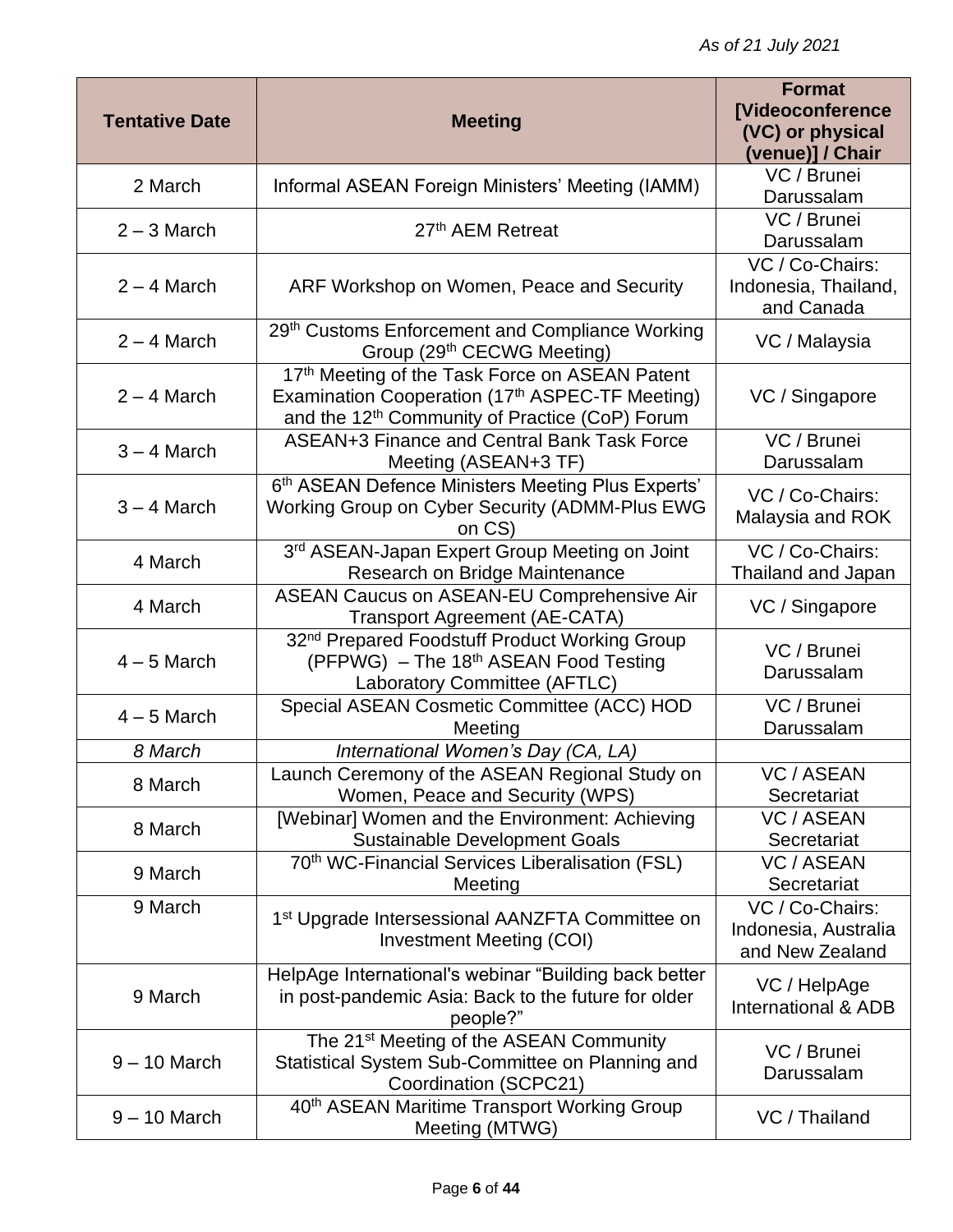| <b>Tentative Date</b> | <b>Meeting</b>                                                                                                                                                  | <b>Format</b><br><b>[Videoconference</b><br>(VC) or physical<br>(venue)] / Chair |
|-----------------------|-----------------------------------------------------------------------------------------------------------------------------------------------------------------|----------------------------------------------------------------------------------|
| 2 March               | Informal ASEAN Foreign Ministers' Meeting (IAMM)                                                                                                                | VC / Brunei<br>Darussalam                                                        |
| $2 - 3$ March         | 27 <sup>th</sup> AEM Retreat                                                                                                                                    | VC / Brunei<br>Darussalam                                                        |
| $2 - 4$ March         | ARF Workshop on Women, Peace and Security                                                                                                                       | VC / Co-Chairs:<br>Indonesia, Thailand,<br>and Canada                            |
| $2 - 4$ March         | 29th Customs Enforcement and Compliance Working<br>Group (29th CECWG Meeting)                                                                                   | VC / Malaysia                                                                    |
| $2 - 4$ March         | 17th Meeting of the Task Force on ASEAN Patent<br>Examination Cooperation (17th ASPEC-TF Meeting)<br>and the 12 <sup>th</sup> Community of Practice (CoP) Forum | VC / Singapore                                                                   |
| $3 - 4$ March         | ASEAN+3 Finance and Central Bank Task Force<br>Meeting (ASEAN+3 TF)                                                                                             | VC / Brunei<br>Darussalam                                                        |
| $3 - 4$ March         | 6th ASEAN Defence Ministers Meeting Plus Experts'<br>Working Group on Cyber Security (ADMM-Plus EWG<br>on CS)                                                   | VC / Co-Chairs:<br>Malaysia and ROK                                              |
| 4 March               | 3rd ASEAN-Japan Expert Group Meeting on Joint<br>Research on Bridge Maintenance                                                                                 | VC / Co-Chairs:<br>Thailand and Japan                                            |
| 4 March               | <b>ASEAN Caucus on ASEAN-EU Comprehensive Air</b><br><b>Transport Agreement (AE-CATA)</b>                                                                       | VC / Singapore                                                                   |
| $4 - 5$ March         | 32 <sup>nd</sup> Prepared Foodstuff Product Working Group<br>(PFPWG) - The 18th ASEAN Food Testing<br>Laboratory Committee (AFTLC)                              | VC / Brunei<br>Darussalam                                                        |
| $4 - 5$ March         | Special ASEAN Cosmetic Committee (ACC) HOD<br>Meeting                                                                                                           | VC / Brunei<br>Darussalam                                                        |
| 8 March               | International Women's Day (CA, LA)                                                                                                                              |                                                                                  |
| 8 March               | aunch Ceremony of the ASEAN Regional Study on<br>Women, Peace and Security (WPS)                                                                                | VC / ASEAN<br>Secretariat                                                        |
| 8 March               | [Webinar] Women and the Environment: Achieving<br><b>Sustainable Development Goals</b>                                                                          | <b>VC / ASEAN</b><br>Secretariat                                                 |
| 9 March               | 70 <sup>th</sup> WC-Financial Services Liberalisation (FSL)<br>Meeting                                                                                          | <b>VC / ASEAN</b><br>Secretariat                                                 |
| 9 March               | 1 <sup>st</sup> Upgrade Intersessional AANZFTA Committee on<br><b>Investment Meeting (COI)</b>                                                                  | VC / Co-Chairs:<br>Indonesia, Australia<br>and New Zealand                       |
| 9 March               | HelpAge International's webinar "Building back better<br>in post-pandemic Asia: Back to the future for older<br>people?"                                        | VC / HelpAge<br>International & ADB                                              |
| $9 - 10$ March        | The 21 <sup>st</sup> Meeting of the ASEAN Community<br>Statistical System Sub-Committee on Planning and<br>Coordination (SCPC21)                                | VC / Brunei<br>Darussalam                                                        |
| $9 - 10$ March        | 40 <sup>th</sup> ASEAN Maritime Transport Working Group<br>Meeting (MTWG)                                                                                       | VC / Thailand                                                                    |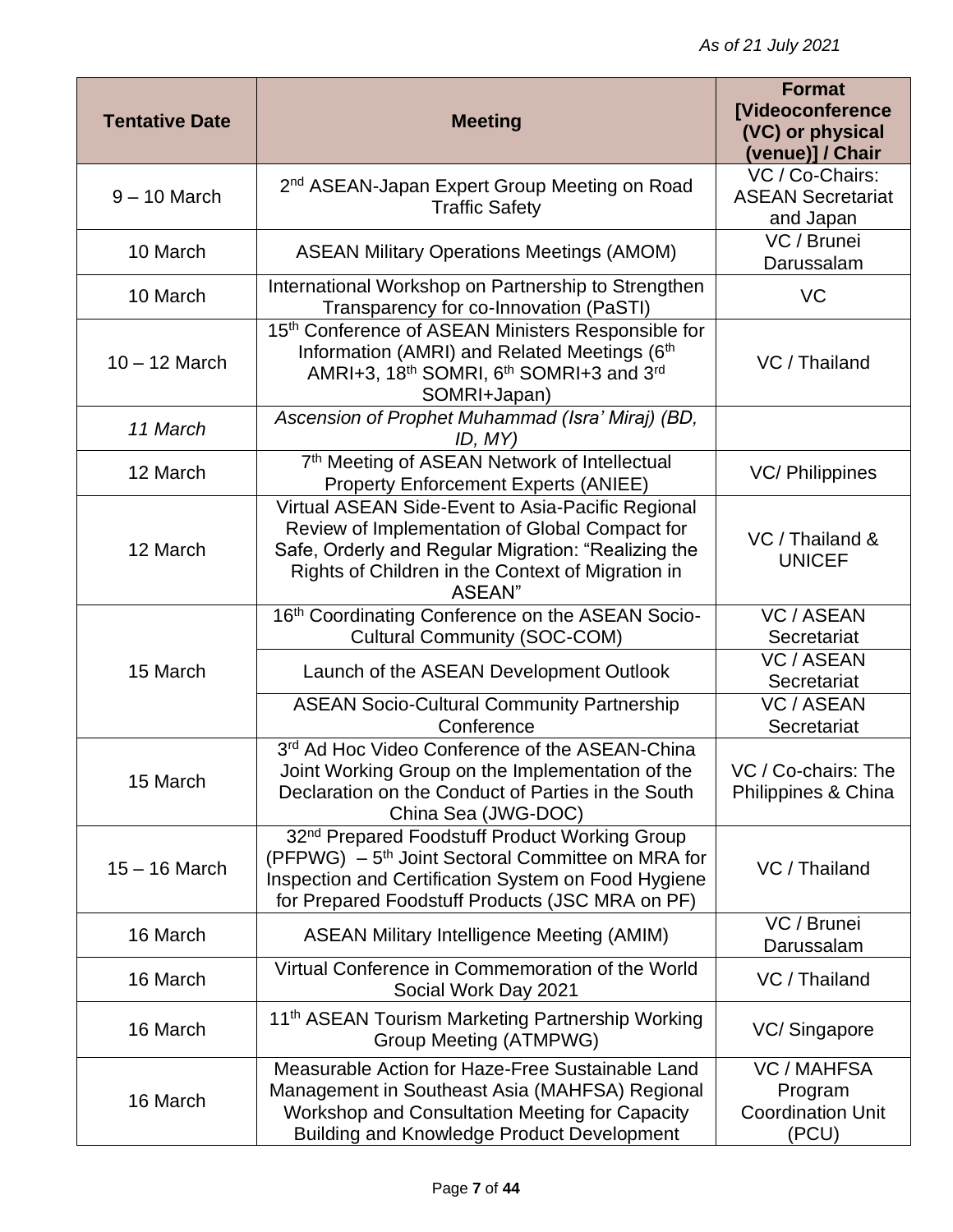| <b>Tentative Date</b> | <b>Meeting</b>                                                                                                                                                                                                                       | <b>Format</b><br><b>[Videoconference</b><br>(VC) or physical<br>(venue)] / Chair |
|-----------------------|--------------------------------------------------------------------------------------------------------------------------------------------------------------------------------------------------------------------------------------|----------------------------------------------------------------------------------|
| $9 - 10$ March        | 2 <sup>nd</sup> ASEAN-Japan Expert Group Meeting on Road<br><b>Traffic Safety</b>                                                                                                                                                    | VC / Co-Chairs:<br><b>ASEAN Secretariat</b><br>and Japan                         |
| 10 March              | <b>ASEAN Military Operations Meetings (AMOM)</b>                                                                                                                                                                                     | VC / Brunei<br>Darussalam                                                        |
| 10 March              | International Workshop on Partnership to Strengthen<br>Transparency for co-Innovation (PaSTI)                                                                                                                                        | VC                                                                               |
| $10 - 12$ March       | 15th Conference of ASEAN Ministers Responsible for<br>Information (AMRI) and Related Meetings (6th<br>AMRI+3, 18th SOMRI, 6th SOMRI+3 and 3rd<br>SOMRI+Japan)                                                                        | VC / Thailand                                                                    |
| 11 March              | Ascension of Prophet Muhammad (Isra' Miraj) (BD,<br>ID, MY)                                                                                                                                                                          |                                                                                  |
| 12 March              | 7th Meeting of ASEAN Network of Intellectual<br><b>Property Enforcement Experts (ANIEE)</b>                                                                                                                                          | VC/ Philippines                                                                  |
| 12 March              | Virtual ASEAN Side-Event to Asia-Pacific Regional<br>Review of Implementation of Global Compact for<br>Safe, Orderly and Regular Migration: "Realizing the<br>Rights of Children in the Context of Migration in<br>ASEAN"            | VC / Thailand &<br><b>UNICEF</b>                                                 |
|                       | 16th Coordinating Conference on the ASEAN Socio-<br><b>Cultural Community (SOC-COM)</b>                                                                                                                                              | <b>VC / ASEAN</b><br>Secretariat                                                 |
| 15 March              | Launch of the ASEAN Development Outlook                                                                                                                                                                                              | <b>VC / ASEAN</b><br>Secretariat                                                 |
|                       | <b>ASEAN Socio-Cultural Community Partnership</b><br>Conference                                                                                                                                                                      | <b>VC / ASEAN</b><br>Secretariat                                                 |
| 15 March              | 3rd Ad Hoc Video Conference of the ASEAN-China<br>Joint Working Group on the Implementation of the<br>Declaration on the Conduct of Parties in the South<br>China Sea (JWG-DOC)                                                      | VC / Co-chairs: The<br>Philippines & China                                       |
| $15 - 16$ March       | 32 <sup>nd</sup> Prepared Foodstuff Product Working Group<br>(PFPWG) - 5 <sup>th</sup> Joint Sectoral Committee on MRA for<br>Inspection and Certification System on Food Hygiene<br>for Prepared Foodstuff Products (JSC MRA on PF) | VC / Thailand                                                                    |
| 16 March              | <b>ASEAN Military Intelligence Meeting (AMIM)</b>                                                                                                                                                                                    | VC / Brunei<br>Darussalam                                                        |
| 16 March              | Virtual Conference in Commemoration of the World<br>Social Work Day 2021                                                                                                                                                             | VC / Thailand                                                                    |
| 16 March              | 11 <sup>th</sup> ASEAN Tourism Marketing Partnership Working<br>Group Meeting (ATMPWG)                                                                                                                                               | VC/Singapore                                                                     |
| 16 March              | Measurable Action for Haze-Free Sustainable Land<br>Management in Southeast Asia (MAHFSA) Regional<br>Workshop and Consultation Meeting for Capacity<br><b>Building and Knowledge Product Development</b>                            | <b>VC / MAHFSA</b><br>Program<br><b>Coordination Unit</b><br>(PCU)               |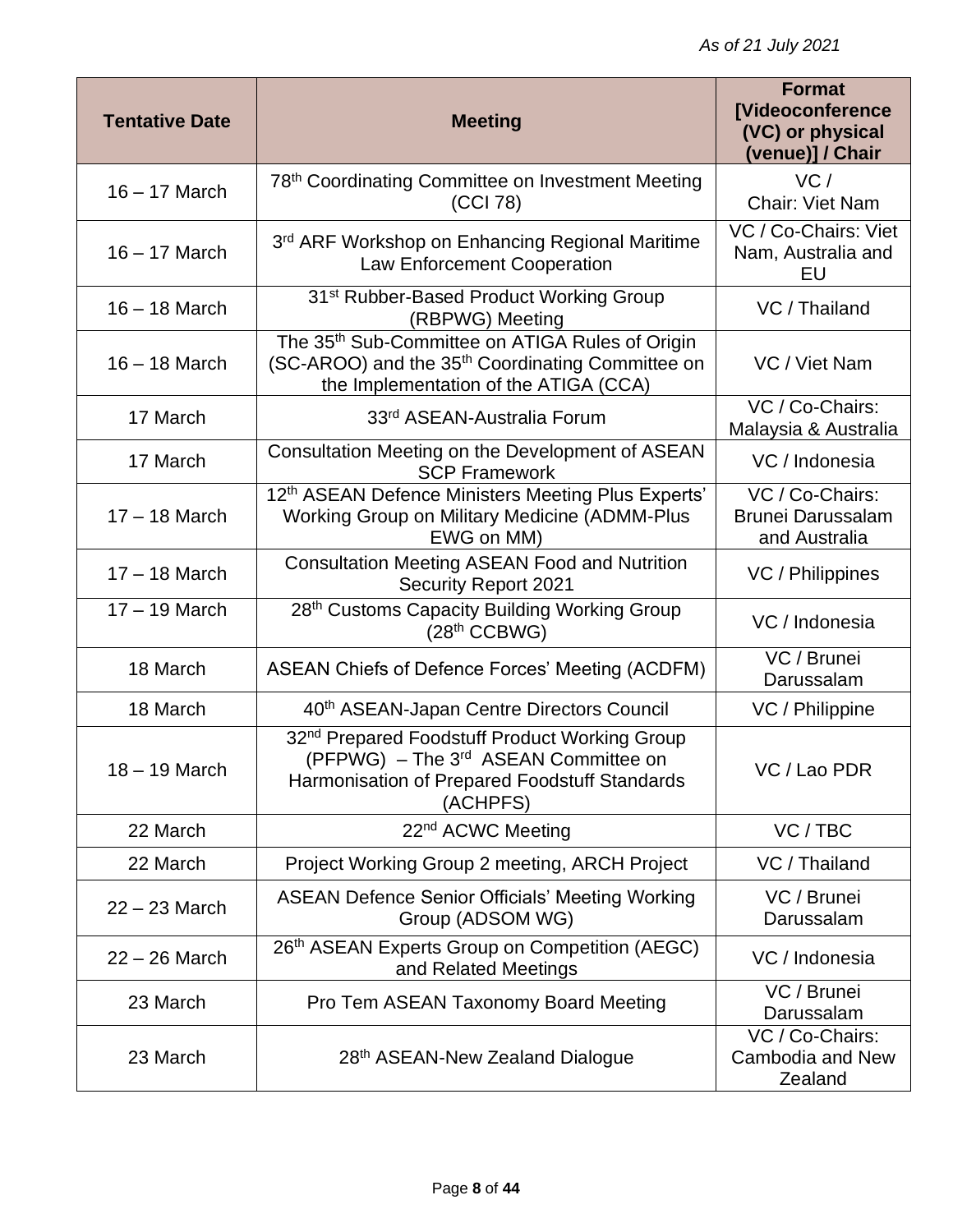| <b>Tentative Date</b> | <b>Meeting</b>                                                                                                                                                             | <b>Format</b><br>[Videoconference<br>(VC) or physical<br>(venue)] / Chair |
|-----------------------|----------------------------------------------------------------------------------------------------------------------------------------------------------------------------|---------------------------------------------------------------------------|
| $16 - 17$ March       | 78th Coordinating Committee on Investment Meeting<br>(CCI 78)                                                                                                              | VC/<br>Chair: Viet Nam                                                    |
| $16 - 17$ March       | 3 <sup>rd</sup> ARF Workshop on Enhancing Regional Maritime<br><b>Law Enforcement Cooperation</b>                                                                          | VC / Co-Chairs: Viet<br>Nam, Australia and<br>EU                          |
| $16 - 18$ March       | 31 <sup>st</sup> Rubber-Based Product Working Group<br>(RBPWG) Meeting                                                                                                     | VC / Thailand                                                             |
| $16 - 18$ March       | The 35 <sup>th</sup> Sub-Committee on ATIGA Rules of Origin<br>(SC-AROO) and the 35 <sup>th</sup> Coordinating Committee on<br>the Implementation of the ATIGA (CCA)       | VC / Viet Nam                                                             |
| 17 March              | 33 <sup>rd</sup> ASEAN-Australia Forum                                                                                                                                     | VC / Co-Chairs:<br>Malaysia & Australia                                   |
| 17 March              | Consultation Meeting on the Development of ASEAN<br><b>SCP Framework</b>                                                                                                   | VC / Indonesia                                                            |
| $17 - 18$ March       | 12th ASEAN Defence Ministers Meeting Plus Experts'<br>Working Group on Military Medicine (ADMM-Plus<br>EWG on MM)                                                          | VC / Co-Chairs:<br><b>Brunei Darussalam</b><br>and Australia              |
| $17 - 18$ March       | <b>Consultation Meeting ASEAN Food and Nutrition</b><br><b>Security Report 2021</b>                                                                                        | VC / Philippines                                                          |
| $17 - 19$ March       | 28th Customs Capacity Building Working Group<br>(28 <sup>th</sup> CCBWG)                                                                                                   | VC / Indonesia                                                            |
| 18 March              | ASEAN Chiefs of Defence Forces' Meeting (ACDFM)                                                                                                                            | VC / Brunei<br>Darussalam                                                 |
| 18 March              | 40 <sup>th</sup> ASEAN-Japan Centre Directors Council                                                                                                                      | VC / Philippine                                                           |
| $18 - 19$ March       | 32 <sup>nd</sup> Prepared Foodstuff Product Working Group<br>(PFPWG) - The 3 <sup>rd</sup> ASEAN Committee on<br>Harmonisation of Prepared Foodstuff Standards<br>(ACHPFS) | VC / Lao PDR                                                              |
| 22 March              | 22 <sup>nd</sup> ACWC Meeting                                                                                                                                              | VC/TBC                                                                    |
| 22 March              | Project Working Group 2 meeting, ARCH Project                                                                                                                              | VC / Thailand                                                             |
| $22 - 23$ March       | <b>ASEAN Defence Senior Officials' Meeting Working</b><br>Group (ADSOM WG)                                                                                                 | VC / Brunei<br>Darussalam                                                 |
| $22 - 26$ March       | 26th ASEAN Experts Group on Competition (AEGC)<br>and Related Meetings                                                                                                     | VC / Indonesia                                                            |
| 23 March              | Pro Tem ASEAN Taxonomy Board Meeting                                                                                                                                       | VC / Brunei<br>Darussalam                                                 |
| 23 March              | 28th ASEAN-New Zealand Dialogue                                                                                                                                            | VC / Co-Chairs:<br>Cambodia and New<br>Zealand                            |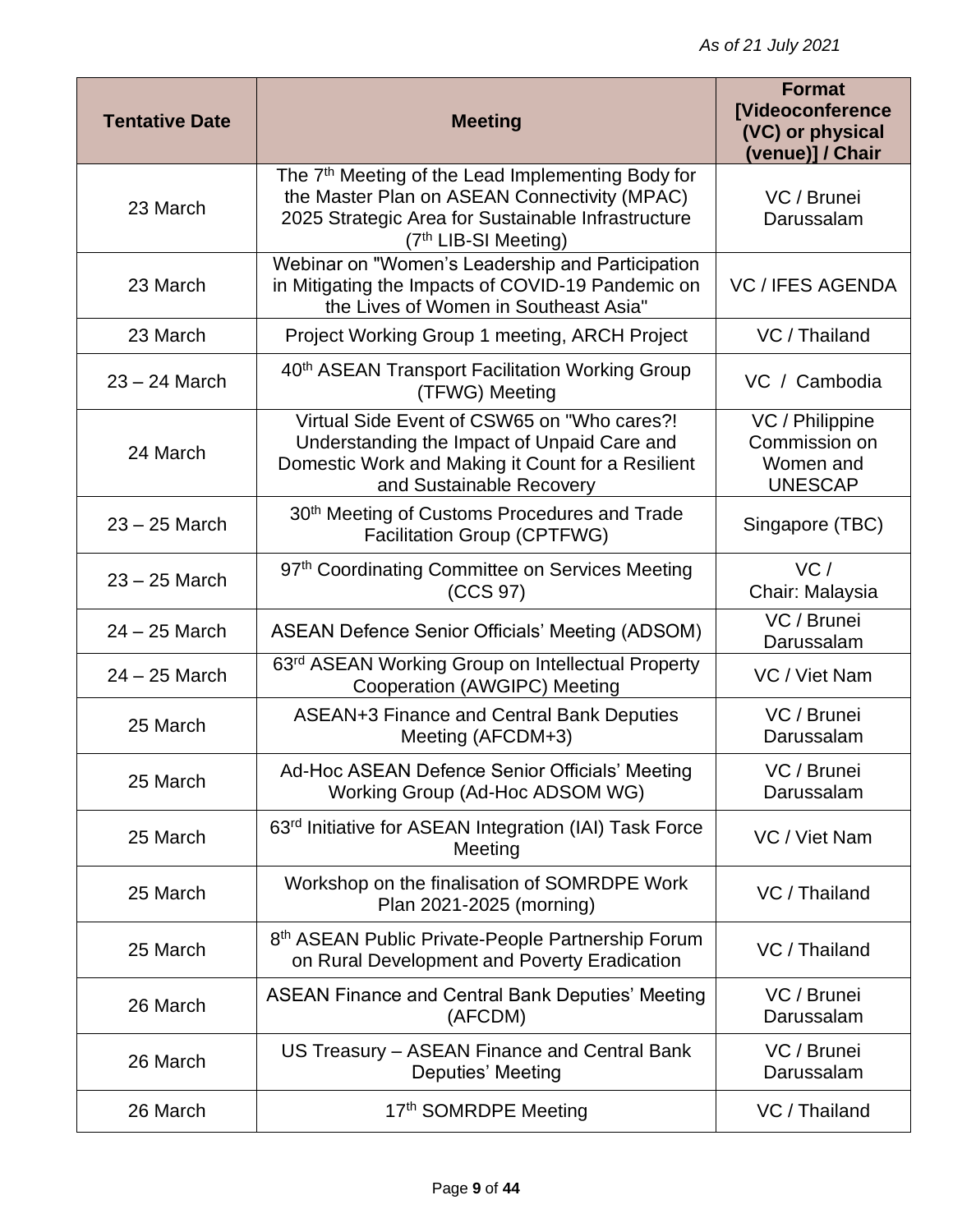| <b>Tentative Date</b> | <b>Meeting</b>                                                                                                                                                                                          | <b>Format</b><br><b>[Videoconference</b><br>(VC) or physical<br>(venue)] / Chair |
|-----------------------|---------------------------------------------------------------------------------------------------------------------------------------------------------------------------------------------------------|----------------------------------------------------------------------------------|
| 23 March              | The 7 <sup>th</sup> Meeting of the Lead Implementing Body for<br>the Master Plan on ASEAN Connectivity (MPAC)<br>2025 Strategic Area for Sustainable Infrastructure<br>(7 <sup>th</sup> LIB-SI Meeting) | VC / Brunei<br>Darussalam                                                        |
| 23 March              | Webinar on "Women's Leadership and Participation<br>in Mitigating the Impacts of COVID-19 Pandemic on<br>the Lives of Women in Southeast Asia"                                                          | <b>VC / IFES AGENDA</b>                                                          |
| 23 March              | Project Working Group 1 meeting, ARCH Project                                                                                                                                                           | VC / Thailand                                                                    |
| $23 - 24$ March       | 40 <sup>th</sup> ASEAN Transport Facilitation Working Group<br>(TFWG) Meeting                                                                                                                           | VC / Cambodia                                                                    |
| 24 March              | Virtual Side Event of CSW65 on "Who cares?!<br>Understanding the Impact of Unpaid Care and<br>Domestic Work and Making it Count for a Resilient<br>and Sustainable Recovery                             | VC / Philippine<br>Commission on<br>Women and<br><b>UNESCAP</b>                  |
| $23 - 25$ March       | 30 <sup>th</sup> Meeting of Customs Procedures and Trade<br>Facilitation Group (CPTFWG)                                                                                                                 | Singapore (TBC)                                                                  |
| $23 - 25$ March       | 97th Coordinating Committee on Services Meeting<br>(CCS 97)                                                                                                                                             | VC/<br>Chair: Malaysia                                                           |
| $24 - 25$ March       | <b>ASEAN Defence Senior Officials' Meeting (ADSOM)</b>                                                                                                                                                  | VC / Brunei<br>Darussalam                                                        |
| $24 - 25$ March       | 63rd ASEAN Working Group on Intellectual Property<br>Cooperation (AWGIPC) Meeting                                                                                                                       | VC / Viet Nam                                                                    |
| 25 March              | <b>ASEAN+3 Finance and Central Bank Deputies</b><br>Meeting (AFCDM+3)                                                                                                                                   | VC / Brunei<br>Darussalam                                                        |
| 25 March              | Ad-Hoc ASEAN Defence Senior Officials' Meeting<br>Working Group (Ad-Hoc ADSOM WG)                                                                                                                       | VC / Brunei<br>Darussalam                                                        |
| 25 March              | 63 <sup>rd</sup> Initiative for ASEAN Integration (IAI) Task Force<br>Meeting                                                                                                                           | VC / Viet Nam                                                                    |
| 25 March              | Workshop on the finalisation of SOMRDPE Work<br>Plan 2021-2025 (morning)                                                                                                                                | VC / Thailand                                                                    |
| 25 March              | 8 <sup>th</sup> ASEAN Public Private-People Partnership Forum<br>on Rural Development and Poverty Eradication                                                                                           | VC / Thailand                                                                    |
| 26 March              | <b>ASEAN Finance and Central Bank Deputies' Meeting</b><br>(AFCDM)                                                                                                                                      | VC / Brunei<br>Darussalam                                                        |
| 26 March              | US Treasury - ASEAN Finance and Central Bank<br>Deputies' Meeting                                                                                                                                       | VC / Brunei<br>Darussalam                                                        |
| 26 March              | 17th SOMRDPE Meeting                                                                                                                                                                                    | VC / Thailand                                                                    |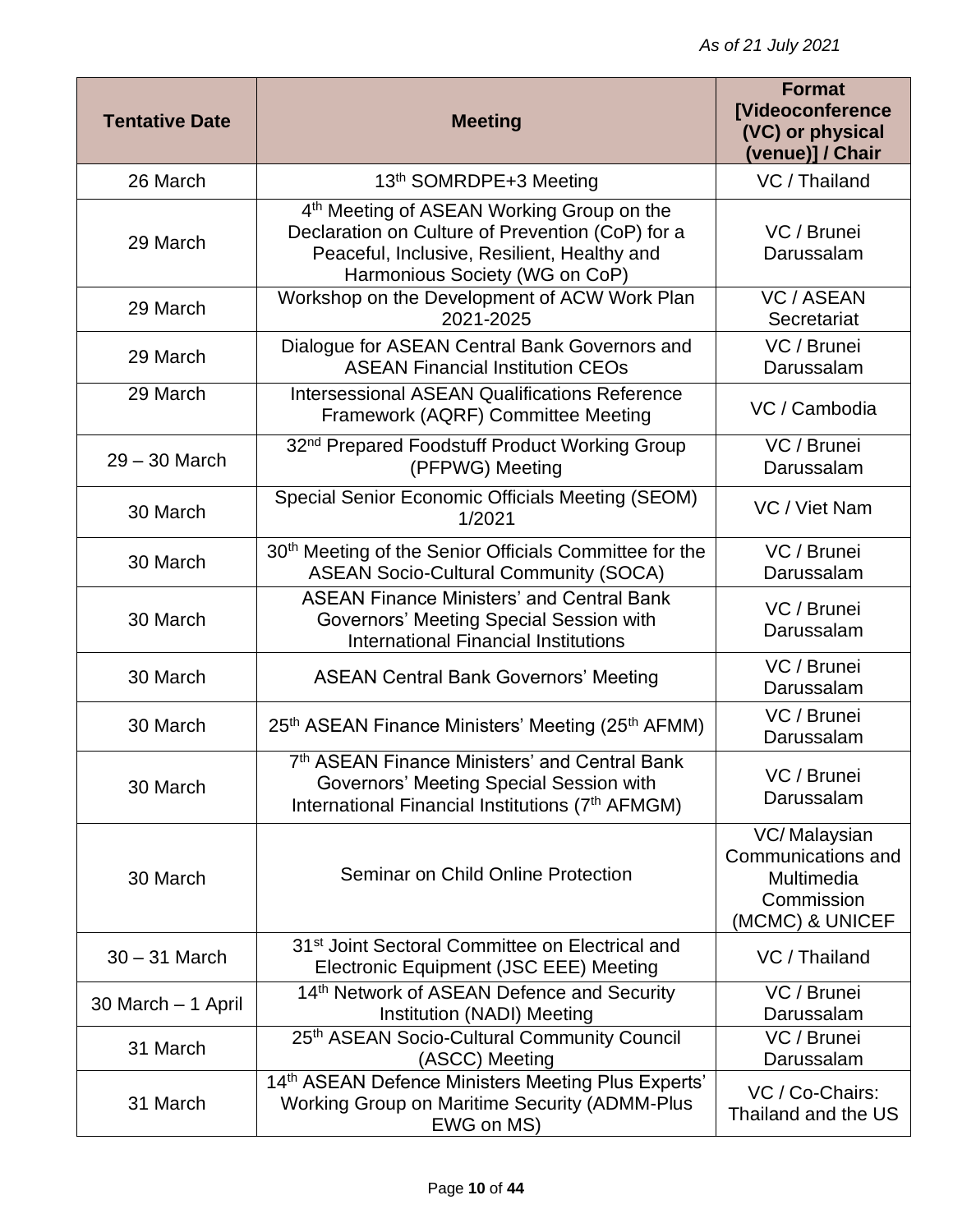| <b>Tentative Date</b> | <b>Meeting</b>                                                                                                                                                                             | <b>Format</b><br><b>[Videoconference</b><br>(VC) or physical<br>(venue)] / Chair  |
|-----------------------|--------------------------------------------------------------------------------------------------------------------------------------------------------------------------------------------|-----------------------------------------------------------------------------------|
| 26 March              | 13 <sup>th</sup> SOMRDPE+3 Meeting                                                                                                                                                         | VC / Thailand                                                                     |
| 29 March              | 4 <sup>th</sup> Meeting of ASEAN Working Group on the<br>Declaration on Culture of Prevention (CoP) for a<br>Peaceful, Inclusive, Resilient, Healthy and<br>Harmonious Society (WG on CoP) | VC / Brunei<br>Darussalam                                                         |
| 29 March              | Workshop on the Development of ACW Work Plan<br>2021-2025                                                                                                                                  | <b>VC / ASEAN</b><br>Secretariat                                                  |
| 29 March              | Dialogue for ASEAN Central Bank Governors and<br><b>ASEAN Financial Institution CEOs</b>                                                                                                   | VC / Brunei<br>Darussalam                                                         |
| 29 March              | <b>Intersessional ASEAN Qualifications Reference</b><br>Framework (AQRF) Committee Meeting                                                                                                 | VC / Cambodia                                                                     |
| $29 - 30$ March       | 32 <sup>nd</sup> Prepared Foodstuff Product Working Group<br>(PFPWG) Meeting                                                                                                               | VC / Brunei<br>Darussalam                                                         |
| 30 March              | Special Senior Economic Officials Meeting (SEOM)<br>1/2021                                                                                                                                 | VC / Viet Nam                                                                     |
| 30 March              | 30 <sup>th</sup> Meeting of the Senior Officials Committee for the<br><b>ASEAN Socio-Cultural Community (SOCA)</b>                                                                         | VC / Brunei<br>Darussalam                                                         |
| 30 March              | <b>ASEAN Finance Ministers' and Central Bank</b><br>Governors' Meeting Special Session with<br><b>International Financial Institutions</b>                                                 | VC / Brunei<br>Darussalam                                                         |
| 30 March              | <b>ASEAN Central Bank Governors' Meeting</b>                                                                                                                                               | VC / Brunei<br>Darussalam                                                         |
| 30 March              | 25 <sup>th</sup> ASEAN Finance Ministers' Meeting (25 <sup>th</sup> AFMM)                                                                                                                  | VC / Brunei<br>Darussalam                                                         |
| 30 March              | 7th ASEAN Finance Ministers' and Central Bank<br>Governors' Meeting Special Session with<br>International Financial Institutions (7th AFMGM)                                               | VC / Brunei<br>Darussalam                                                         |
| 30 March              | Seminar on Child Online Protection                                                                                                                                                         | VC/Malaysian<br>Communications and<br>Multimedia<br>Commission<br>(MCMC) & UNICEF |
| $30 - 31$ March       | 31 <sup>st</sup> Joint Sectoral Committee on Electrical and<br>Electronic Equipment (JSC EEE) Meeting                                                                                      | VC / Thailand                                                                     |
| 30 March - 1 April    | 14th Network of ASEAN Defence and Security<br>Institution (NADI) Meeting                                                                                                                   | VC / Brunei<br>Darussalam                                                         |
| 31 March              | 25th ASEAN Socio-Cultural Community Council<br>(ASCC) Meeting                                                                                                                              | VC / Brunei<br>Darussalam                                                         |
| 31 March              | 14th ASEAN Defence Ministers Meeting Plus Experts'<br><b>Working Group on Maritime Security (ADMM-Plus</b><br>EWG on MS)                                                                   | VC / Co-Chairs:<br>Thailand and the US                                            |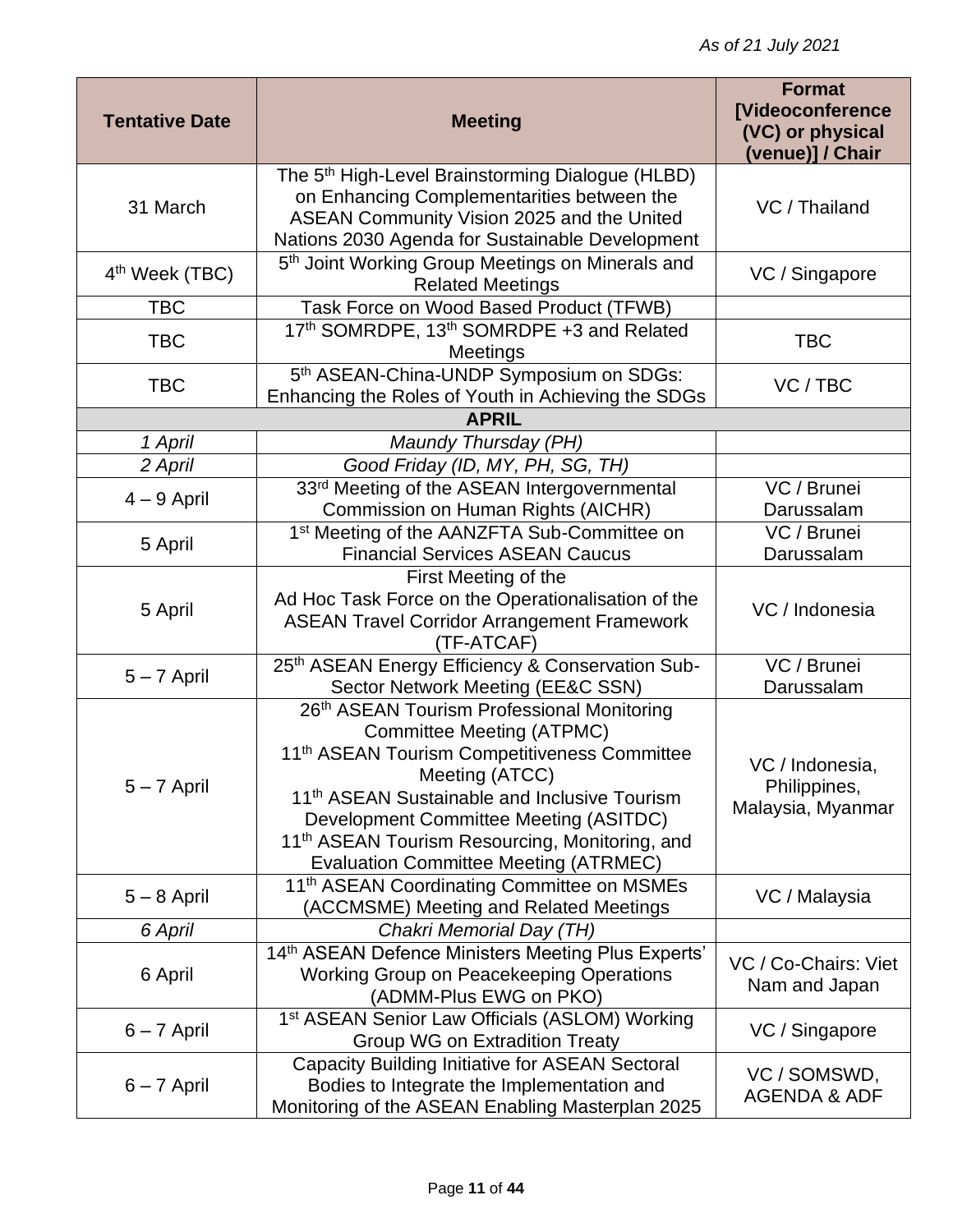| <b>Tentative Date</b>      | <b>Meeting</b>                                                                                                                                                                                                                                                                                                                                                                   | <b>Format</b><br>[Videoconference<br>(VC) or physical<br>(venue)] / Chair |
|----------------------------|----------------------------------------------------------------------------------------------------------------------------------------------------------------------------------------------------------------------------------------------------------------------------------------------------------------------------------------------------------------------------------|---------------------------------------------------------------------------|
| 31 March                   | The 5 <sup>th</sup> High-Level Brainstorming Dialogue (HLBD)<br>on Enhancing Complementarities between the<br>ASEAN Community Vision 2025 and the United<br>Nations 2030 Agenda for Sustainable Development                                                                                                                                                                      | VC / Thailand                                                             |
| 4 <sup>th</sup> Week (TBC) | 5 <sup>th</sup> Joint Working Group Meetings on Minerals and<br><b>Related Meetings</b>                                                                                                                                                                                                                                                                                          | VC / Singapore                                                            |
| <b>TBC</b>                 | Task Force on Wood Based Product (TFWB)                                                                                                                                                                                                                                                                                                                                          |                                                                           |
| <b>TBC</b>                 | 17th SOMRDPE, 13th SOMRDPE +3 and Related<br>Meetings                                                                                                                                                                                                                                                                                                                            | <b>TBC</b>                                                                |
| <b>TBC</b>                 | 5th ASEAN-China-UNDP Symposium on SDGs:<br>Enhancing the Roles of Youth in Achieving the SDGs                                                                                                                                                                                                                                                                                    | VC/TBC                                                                    |
|                            | <b>APRIL</b>                                                                                                                                                                                                                                                                                                                                                                     |                                                                           |
| 1 April                    | Maundy Thursday (PH)                                                                                                                                                                                                                                                                                                                                                             |                                                                           |
| 2 April                    | Good Friday (ID, MY, PH, SG, TH)                                                                                                                                                                                                                                                                                                                                                 |                                                                           |
| $4 - 9$ April              | 33rd Meeting of the ASEAN Intergovernmental<br>Commission on Human Rights (AICHR)                                                                                                                                                                                                                                                                                                | VC / Brunei<br>Darussalam                                                 |
| 5 April                    | 1 <sup>st</sup> Meeting of the AANZFTA Sub-Committee on<br><b>Financial Services ASEAN Caucus</b>                                                                                                                                                                                                                                                                                | VC / Brunei<br>Darussalam                                                 |
| 5 April                    | First Meeting of the<br>Ad Hoc Task Force on the Operationalisation of the<br><b>ASEAN Travel Corridor Arrangement Framework</b><br>(TF-ATCAF)                                                                                                                                                                                                                                   | VC / Indonesia                                                            |
| $5 - 7$ April              | 25th ASEAN Energy Efficiency & Conservation Sub-<br>Sector Network Meeting (EE&C SSN)                                                                                                                                                                                                                                                                                            | VC / Brunei<br>Darussalam                                                 |
| $5 - 7$ April              | 26th ASEAN Tourism Professional Monitoring<br><b>Committee Meeting (ATPMC)</b><br>11 <sup>th</sup> ASEAN Tourism Competitiveness Committee<br>Meeting (ATCC)<br>11 <sup>th</sup> ASEAN Sustainable and Inclusive Tourism<br>Development Committee Meeting (ASITDC)<br>11 <sup>th</sup> ASEAN Tourism Resourcing, Monitoring, and<br><b>Evaluation Committee Meeting (ATRMEC)</b> | VC / Indonesia,<br>Philippines,<br>Malaysia, Myanmar                      |
| $5 - 8$ April              | 11 <sup>th</sup> ASEAN Coordinating Committee on MSMEs<br>(ACCMSME) Meeting and Related Meetings                                                                                                                                                                                                                                                                                 | VC / Malaysia                                                             |
| 6 April                    | Chakri Memorial Day (TH)                                                                                                                                                                                                                                                                                                                                                         |                                                                           |
| 6 April                    | 14th ASEAN Defence Ministers Meeting Plus Experts'<br>Working Group on Peacekeeping Operations<br>(ADMM-Plus EWG on PKO)                                                                                                                                                                                                                                                         | VC / Co-Chairs: Viet<br>Nam and Japan                                     |
| $6 - 7$ April              | 1 <sup>st</sup> ASEAN Senior Law Officials (ASLOM) Working<br>Group WG on Extradition Treaty                                                                                                                                                                                                                                                                                     | VC / Singapore                                                            |
| $6 - 7$ April              | <b>Capacity Building Initiative for ASEAN Sectoral</b><br>Bodies to Integrate the Implementation and<br>Monitoring of the ASEAN Enabling Masterplan 2025                                                                                                                                                                                                                         | VC / SOMSWD,<br><b>AGENDA &amp; ADF</b>                                   |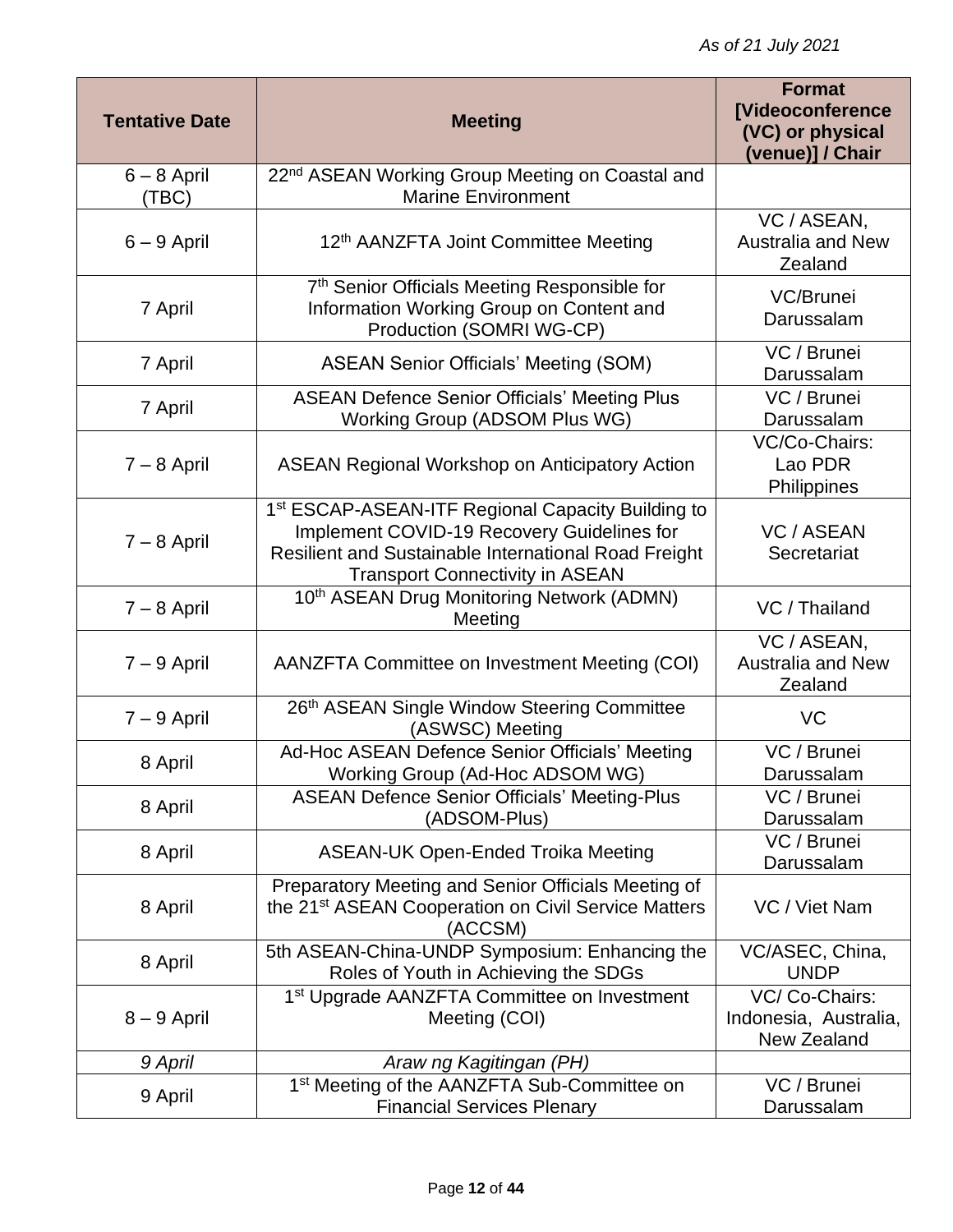| <b>Tentative Date</b>  | <b>Meeting</b>                                                                                                                                                                                                | <b>Format</b><br><b>[Videoconference</b><br>(VC) or physical<br>(venue)] / Chair |
|------------------------|---------------------------------------------------------------------------------------------------------------------------------------------------------------------------------------------------------------|----------------------------------------------------------------------------------|
| $6 - 8$ April<br>(TBC) | 22 <sup>nd</sup> ASEAN Working Group Meeting on Coastal and<br><b>Marine Environment</b>                                                                                                                      |                                                                                  |
| $6 - 9$ April          | 12 <sup>th</sup> AANZFTA Joint Committee Meeting                                                                                                                                                              | VC / ASEAN,<br><b>Australia and New</b><br>Zealand                               |
| 7 April                | 7th Senior Officials Meeting Responsible for<br>Information Working Group on Content and<br>Production (SOMRI WG-CP)                                                                                          | VC/Brunei<br>Darussalam                                                          |
| 7 April                | <b>ASEAN Senior Officials' Meeting (SOM)</b>                                                                                                                                                                  | VC / Brunei<br>Darussalam                                                        |
| 7 April                | <b>ASEAN Defence Senior Officials' Meeting Plus</b><br>Working Group (ADSOM Plus WG)                                                                                                                          | VC / Brunei<br>Darussalam                                                        |
| $7 - 8$ April          | <b>ASEAN Regional Workshop on Anticipatory Action</b>                                                                                                                                                         | VC/Co-Chairs:<br>Lao PDR<br>Philippines                                          |
| $7 - 8$ April          | 1 <sup>st</sup> ESCAP-ASEAN-ITF Regional Capacity Building to<br>Implement COVID-19 Recovery Guidelines for<br>Resilient and Sustainable International Road Freight<br><b>Transport Connectivity in ASEAN</b> | <b>VC / ASEAN</b><br>Secretariat                                                 |
| $7 - 8$ April          | 10th ASEAN Drug Monitoring Network (ADMN)<br>Meeting                                                                                                                                                          | VC / Thailand                                                                    |
| $7 - 9$ April          | AANZFTA Committee on Investment Meeting (COI)                                                                                                                                                                 | VC / ASEAN,<br><b>Australia and New</b><br>Zealand                               |
| $7 - 9$ April          | 26th ASEAN Single Window Steering Committee<br>(ASWSC) Meeting                                                                                                                                                | VC                                                                               |
| 8 April                | Ad-Hoc ASEAN Defence Senior Officials' Meeting<br>Working Group (Ad-Hoc ADSOM WG)                                                                                                                             | VC / Brunei<br>Darussalam                                                        |
| 8 April                | <b>ASEAN Defence Senior Officials' Meeting-Plus</b><br>(ADSOM-Plus)                                                                                                                                           | VC / Brunei<br>Darussalam                                                        |
| 8 April                | <b>ASEAN-UK Open-Ended Troika Meeting</b>                                                                                                                                                                     | VC / Brunei<br>Darussalam                                                        |
| 8 April                | Preparatory Meeting and Senior Officials Meeting of<br>the 21 <sup>st</sup> ASEAN Cooperation on Civil Service Matters<br>(ACCSM)                                                                             | VC / Viet Nam                                                                    |
| 8 April                | 5th ASEAN-China-UNDP Symposium: Enhancing the<br>Roles of Youth in Achieving the SDGs                                                                                                                         | VC/ASEC, China,<br><b>UNDP</b>                                                   |
| $8 - 9$ April          | 1 <sup>st</sup> Upgrade AANZFTA Committee on Investment<br>Meeting (COI)                                                                                                                                      | VC/Co-Chairs:<br>Indonesia, Australia,<br><b>New Zealand</b>                     |
| 9 April                | Araw ng Kagitingan (PH)                                                                                                                                                                                       |                                                                                  |
| 9 April                | 1 <sup>st</sup> Meeting of the AANZFTA Sub-Committee on<br><b>Financial Services Plenary</b>                                                                                                                  | VC / Brunei<br>Darussalam                                                        |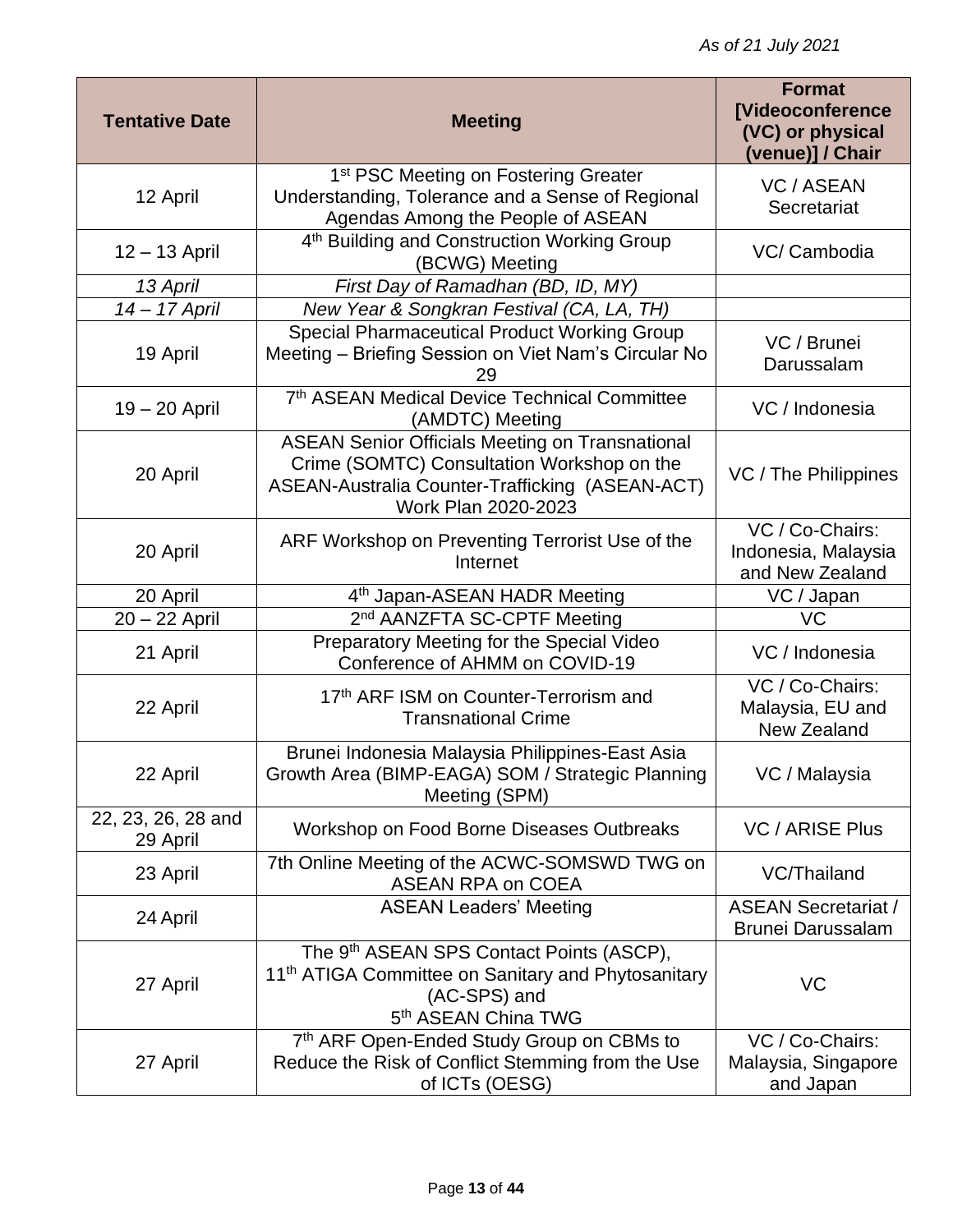| <b>Tentative Date</b>          | <b>Meeting</b>                                                                                                                                                                 | <b>Format</b><br><b>[Videoconference</b><br>(VC) or physical<br>(venue)] / Chair |
|--------------------------------|--------------------------------------------------------------------------------------------------------------------------------------------------------------------------------|----------------------------------------------------------------------------------|
| 12 April                       | 1 <sup>st</sup> PSC Meeting on Fostering Greater<br>Understanding, Tolerance and a Sense of Regional<br>Agendas Among the People of ASEAN                                      | <b>VC / ASEAN</b><br>Secretariat                                                 |
| 12 - 13 April                  | 4 <sup>th</sup> Building and Construction Working Group<br>(BCWG) Meeting                                                                                                      | VC/ Cambodia                                                                     |
| 13 April                       | First Day of Ramadhan (BD, ID, MY)                                                                                                                                             |                                                                                  |
| 14 - 17 April                  | New Year & Songkran Festival (CA, LA, TH)                                                                                                                                      |                                                                                  |
| 19 April                       | <b>Special Pharmaceutical Product Working Group</b><br>Meeting - Briefing Session on Viet Nam's Circular No<br>29                                                              | VC / Brunei<br>Darussalam                                                        |
| $19 - 20$ April                | 7th ASEAN Medical Device Technical Committee<br>(AMDTC) Meeting                                                                                                                | VC / Indonesia                                                                   |
| 20 April                       | <b>ASEAN Senior Officials Meeting on Transnational</b><br>Crime (SOMTC) Consultation Workshop on the<br>ASEAN-Australia Counter-Trafficking (ASEAN-ACT)<br>Work Plan 2020-2023 | VC / The Philippines                                                             |
| 20 April                       | ARF Workshop on Preventing Terrorist Use of the<br>Internet                                                                                                                    | VC / Co-Chairs:<br>Indonesia, Malaysia<br>and New Zealand                        |
| 20 April                       | 4 <sup>th</sup> Japan-ASEAN HADR Meeting                                                                                                                                       | VC / Japan                                                                       |
| 20 - 22 April                  | 2 <sup>nd</sup> AANZFTA SC-CPTF Meeting                                                                                                                                        | VC                                                                               |
| 21 April                       | Preparatory Meeting for the Special Video<br>Conference of AHMM on COVID-19                                                                                                    | VC / Indonesia                                                                   |
| 22 April                       | 17th ARF ISM on Counter-Terrorism and<br><b>Transnational Crime</b>                                                                                                            | VC / Co-Chairs:<br>Malaysia, EU and<br>New Zealand                               |
| 22 April                       | Brunei Indonesia Malaysia Philippines-East Asia<br>Growth Area (BIMP-EAGA) SOM / Strategic Planning<br>Meeting (SPM)                                                           | VC / Malaysia                                                                    |
| 22, 23, 26, 28 and<br>29 April | Workshop on Food Borne Diseases Outbreaks                                                                                                                                      | <b>VC / ARISE Plus</b>                                                           |
| 23 April                       | 7th Online Meeting of the ACWC-SOMSWD TWG on<br><b>ASEAN RPA on COEA</b>                                                                                                       | VC/Thailand                                                                      |
| 24 April                       | <b>ASEAN Leaders' Meeting</b>                                                                                                                                                  | <b>ASEAN Secretariat /</b><br><b>Brunei Darussalam</b>                           |
| 27 April                       | The 9 <sup>th</sup> ASEAN SPS Contact Points (ASCP),<br>11 <sup>th</sup> ATIGA Committee on Sanitary and Phytosanitary<br>(AC-SPS) and<br>5 <sup>th</sup> ASEAN China TWG      | VC                                                                               |
| 27 April                       | 7th ARF Open-Ended Study Group on CBMs to<br>Reduce the Risk of Conflict Stemming from the Use<br>of ICTs (OESG)                                                               | VC / Co-Chairs:<br>Malaysia, Singapore<br>and Japan                              |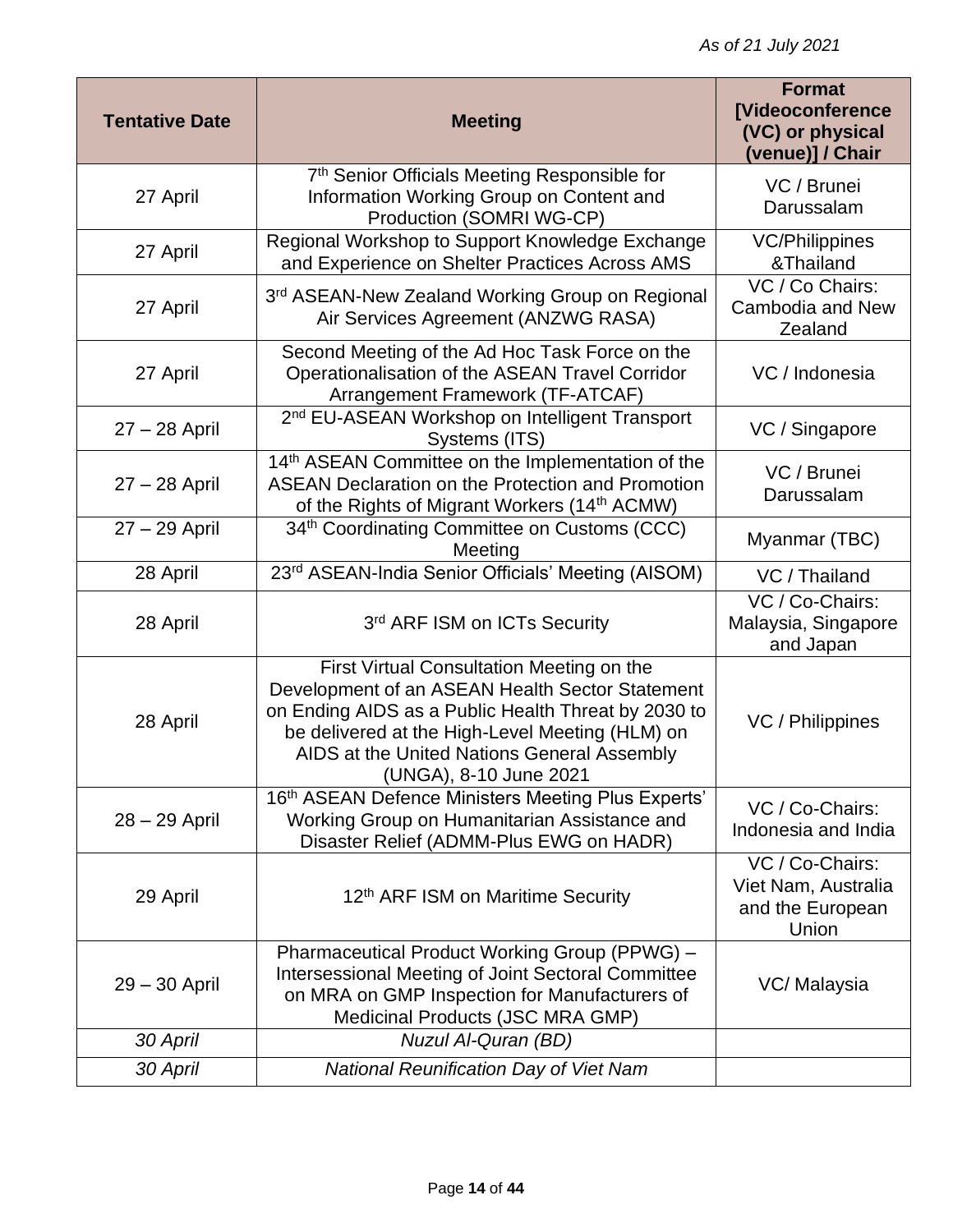| <b>Tentative Date</b> | <b>Meeting</b>                                                                                                                                                                                                                                                                  | <b>Format</b><br><b>[Videoconference</b><br>(VC) or physical<br>(venue)] / Chair |
|-----------------------|---------------------------------------------------------------------------------------------------------------------------------------------------------------------------------------------------------------------------------------------------------------------------------|----------------------------------------------------------------------------------|
| 27 April              | 7 <sup>th</sup> Senior Officials Meeting Responsible for<br>Information Working Group on Content and<br>Production (SOMRI WG-CP)                                                                                                                                                | VC / Brunei<br>Darussalam                                                        |
| 27 April              | Regional Workshop to Support Knowledge Exchange<br>and Experience on Shelter Practices Across AMS                                                                                                                                                                               | <b>VC/Philippines</b><br>&Thailand                                               |
| 27 April              | 3rd ASEAN-New Zealand Working Group on Regional<br>Air Services Agreement (ANZWG RASA)                                                                                                                                                                                          | VC / Co Chairs:<br>Cambodia and New<br>Zealand                                   |
| 27 April              | Second Meeting of the Ad Hoc Task Force on the<br>Operationalisation of the ASEAN Travel Corridor<br>Arrangement Framework (TF-ATCAF)                                                                                                                                           | VC / Indonesia                                                                   |
| $27 - 28$ April       | 2 <sup>nd</sup> EU-ASEAN Workshop on Intelligent Transport<br>Systems (ITS)                                                                                                                                                                                                     | VC / Singapore                                                                   |
| 27 - 28 April         | 14 <sup>th</sup> ASEAN Committee on the Implementation of the<br><b>ASEAN Declaration on the Protection and Promotion</b><br>of the Rights of Migrant Workers (14th ACMW)                                                                                                       | VC / Brunei<br>Darussalam                                                        |
| 27 - 29 April         | 34th Coordinating Committee on Customs (CCC)<br>Meeting                                                                                                                                                                                                                         | Myanmar (TBC)                                                                    |
| 28 April              | 23rd ASEAN-India Senior Officials' Meeting (AISOM)                                                                                                                                                                                                                              | VC / Thailand                                                                    |
| 28 April              | 3rd ARF ISM on ICTs Security                                                                                                                                                                                                                                                    | VC / Co-Chairs:<br>Malaysia, Singapore<br>and Japan                              |
| 28 April              | First Virtual Consultation Meeting on the<br>Development of an ASEAN Health Sector Statement<br>on Ending AIDS as a Public Health Threat by 2030 to<br>be delivered at the High-Level Meeting (HLM) on<br>AIDS at the United Nations General Assembly<br>(UNGA), 8-10 June 2021 | VC / Philippines                                                                 |
| 28 - 29 April         | 16th ASEAN Defence Ministers Meeting Plus Experts'<br>Working Group on Humanitarian Assistance and<br>Disaster Relief (ADMM-Plus EWG on HADR)                                                                                                                                   | VC / Co-Chairs:<br>Indonesia and India                                           |
| 29 April              | 12th ARF ISM on Maritime Security                                                                                                                                                                                                                                               | VC / Co-Chairs:<br>Viet Nam, Australia<br>and the European<br>Union              |
| $29 - 30$ April       | Pharmaceutical Product Working Group (PPWG) -<br><b>Intersessional Meeting of Joint Sectoral Committee</b><br>on MRA on GMP Inspection for Manufacturers of<br>Medicinal Products (JSC MRA GMP)                                                                                 | VC/ Malaysia                                                                     |
| 30 April              | Nuzul Al-Quran (BD)                                                                                                                                                                                                                                                             |                                                                                  |
| 30 April              | <b>National Reunification Day of Viet Nam</b>                                                                                                                                                                                                                                   |                                                                                  |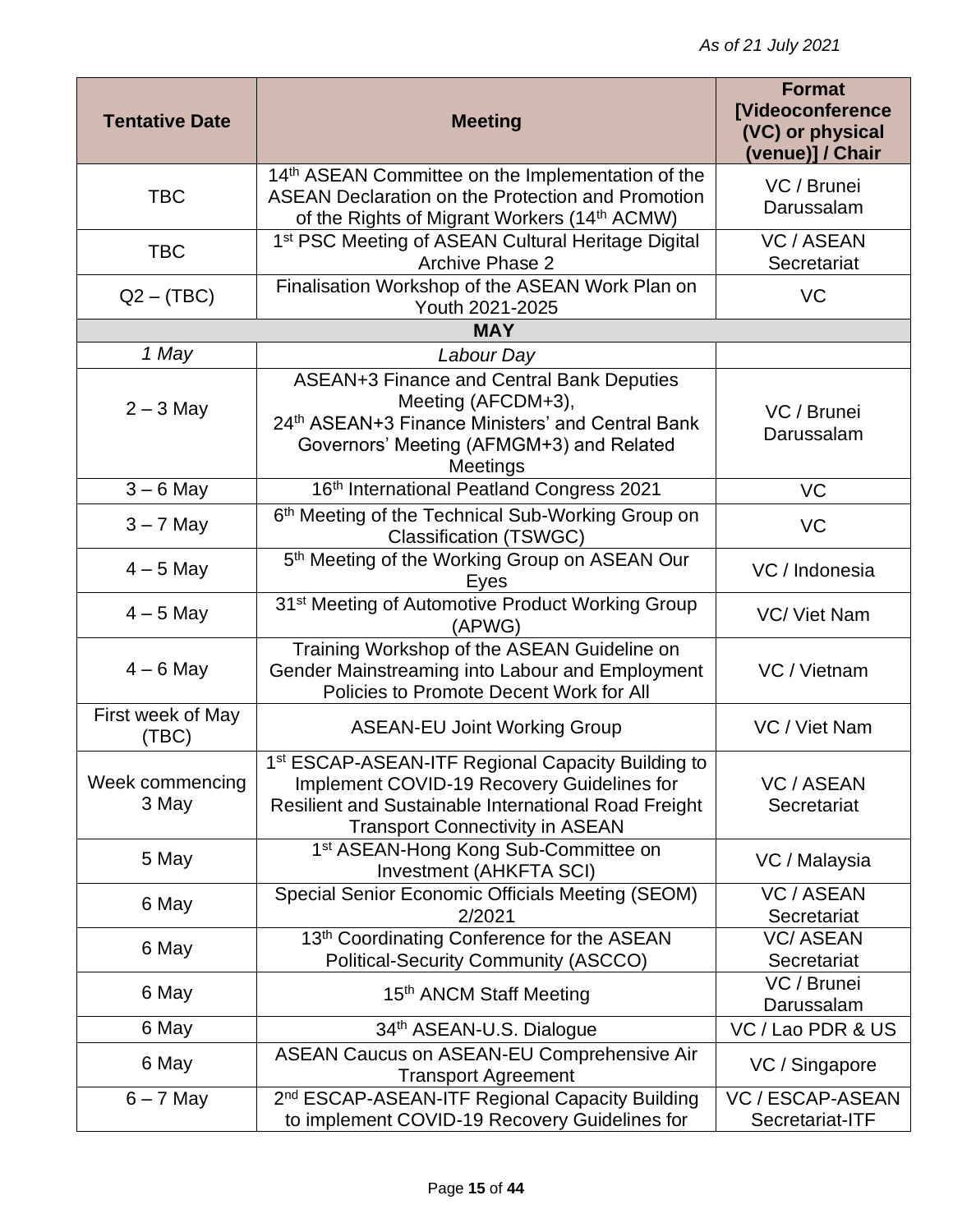| <b>Tentative Date</b>      | <b>Meeting</b>                                                                                                                                                                                                | <b>Format</b><br><b>[Videoconference</b><br>(VC) or physical<br>(venue)] / Chair |
|----------------------------|---------------------------------------------------------------------------------------------------------------------------------------------------------------------------------------------------------------|----------------------------------------------------------------------------------|
| <b>TBC</b>                 | 14 <sup>th</sup> ASEAN Committee on the Implementation of the<br><b>ASEAN Declaration on the Protection and Promotion</b><br>of the Rights of Migrant Workers (14 <sup>th</sup> ACMW)                         | VC / Brunei<br>Darussalam                                                        |
| <b>TBC</b>                 | 1 <sup>st</sup> PSC Meeting of ASEAN Cultural Heritage Digital<br><b>Archive Phase 2</b>                                                                                                                      | <b>VC / ASEAN</b><br>Secretariat                                                 |
| $Q2 - (TBC)$               | Finalisation Workshop of the ASEAN Work Plan on<br>Youth 2021-2025                                                                                                                                            | VC                                                                               |
|                            | <b>MAY</b>                                                                                                                                                                                                    |                                                                                  |
| 1 May                      | Labour Day                                                                                                                                                                                                    |                                                                                  |
| $2 - 3$ May                | <b>ASEAN+3 Finance and Central Bank Deputies</b><br>Meeting (AFCDM+3),<br>24th ASEAN+3 Finance Ministers' and Central Bank<br>Governors' Meeting (AFMGM+3) and Related<br>Meetings                            | VC / Brunei<br>Darussalam                                                        |
| $3 - 6$ May                | 16th International Peatland Congress 2021                                                                                                                                                                     | <b>VC</b>                                                                        |
| $3 - 7$ May                | 6th Meeting of the Technical Sub-Working Group on<br><b>Classification (TSWGC)</b>                                                                                                                            | <b>VC</b>                                                                        |
| $4 - 5$ May                | 5 <sup>th</sup> Meeting of the Working Group on ASEAN Our<br>Eyes                                                                                                                                             | VC / Indonesia                                                                   |
| $4 - 5$ May                | 31 <sup>st</sup> Meeting of Automotive Product Working Group<br>(APWG)                                                                                                                                        | VC/ Viet Nam                                                                     |
| $4 - 6$ May                | Training Workshop of the ASEAN Guideline on<br>Gender Mainstreaming into Labour and Employment<br>Policies to Promote Decent Work for All                                                                     | VC / Vietnam                                                                     |
| First week of May<br>(TBC) | <b>ASEAN-EU Joint Working Group</b>                                                                                                                                                                           | VC / Viet Nam                                                                    |
| Week commencing<br>3 May   | 1 <sup>st</sup> ESCAP-ASEAN-ITF Regional Capacity Building to<br>Implement COVID-19 Recovery Guidelines for<br>Resilient and Sustainable International Road Freight<br><b>Transport Connectivity in ASEAN</b> | <b>VC / ASEAN</b><br>Secretariat                                                 |
| 5 May                      | 1 <sup>st</sup> ASEAN-Hong Kong Sub-Committee on<br>Investment (AHKFTA SCI)                                                                                                                                   | VC / Malaysia                                                                    |
| 6 May                      | Special Senior Economic Officials Meeting (SEOM)<br>2/2021                                                                                                                                                    | <b>VC / ASEAN</b><br>Secretariat                                                 |
| 6 May                      | 13th Coordinating Conference for the ASEAN<br><b>Political-Security Community (ASCCO)</b>                                                                                                                     | <b>VC/ASEAN</b><br>Secretariat                                                   |
| 6 May                      | 15 <sup>th</sup> ANCM Staff Meeting                                                                                                                                                                           | VC / Brunei<br>Darussalam                                                        |
| 6 May                      | 34th ASEAN-U.S. Dialogue                                                                                                                                                                                      | VC / Lao PDR & US                                                                |
| 6 May                      | <b>ASEAN Caucus on ASEAN-EU Comprehensive Air</b><br><b>Transport Agreement</b>                                                                                                                               | VC / Singapore                                                                   |
| $6 - 7$ May                | 2 <sup>nd</sup> ESCAP-ASEAN-ITF Regional Capacity Building<br>to implement COVID-19 Recovery Guidelines for                                                                                                   | <b>VC / ESCAP-ASEAN</b><br>Secretariat-ITF                                       |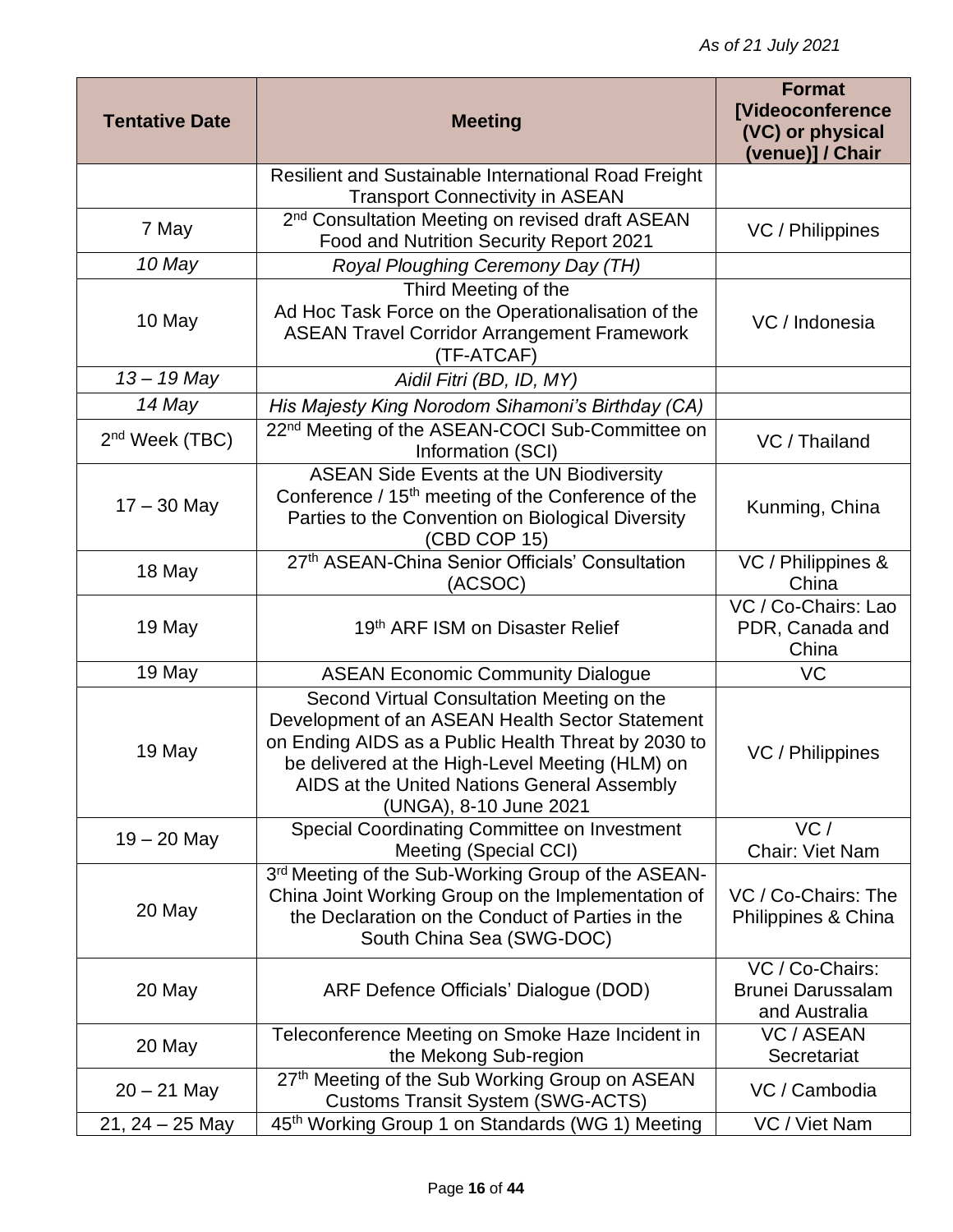| <b>Tentative Date</b> | <b>Meeting</b>                                                                                                                                                                                                                                                                   | <b>Format</b><br><b>[Videoconference</b><br>(VC) or physical<br>(venue)] / Chair |
|-----------------------|----------------------------------------------------------------------------------------------------------------------------------------------------------------------------------------------------------------------------------------------------------------------------------|----------------------------------------------------------------------------------|
|                       | Resilient and Sustainable International Road Freight<br><b>Transport Connectivity in ASEAN</b>                                                                                                                                                                                   |                                                                                  |
| 7 May                 | 2 <sup>nd</sup> Consultation Meeting on revised draft ASEAN<br>Food and Nutrition Security Report 2021                                                                                                                                                                           | VC / Philippines                                                                 |
| 10 May                | Royal Ploughing Ceremony Day (TH)                                                                                                                                                                                                                                                |                                                                                  |
| 10 May                | Third Meeting of the<br>Ad Hoc Task Force on the Operationalisation of the<br><b>ASEAN Travel Corridor Arrangement Framework</b><br>(TF-ATCAF)                                                                                                                                   | VC / Indonesia                                                                   |
| $13 - 19$ May         | Aidil Fitri (BD, ID, MY)                                                                                                                                                                                                                                                         |                                                                                  |
| 14 May                | His Majesty King Norodom Sihamoni's Birthday (CA)                                                                                                                                                                                                                                |                                                                                  |
| $2nd$ Week (TBC)      | 22 <sup>nd</sup> Meeting of the ASEAN-COCI Sub-Committee on<br>Information (SCI)                                                                                                                                                                                                 | VC / Thailand                                                                    |
| $17 - 30$ May         | <b>ASEAN Side Events at the UN Biodiversity</b><br>Conference / 15 <sup>th</sup> meeting of the Conference of the<br>Parties to the Convention on Biological Diversity<br>(CBD COP 15)                                                                                           | Kunming, China                                                                   |
| 18 May                | 27th ASEAN-China Senior Officials' Consultation<br>(ACSOC)                                                                                                                                                                                                                       | VC / Philippines &<br>China                                                      |
| 19 May                | 19th ARF ISM on Disaster Relief                                                                                                                                                                                                                                                  | VC / Co-Chairs: Lao<br>PDR, Canada and<br>China                                  |
| 19 May                | <b>ASEAN Economic Community Dialogue</b>                                                                                                                                                                                                                                         | <b>VC</b>                                                                        |
| 19 May                | Second Virtual Consultation Meeting on the<br>Development of an ASEAN Health Sector Statement<br>on Ending AIDS as a Public Health Threat by 2030 to<br>be delivered at the High-Level Meeting (HLM) on<br>AIDS at the United Nations General Assembly<br>(UNGA), 8-10 June 2021 | VC / Philippines                                                                 |
| $19 - 20$ May         | Special Coordinating Committee on Investment<br>Meeting (Special CCI)                                                                                                                                                                                                            | VC/<br>Chair: Viet Nam                                                           |
| 20 May                | 3rd Meeting of the Sub-Working Group of the ASEAN-<br>China Joint Working Group on the Implementation of<br>the Declaration on the Conduct of Parties in the<br>South China Sea (SWG-DOC)                                                                                        | VC / Co-Chairs: The<br>Philippines & China                                       |
| 20 May                | ARF Defence Officials' Dialogue (DOD)                                                                                                                                                                                                                                            | VC / Co-Chairs:<br><b>Brunei Darussalam</b><br>and Australia                     |
| 20 May                | Teleconference Meeting on Smoke Haze Incident in<br>the Mekong Sub-region                                                                                                                                                                                                        | <b>VC / ASEAN</b><br>Secretariat                                                 |
| $20 - 21$ May         | 27th Meeting of the Sub Working Group on ASEAN<br><b>Customs Transit System (SWG-ACTS)</b>                                                                                                                                                                                       | VC / Cambodia                                                                    |
| $21, 24 - 25$ May     | 45 <sup>th</sup> Working Group 1 on Standards (WG 1) Meeting                                                                                                                                                                                                                     | VC / Viet Nam                                                                    |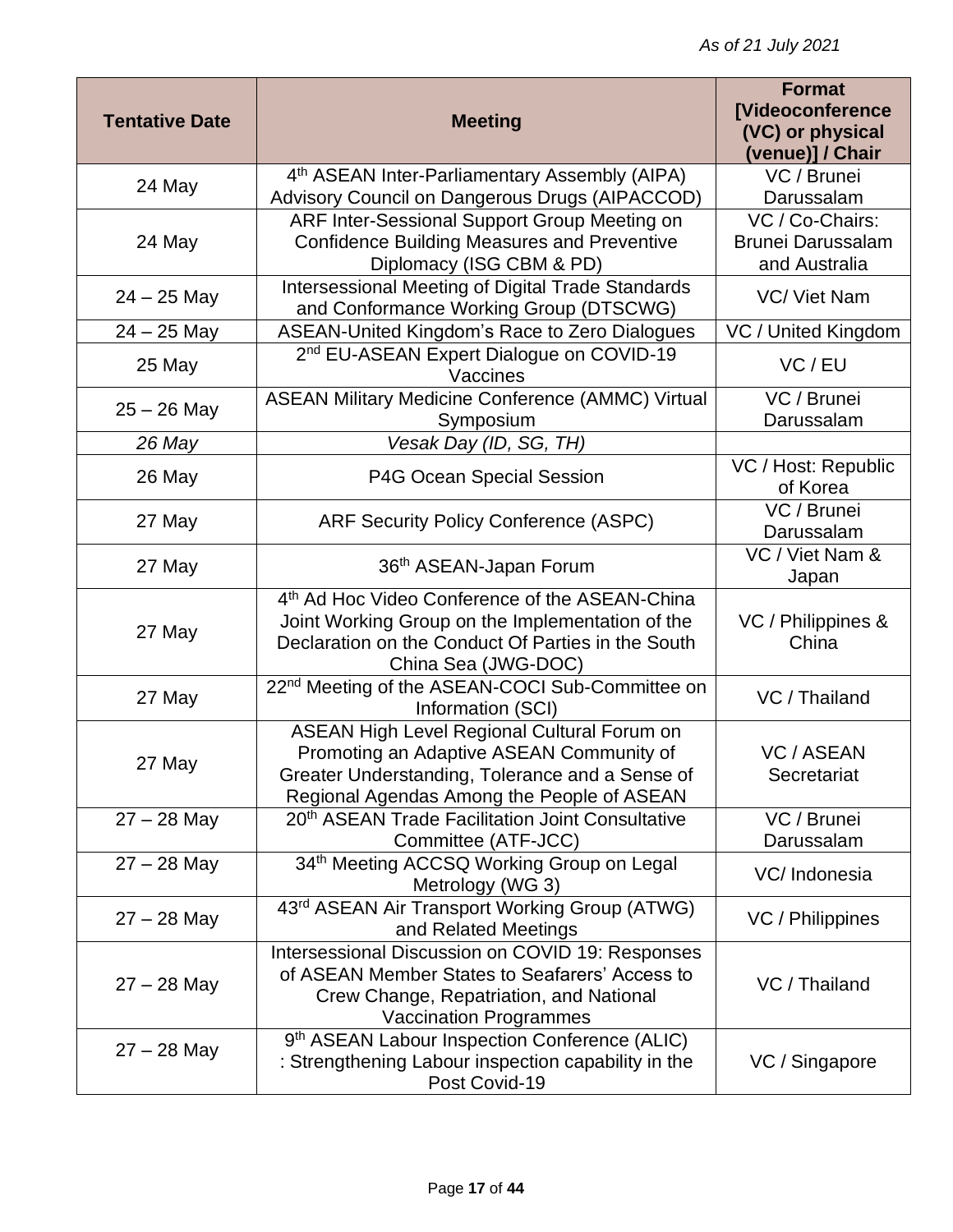| <b>Tentative Date</b> | <b>Meeting</b>                                                                                       | <b>Format</b><br><b>[Videoconference</b><br>(VC) or physical |
|-----------------------|------------------------------------------------------------------------------------------------------|--------------------------------------------------------------|
|                       |                                                                                                      | (venue)] / Chair                                             |
| 24 May                | 4th ASEAN Inter-Parliamentary Assembly (AIPA)                                                        | VC / Brunei                                                  |
|                       | Advisory Council on Dangerous Drugs (AIPACCOD)                                                       | Darussalam                                                   |
|                       | ARF Inter-Sessional Support Group Meeting on                                                         | VC / Co-Chairs:                                              |
| 24 May                | <b>Confidence Building Measures and Preventive</b><br>Diplomacy (ISG CBM & PD)                       | <b>Brunei Darussalam</b><br>and Australia                    |
|                       | <b>Intersessional Meeting of Digital Trade Standards</b>                                             |                                                              |
| $24 - 25$ May         | and Conformance Working Group (DTSCWG)                                                               | VC/ Viet Nam                                                 |
| $24 - 25$ May         | ASEAN-United Kingdom's Race to Zero Dialogues                                                        | VC / United Kingdom                                          |
| 25 May                | 2 <sup>nd</sup> EU-ASEAN Expert Dialogue on COVID-19<br>Vaccines                                     | VC / EU                                                      |
| $25 - 26$ May         | <b>ASEAN Military Medicine Conference (AMMC) Virtual</b><br>Symposium                                | VC / Brunei<br>Darussalam                                    |
| 26 May                | Vesak Day (ID, SG, TH)                                                                               |                                                              |
| 26 May                | P4G Ocean Special Session                                                                            | VC / Host: Republic<br>of Korea                              |
| 27 May                | <b>ARF Security Policy Conference (ASPC)</b>                                                         | VC / Brunei<br>Darussalam                                    |
| 27 May                | 36th ASEAN-Japan Forum                                                                               | VC / Viet Nam &<br>Japan                                     |
|                       | 4 <sup>th</sup> Ad Hoc Video Conference of the ASEAN-China                                           |                                                              |
| 27 May                | Joint Working Group on the Implementation of the                                                     | VC / Philippines &                                           |
|                       | Declaration on the Conduct Of Parties in the South<br>China Sea (JWG-DOC)                            | China                                                        |
|                       | 22 <sup>nd</sup> Meeting of the ASEAN-COCI Sub-Committee on                                          |                                                              |
| 27 May                | Information (SCI)                                                                                    | VC / Thailand                                                |
|                       | ASEAN High Level Regional Cultural Forum on                                                          |                                                              |
| 27 May                | Promoting an Adaptive ASEAN Community of                                                             | <b>VC / ASEAN</b><br>Secretariat                             |
|                       | Greater Understanding, Tolerance and a Sense of<br>Regional Agendas Among the People of ASEAN        |                                                              |
| $27 - 28$ May         | 20 <sup>th</sup> ASEAN Trade Facilitation Joint Consultative                                         | VC / Brunei                                                  |
|                       | Committee (ATF-JCC)                                                                                  | Darussalam                                                   |
| $27 - 28$ May         | 34th Meeting ACCSQ Working Group on Legal<br>Metrology (WG 3)                                        | VC/Indonesia                                                 |
| $27 - 28$ May         | 43rd ASEAN Air Transport Working Group (ATWG)<br>and Related Meetings                                | VC / Philippines                                             |
|                       | Intersessional Discussion on COVID 19: Responses<br>of ASEAN Member States to Seafarers' Access to   |                                                              |
| $27 - 28$ May         | Crew Change, Repatriation, and National                                                              | VC / Thailand                                                |
|                       | <b>Vaccination Programmes</b>                                                                        |                                                              |
| $27 - 28$ May         | 9th ASEAN Labour Inspection Conference (ALIC)<br>: Strengthening Labour inspection capability in the | VC / Singapore                                               |
|                       | Post Covid-19                                                                                        |                                                              |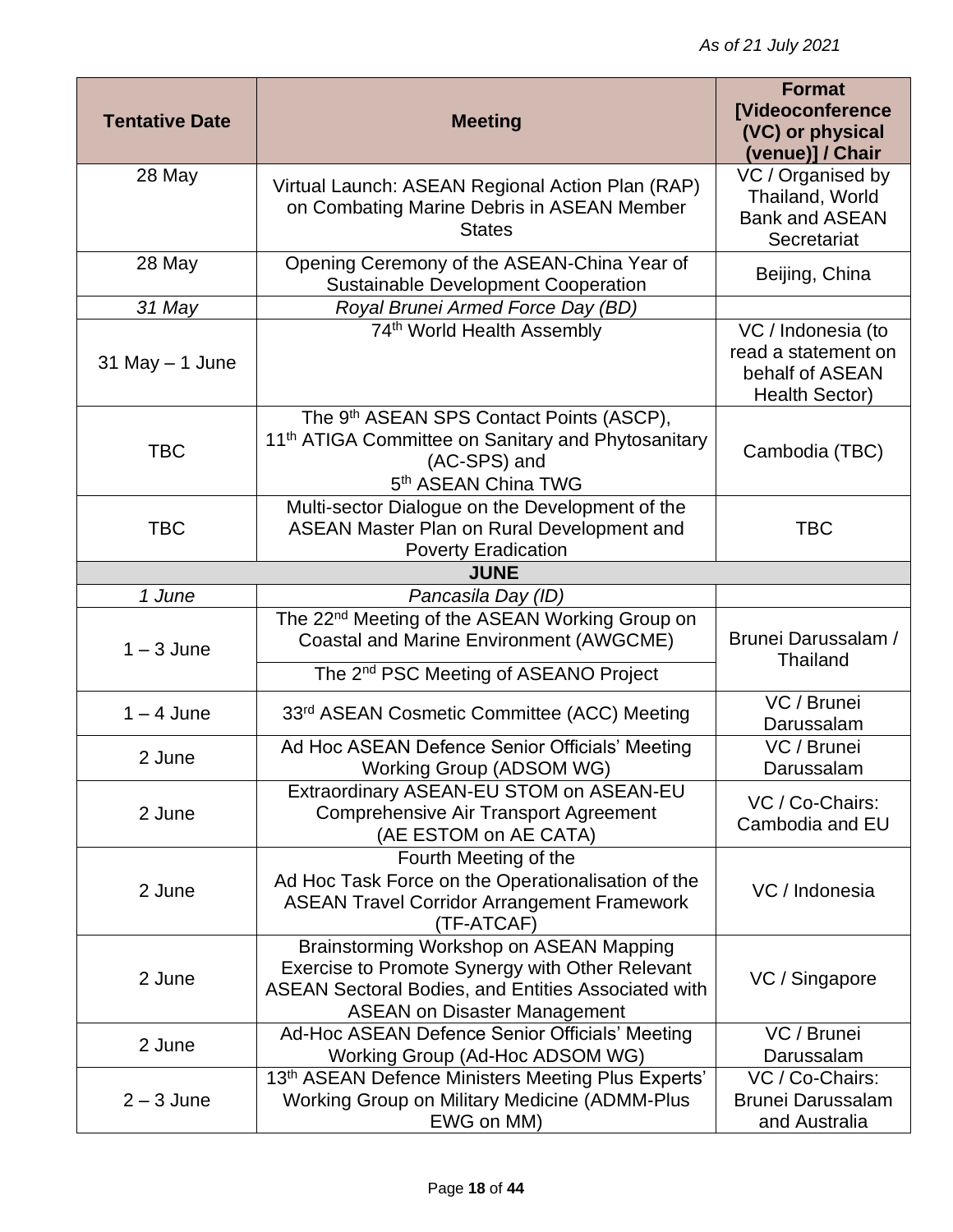| <b>Tentative Date</b> | <b>Meeting</b>                                                                                                                                                                                  | <b>Format</b><br><b>[Videoconference</b><br>(VC) or physical<br>(venue)] / Chair      |
|-----------------------|-------------------------------------------------------------------------------------------------------------------------------------------------------------------------------------------------|---------------------------------------------------------------------------------------|
| 28 May                | Virtual Launch: ASEAN Regional Action Plan (RAP)<br>on Combating Marine Debris in ASEAN Member<br><b>States</b>                                                                                 | VC / Organised by<br>Thailand, World<br><b>Bank and ASEAN</b><br>Secretariat          |
| 28 May                | Opening Ceremony of the ASEAN-China Year of<br><b>Sustainable Development Cooperation</b>                                                                                                       | Beijing, China                                                                        |
| 31 May                | Royal Brunei Armed Force Day (BD)                                                                                                                                                               |                                                                                       |
| $31$ May $-1$ June    | 74 <sup>th</sup> World Health Assembly                                                                                                                                                          | VC / Indonesia (to<br>read a statement on<br>behalf of ASEAN<br><b>Health Sector)</b> |
| <b>TBC</b>            | The 9 <sup>th</sup> ASEAN SPS Contact Points (ASCP),<br>11 <sup>th</sup> ATIGA Committee on Sanitary and Phytosanitary<br>(AC-SPS) and<br>5 <sup>th</sup> ASEAN China TWG                       | Cambodia (TBC)                                                                        |
| <b>TBC</b>            | Multi-sector Dialogue on the Development of the<br>ASEAN Master Plan on Rural Development and<br><b>Poverty Eradication</b>                                                                     | <b>TBC</b>                                                                            |
|                       | <b>JUNE</b>                                                                                                                                                                                     |                                                                                       |
| 1 June                | Pancasila Day (ID)                                                                                                                                                                              |                                                                                       |
| $1 - 3$ June          | The 22 <sup>nd</sup> Meeting of the ASEAN Working Group on<br><b>Coastal and Marine Environment (AWGCME)</b><br>The 2 <sup>nd</sup> PSC Meeting of ASEANO Project                               | Brunei Darussalam /<br><b>Thailand</b>                                                |
| $1 - 4$ June          | 33rd ASEAN Cosmetic Committee (ACC) Meeting                                                                                                                                                     | VC / Brunei<br>Darussalam                                                             |
| 2 June                | Ad Hoc ASEAN Defence Senior Officials' Meeting<br>Working Group (ADSOM WG)                                                                                                                      | VC / Brunei<br>Darussalam                                                             |
| 2 June                | Extraordinary ASEAN-EU STOM on ASEAN-EU<br><b>Comprehensive Air Transport Agreement</b><br>(AE ESTOM on AE CATA)                                                                                | VC / Co-Chairs:<br>Cambodia and EU                                                    |
| 2 June                | Fourth Meeting of the<br>Ad Hoc Task Force on the Operationalisation of the<br><b>ASEAN Travel Corridor Arrangement Framework</b><br>(TF-ATCAF)                                                 | VC / Indonesia                                                                        |
| 2 June                | Brainstorming Workshop on ASEAN Mapping<br>Exercise to Promote Synergy with Other Relevant<br><b>ASEAN Sectoral Bodies, and Entities Associated with</b><br><b>ASEAN on Disaster Management</b> | VC / Singapore                                                                        |
| 2 June                | Ad-Hoc ASEAN Defence Senior Officials' Meeting<br>Working Group (Ad-Hoc ADSOM WG)                                                                                                               | VC / Brunei<br>Darussalam                                                             |
| $2 - 3$ June          | 13th ASEAN Defence Ministers Meeting Plus Experts'<br><b>Working Group on Military Medicine (ADMM-Plus</b><br>EWG on MM)                                                                        | VC / Co-Chairs:<br><b>Brunei Darussalam</b><br>and Australia                          |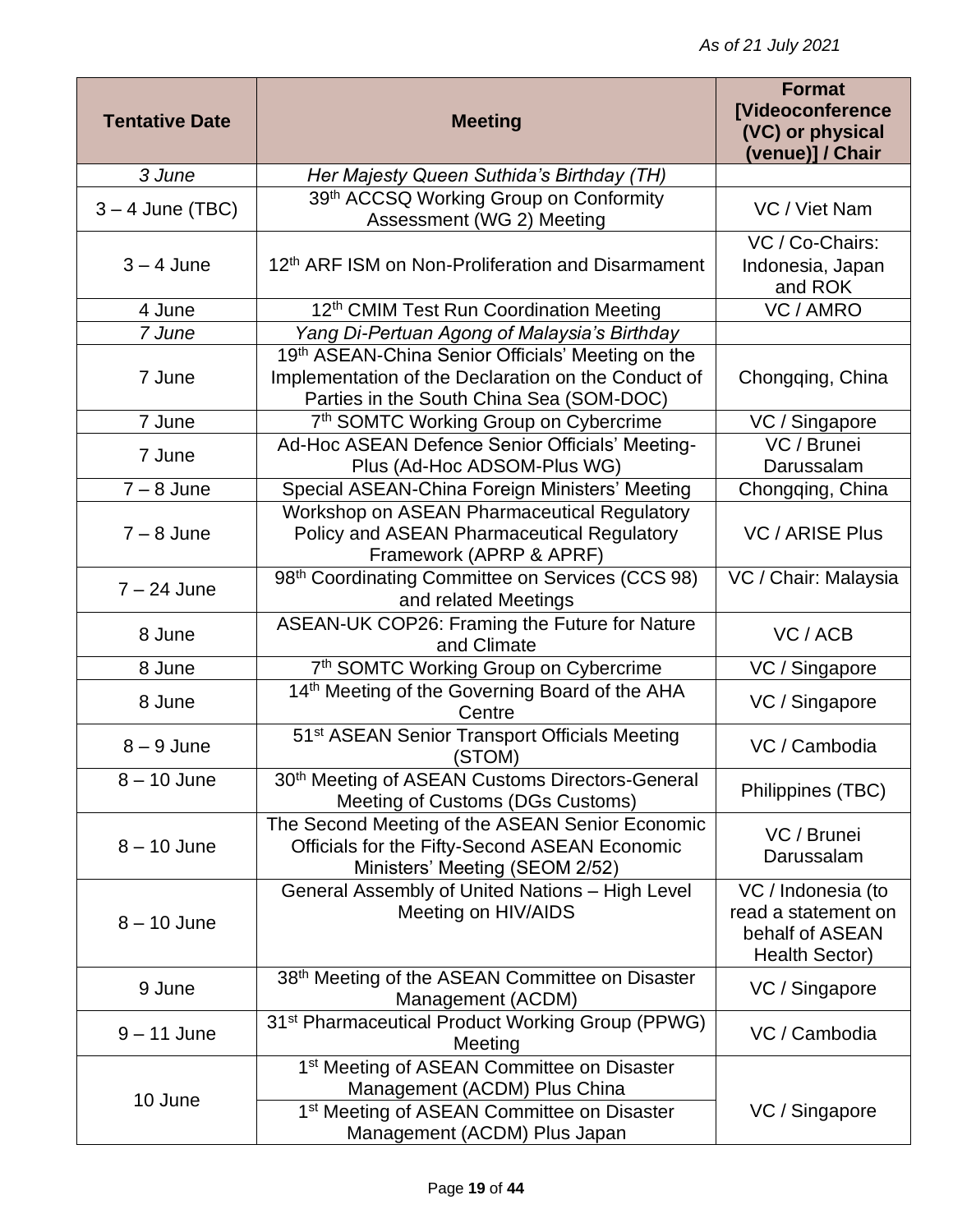| <b>Tentative Date</b> | <b>Meeting</b>                                                                                                                                                                   | <b>Format</b><br><b>[Videoconference</b><br>(VC) or physical<br>(venue)] / Chair |
|-----------------------|----------------------------------------------------------------------------------------------------------------------------------------------------------------------------------|----------------------------------------------------------------------------------|
| 3 June                | Her Majesty Queen Suthida's Birthday (TH)                                                                                                                                        |                                                                                  |
| $3 - 4$ June (TBC)    | 39th ACCSQ Working Group on Conformity<br>Assessment (WG 2) Meeting                                                                                                              | VC / Viet Nam                                                                    |
|                       |                                                                                                                                                                                  | VC / Co-Chairs:                                                                  |
| $3 - 4$ June          | 12 <sup>th</sup> ARF ISM on Non-Proliferation and Disarmament                                                                                                                    | Indonesia, Japan<br>and ROK                                                      |
| 4 June                | 12 <sup>th</sup> CMIM Test Run Coordination Meeting                                                                                                                              | VC / AMRO                                                                        |
| 7 June                | Yang Di-Pertuan Agong of Malaysia's Birthday                                                                                                                                     |                                                                                  |
| 7 June                | 19th ASEAN-China Senior Officials' Meeting on the<br>Implementation of the Declaration on the Conduct of<br>Parties in the South China Sea (SOM-DOC)                             | Chongqing, China                                                                 |
| 7 June                | 7th SOMTC Working Group on Cybercrime                                                                                                                                            | VC / Singapore                                                                   |
| 7 June                | Ad-Hoc ASEAN Defence Senior Officials' Meeting-<br>Plus (Ad-Hoc ADSOM-Plus WG)                                                                                                   | VC / Brunei<br>Darussalam                                                        |
| $7 - 8$ June          | Special ASEAN-China Foreign Ministers' Meeting                                                                                                                                   | Chongqing, China                                                                 |
| $7 - 8$ June          | Workshop on ASEAN Pharmaceutical Regulatory<br>Policy and ASEAN Pharmaceutical Regulatory<br>Framework (APRP & APRF)                                                             | <b>VC / ARISE Plus</b>                                                           |
| $7 - 24$ June         | 98th Coordinating Committee on Services (CCS 98)<br>and related Meetings                                                                                                         | VC / Chair: Malaysia                                                             |
| 8 June                | ASEAN-UK COP26: Framing the Future for Nature<br>and Climate                                                                                                                     | VC / ACB                                                                         |
| 8 June                | 7th SOMTC Working Group on Cybercrime                                                                                                                                            | VC / Singapore                                                                   |
| 8 June                | 14th Meeting of the Governing Board of the AHA<br>Centre                                                                                                                         | VC / Singapore                                                                   |
| $8 - 9$ June          | 51 <sup>st</sup> ASEAN Senior Transport Officials Meeting<br>(STOM)                                                                                                              | VC / Cambodia                                                                    |
| $8 - 10$ June         | 30 <sup>th</sup> Meeting of ASEAN Customs Directors-General<br>Meeting of Customs (DGs Customs)                                                                                  | Philippines (TBC)                                                                |
| $8 - 10$ June         | The Second Meeting of the ASEAN Senior Economic<br>Officials for the Fifty-Second ASEAN Economic<br>Ministers' Meeting (SEOM 2/52)                                               | VC / Brunei<br>Darussalam                                                        |
| $8 - 10$ June         | General Assembly of United Nations - High Level<br>Meeting on HIV/AIDS                                                                                                           | VC / Indonesia (to<br>read a statement on<br>behalf of ASEAN<br>Health Sector)   |
| 9 June                | 38 <sup>th</sup> Meeting of the ASEAN Committee on Disaster<br>Management (ACDM)                                                                                                 | VC / Singapore                                                                   |
| $9 - 11$ June         | 31 <sup>st</sup> Pharmaceutical Product Working Group (PPWG)<br>Meeting                                                                                                          | VC / Cambodia                                                                    |
| 10 June               | 1 <sup>st</sup> Meeting of ASEAN Committee on Disaster<br>Management (ACDM) Plus China<br>1 <sup>st</sup> Meeting of ASEAN Committee on Disaster<br>Management (ACDM) Plus Japan | VC / Singapore                                                                   |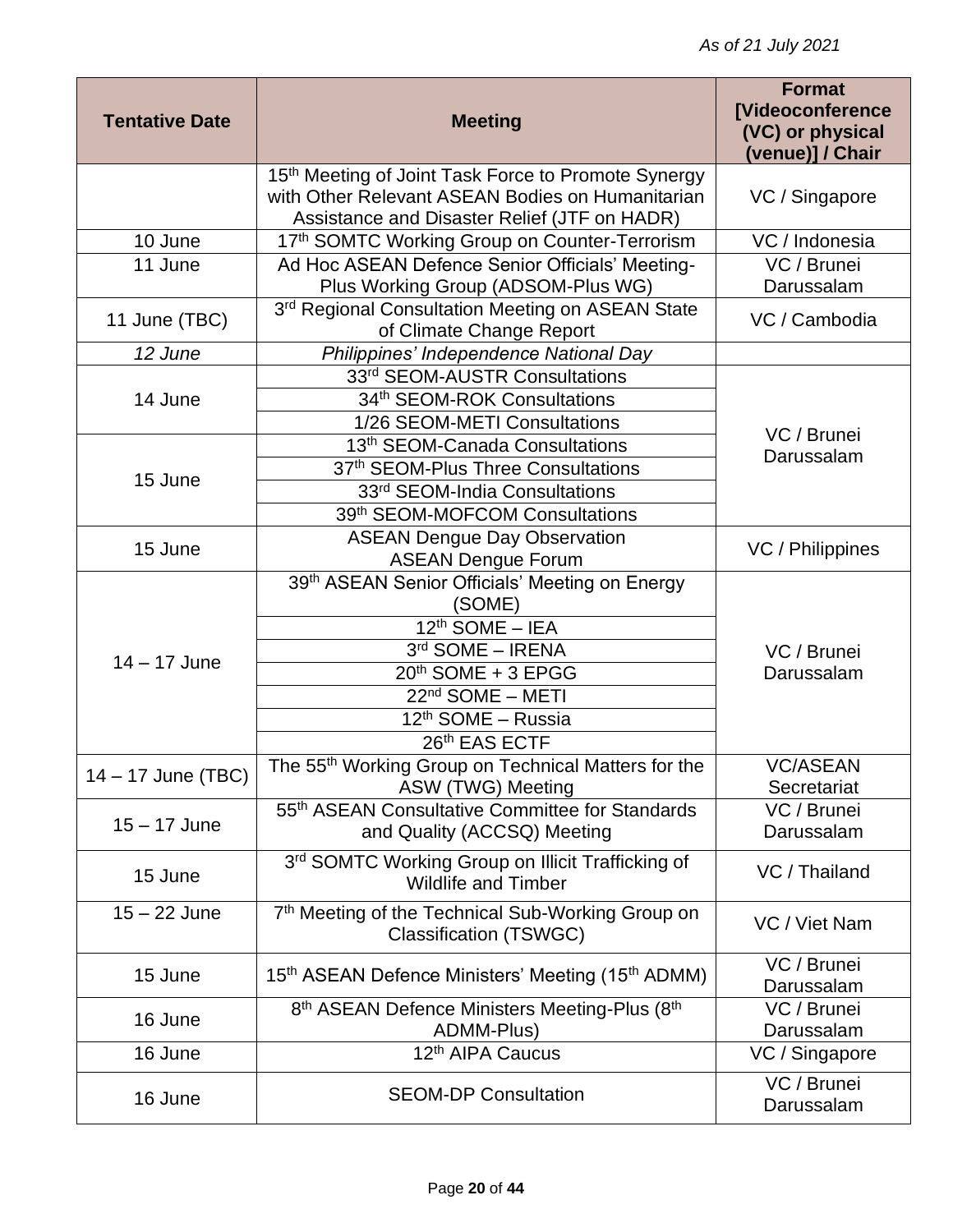| <b>Tentative Date</b> | <b>Meeting</b>                                                                                                                                          | <b>Format</b><br><b>[Videoconference</b><br>(VC) or physical |
|-----------------------|---------------------------------------------------------------------------------------------------------------------------------------------------------|--------------------------------------------------------------|
|                       |                                                                                                                                                         | (venue)] / Chair                                             |
|                       | 15th Meeting of Joint Task Force to Promote Synergy<br>with Other Relevant ASEAN Bodies on Humanitarian<br>Assistance and Disaster Relief (JTF on HADR) | VC / Singapore                                               |
| 10 June               | 17th SOMTC Working Group on Counter-Terrorism                                                                                                           | VC / Indonesia                                               |
| 11 June               | Ad Hoc ASEAN Defence Senior Officials' Meeting-<br>Plus Working Group (ADSOM-Plus WG)                                                                   | VC / Brunei<br>Darussalam                                    |
| 11 June (TBC)         | 3rd Regional Consultation Meeting on ASEAN State<br>of Climate Change Report                                                                            | VC / Cambodia                                                |
| 12 June               | Philippines' Independence National Day                                                                                                                  |                                                              |
|                       | 33rd SEOM-AUSTR Consultations                                                                                                                           |                                                              |
| 14 June               | 34th SEOM-ROK Consultations                                                                                                                             |                                                              |
|                       | 1/26 SEOM-METI Consultations                                                                                                                            | VC / Brunei                                                  |
|                       | 13 <sup>th</sup> SEOM-Canada Consultations                                                                                                              | Darussalam                                                   |
| 15 June               | 37th SEOM-Plus Three Consultations                                                                                                                      |                                                              |
|                       | 33rd SEOM-India Consultations                                                                                                                           |                                                              |
|                       | 39th SEOM-MOFCOM Consultations                                                                                                                          |                                                              |
| 15 June               | <b>ASEAN Dengue Day Observation</b><br><b>ASEAN Dengue Forum</b>                                                                                        | VC / Philippines                                             |
|                       | 39th ASEAN Senior Officials' Meeting on Energy<br>(SOME)                                                                                                |                                                              |
|                       | $\overline{12^{th}}$ SOME - IEA                                                                                                                         |                                                              |
|                       | 3rd SOME - IRENA                                                                                                                                        | VC / Brunei                                                  |
| $14 - 17$ June        | 20th SOME + 3 EPGG                                                                                                                                      | Darussalam                                                   |
|                       | 22 <sup>nd</sup> SOME - METI                                                                                                                            |                                                              |
|                       | 12 <sup>th</sup> SOME - Russia                                                                                                                          |                                                              |
|                       | 26th EAS ECTF                                                                                                                                           |                                                              |
| 14 - 17 June (TBC)    | The 55 <sup>th</sup> Working Group on Technical Matters for the                                                                                         | <b>VC/ASEAN</b>                                              |
|                       | ASW (TWG) Meeting<br>55 <sup>th</sup> ASEAN Consultative Committee for Standards                                                                        | Secretariat<br>VC / Brunei                                   |
| $15 - 17$ June        | and Quality (ACCSQ) Meeting                                                                                                                             | Darussalam                                                   |
| 15 June               | 3rd SOMTC Working Group on Illicit Trafficking of<br><b>Wildlife and Timber</b>                                                                         | VC / Thailand                                                |
| $15 - 22$ June        | 7th Meeting of the Technical Sub-Working Group on<br><b>Classification (TSWGC)</b>                                                                      | VC / Viet Nam                                                |
| 15 June               | 15 <sup>th</sup> ASEAN Defence Ministers' Meeting (15 <sup>th</sup> ADMM)                                                                               | VC / Brunei<br>Darussalam                                    |
| 16 June               | 8th ASEAN Defence Ministers Meeting-Plus (8th<br>ADMM-Plus)                                                                                             | $\overline{VC}$ / Brunei<br>Darussalam                       |
| 16 June               | 12th AIPA Caucus                                                                                                                                        | $\overline{VC}$ / Singapore                                  |
| 16 June               | <b>SEOM-DP Consultation</b>                                                                                                                             | VC / Brunei<br>Darussalam                                    |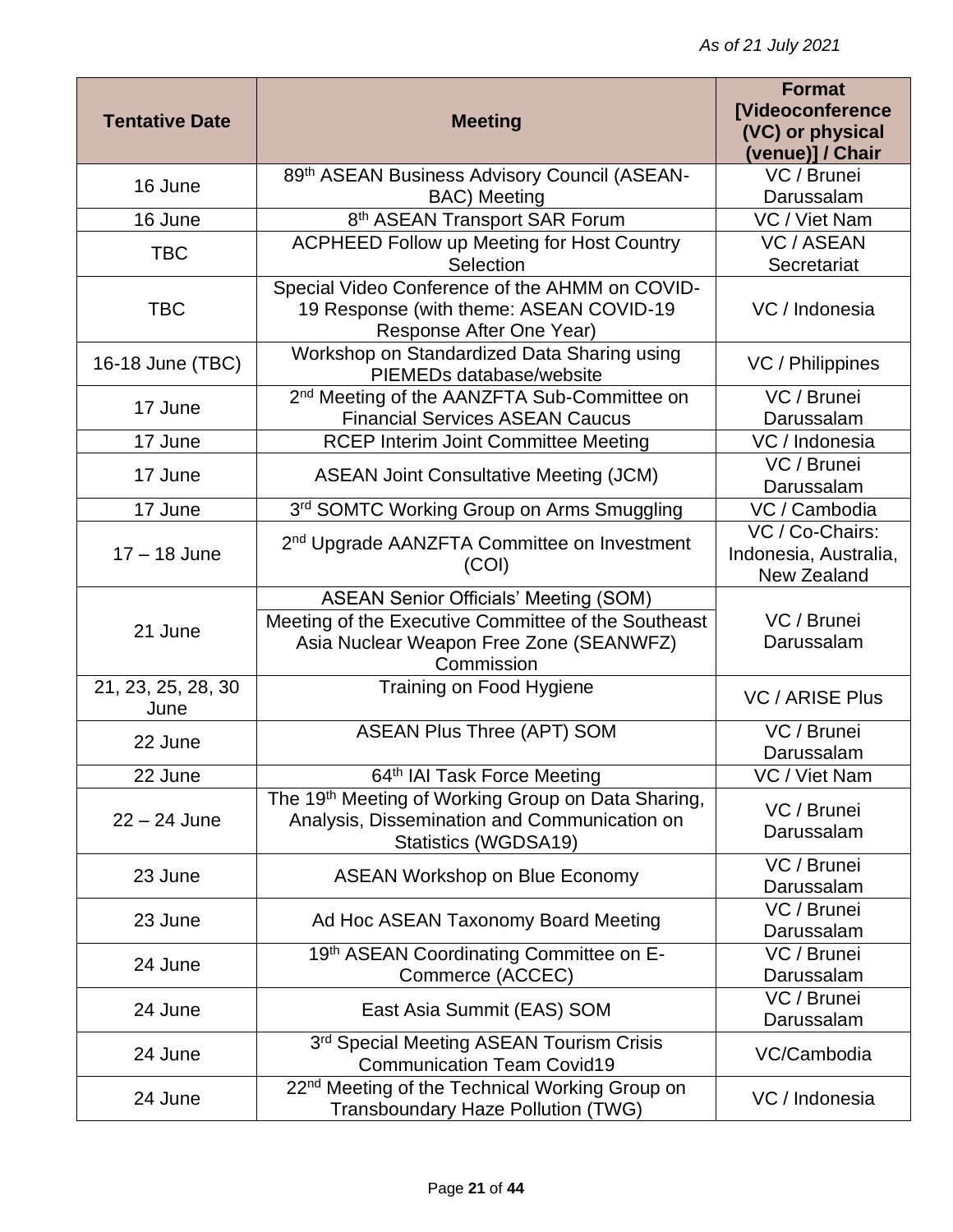| <b>Tentative Date</b>      | <b>Meeting</b>                                                                                                             | <b>Format</b><br><b>[Videoconference</b><br>(VC) or physical<br>(venue)] / Chair |
|----------------------------|----------------------------------------------------------------------------------------------------------------------------|----------------------------------------------------------------------------------|
| 16 June                    | 89th ASEAN Business Advisory Council (ASEAN-                                                                               | VC / Brunei                                                                      |
|                            | <b>BAC)</b> Meeting                                                                                                        | Darussalam                                                                       |
| 16 June                    | 8 <sup>th</sup> ASEAN Transport SAR Forum                                                                                  | VC / Viet Nam                                                                    |
| <b>TBC</b>                 | <b>ACPHEED Follow up Meeting for Host Country</b>                                                                          | <b>VC / ASEAN</b>                                                                |
|                            | Selection                                                                                                                  | Secretariat                                                                      |
| <b>TBC</b>                 | Special Video Conference of the AHMM on COVID-<br>19 Response (with theme: ASEAN COVID-19<br>Response After One Year)      | VC / Indonesia                                                                   |
| 16-18 June (TBC)           | Workshop on Standardized Data Sharing using<br>PIEMEDs database/website                                                    | VC / Philippines                                                                 |
| 17 June                    | 2 <sup>nd</sup> Meeting of the AANZFTA Sub-Committee on                                                                    | VC / Brunei                                                                      |
|                            | <b>Financial Services ASEAN Caucus</b>                                                                                     | Darussalam                                                                       |
| 17 June                    | <b>RCEP Interim Joint Committee Meeting</b>                                                                                | VC / Indonesia                                                                   |
| 17 June                    | <b>ASEAN Joint Consultative Meeting (JCM)</b>                                                                              | VC / Brunei<br>Darussalam                                                        |
| 17 June                    | 3rd SOMTC Working Group on Arms Smuggling                                                                                  | VC / Cambodia                                                                    |
| $17 - 18$ June             | 2 <sup>nd</sup> Upgrade AANZFTA Committee on Investment<br>(COI)                                                           | VC / Co-Chairs:<br>Indonesia, Australia,<br>New Zealand                          |
|                            | <b>ASEAN Senior Officials' Meeting (SOM)</b>                                                                               |                                                                                  |
| 21 June                    | Meeting of the Executive Committee of the Southeast<br>Asia Nuclear Weapon Free Zone (SEANWFZ)<br>Commission               | VC / Brunei<br>Darussalam                                                        |
| 21, 23, 25, 28, 30<br>June | Training on Food Hygiene                                                                                                   | <b>VC / ARISE Plus</b>                                                           |
| 22 June                    | <b>ASEAN Plus Three (APT) SOM</b>                                                                                          | VC / Brunei<br>Darussalam                                                        |
| 22 June                    | 64th IAI Task Force Meeting                                                                                                | VC / Viet Nam                                                                    |
| $22 - 24$ June             | The 19th Meeting of Working Group on Data Sharing,<br>Analysis, Dissemination and Communication on<br>Statistics (WGDSA19) | VC / Brunei<br>Darussalam                                                        |
| 23 June                    | <b>ASEAN Workshop on Blue Economy</b>                                                                                      | VC / Brunei<br>Darussalam                                                        |
| 23 June                    | Ad Hoc ASEAN Taxonomy Board Meeting                                                                                        | $\overline{VC}$ / Brunei<br>Darussalam                                           |
| 24 June                    | 19th ASEAN Coordinating Committee on E-<br>Commerce (ACCEC)                                                                | VC / Brunei<br>Darussalam                                                        |
| 24 June                    | East Asia Summit (EAS) SOM                                                                                                 | VC / Brunei<br>Darussalam                                                        |
| 24 June                    | 3rd Special Meeting ASEAN Tourism Crisis<br><b>Communication Team Covid19</b>                                              | VC/Cambodia                                                                      |
| 24 June                    | 22 <sup>nd</sup> Meeting of the Technical Working Group on<br>Transboundary Haze Pollution (TWG)                           | VC / Indonesia                                                                   |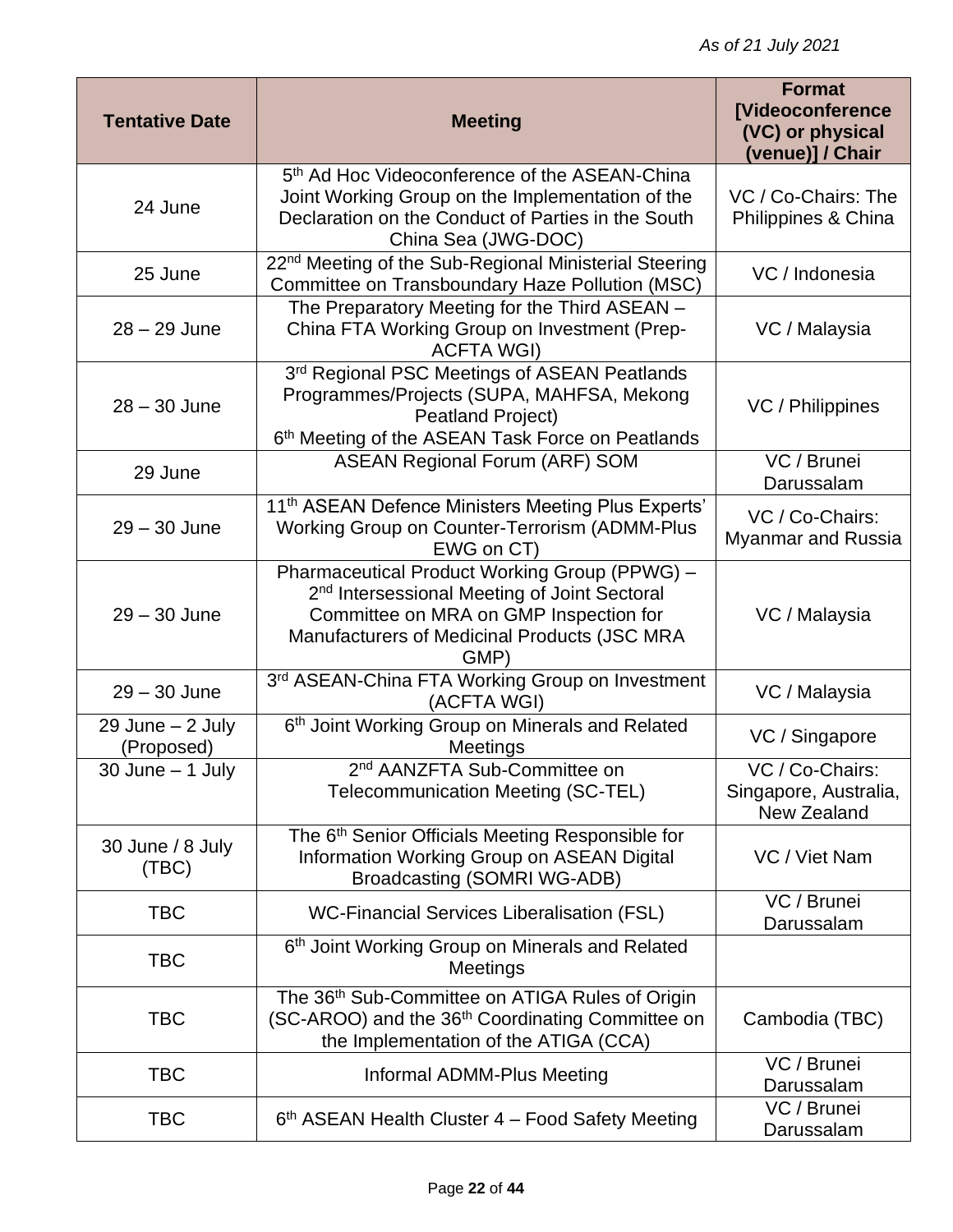| <b>Tentative Date</b>              | <b>Meeting</b>                                                                                                                                                                                              | <b>Format</b><br><b>[Videoconference</b><br>(VC) or physical<br>(venue)] / Chair |
|------------------------------------|-------------------------------------------------------------------------------------------------------------------------------------------------------------------------------------------------------------|----------------------------------------------------------------------------------|
| 24 June                            | 5 <sup>th</sup> Ad Hoc Videoconference of the ASEAN-China<br>Joint Working Group on the Implementation of the<br>Declaration on the Conduct of Parties in the South<br>China Sea (JWG-DOC)                  | VC / Co-Chairs: The<br>Philippines & China                                       |
| 25 June                            | 22 <sup>nd</sup> Meeting of the Sub-Regional Ministerial Steering<br>Committee on Transboundary Haze Pollution (MSC)                                                                                        | VC / Indonesia                                                                   |
| $28 - 29$ June                     | The Preparatory Meeting for the Third ASEAN -<br>China FTA Working Group on Investment (Prep-<br><b>ACFTA WGI)</b>                                                                                          | VC / Malaysia                                                                    |
| $28 - 30$ June                     | 3rd Regional PSC Meetings of ASEAN Peatlands<br>Programmes/Projects (SUPA, MAHFSA, Mekong<br><b>Peatland Project)</b><br>6th Meeting of the ASEAN Task Force on Peatlands                                   | VC / Philippines                                                                 |
| 29 June                            | <b>ASEAN Regional Forum (ARF) SOM</b>                                                                                                                                                                       | VC / Brunei<br>Darussalam                                                        |
| $29 - 30$ June                     | 11 <sup>th</sup> ASEAN Defence Ministers Meeting Plus Experts'<br>Working Group on Counter-Terrorism (ADMM-Plus<br>EWG on CT)                                                                               | VC / Co-Chairs:<br><b>Myanmar and Russia</b>                                     |
| $29 - 30$ June                     | Pharmaceutical Product Working Group (PPWG) -<br>2 <sup>nd</sup> Intersessional Meeting of Joint Sectoral<br>Committee on MRA on GMP Inspection for<br>Manufacturers of Medicinal Products (JSC MRA<br>GMP) | VC / Malaysia                                                                    |
| $29 - 30$ June                     | 3rd ASEAN-China FTA Working Group on Investment<br>(ACFTA WGI)                                                                                                                                              | VC / Malaysia                                                                    |
| $29$ June $- 2$ July<br>(Proposed) | 6th Joint Working Group on Minerals and Related<br>Meetings                                                                                                                                                 | VC / Singapore                                                                   |
| $30$ June $-$ 1 July               | 2 <sup>nd</sup> AANZFTA Sub-Committee on<br><b>Telecommunication Meeting (SC-TEL)</b>                                                                                                                       | VC / Co-Chairs:<br>Singapore, Australia,<br><b>New Zealand</b>                   |
| 30 June / 8 July<br>(TBC)          | The 6 <sup>th</sup> Senior Officials Meeting Responsible for<br>Information Working Group on ASEAN Digital<br>Broadcasting (SOMRI WG-ADB)                                                                   | VC / Viet Nam                                                                    |
| <b>TBC</b>                         | <b>WC-Financial Services Liberalisation (FSL)</b>                                                                                                                                                           | VC / Brunei<br>Darussalam                                                        |
| <b>TBC</b>                         | 6th Joint Working Group on Minerals and Related<br><b>Meetings</b>                                                                                                                                          |                                                                                  |
| <b>TBC</b>                         | The 36 <sup>th</sup> Sub-Committee on ATIGA Rules of Origin<br>(SC-AROO) and the 36 <sup>th</sup> Coordinating Committee on<br>the Implementation of the ATIGA (CCA)                                        | Cambodia (TBC)                                                                   |
| <b>TBC</b>                         | Informal ADMM-Plus Meeting                                                                                                                                                                                  | VC / Brunei<br>Darussalam                                                        |
| <b>TBC</b>                         | 6th ASEAN Health Cluster 4 - Food Safety Meeting                                                                                                                                                            | VC / Brunei<br>Darussalam                                                        |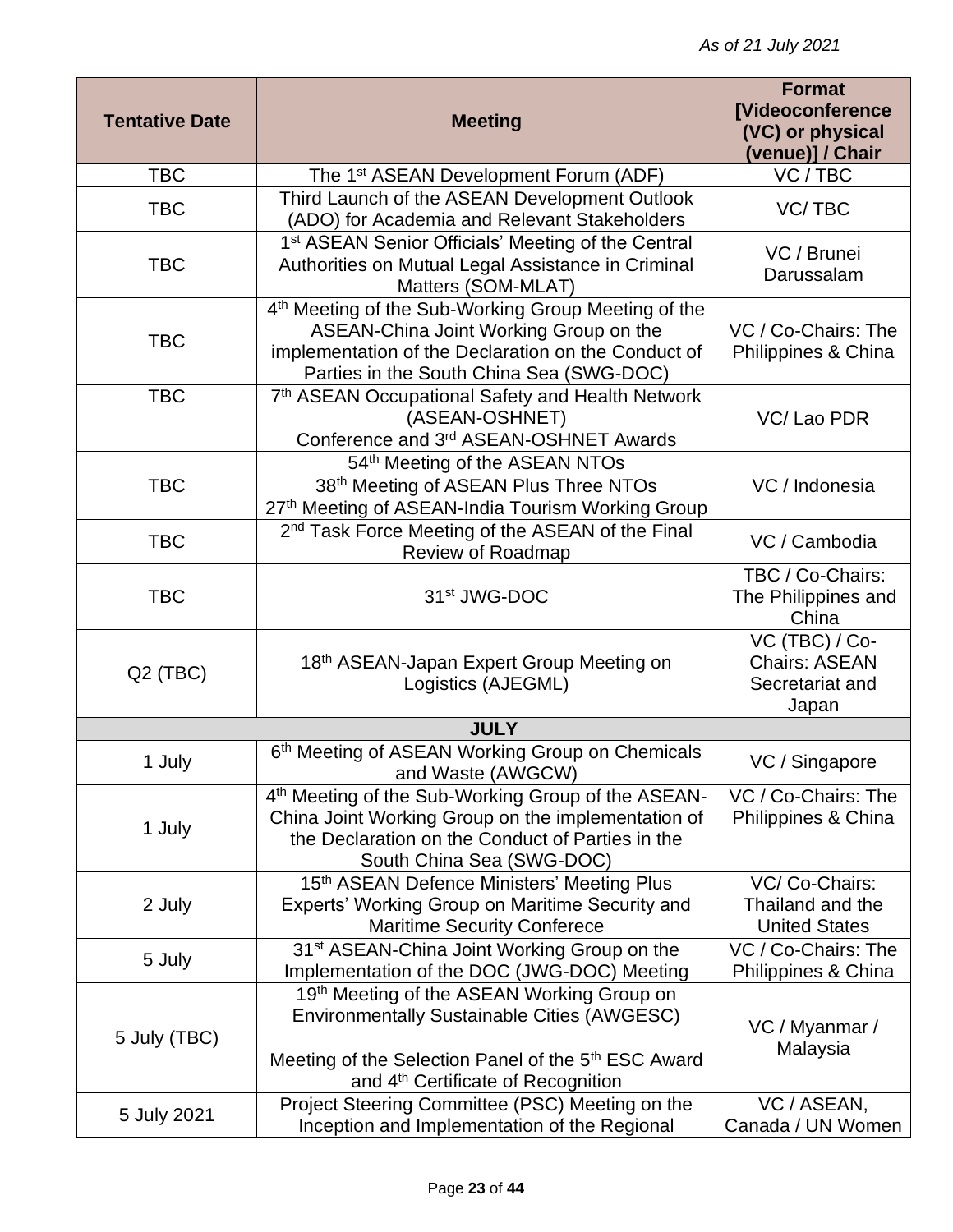| <b>Tentative Date</b> | <b>Meeting</b>                                                                                                                                                                                                        | <b>Format</b><br>[Videoconference<br>(VC) or physical<br>(venue)] / Chair |
|-----------------------|-----------------------------------------------------------------------------------------------------------------------------------------------------------------------------------------------------------------------|---------------------------------------------------------------------------|
| <b>TBC</b>            | The 1 <sup>st</sup> ASEAN Development Forum (ADF)                                                                                                                                                                     | VC / TBC                                                                  |
| <b>TBC</b>            | Third Launch of the ASEAN Development Outlook<br>(ADO) for Academia and Relevant Stakeholders                                                                                                                         | VC/TBC                                                                    |
| <b>TBC</b>            | 1 <sup>st</sup> ASEAN Senior Officials' Meeting of the Central<br>Authorities on Mutual Legal Assistance in Criminal<br>Matters (SOM-MLAT)                                                                            | VC / Brunei<br>Darussalam                                                 |
| <b>TBC</b>            | 4 <sup>th</sup> Meeting of the Sub-Working Group Meeting of the<br>ASEAN-China Joint Working Group on the<br>implementation of the Declaration on the Conduct of<br>Parties in the South China Sea (SWG-DOC)          | VC / Co-Chairs: The<br>Philippines & China                                |
| <b>TBC</b>            | 7th ASEAN Occupational Safety and Health Network<br>(ASEAN-OSHNET)<br>Conference and 3rd ASEAN-OSHNET Awards                                                                                                          | VC/Lao PDR                                                                |
| <b>TBC</b>            | 54th Meeting of the ASEAN NTOs<br>38th Meeting of ASEAN Plus Three NTOs<br>27th Meeting of ASEAN-India Tourism Working Group                                                                                          | VC / Indonesia                                                            |
| <b>TBC</b>            | 2 <sup>nd</sup> Task Force Meeting of the ASEAN of the Final<br>Review of Roadmap                                                                                                                                     | VC / Cambodia                                                             |
| <b>TBC</b>            | 31 <sup>st</sup> JWG-DOC                                                                                                                                                                                              | TBC / Co-Chairs:<br>The Philippines and<br>China                          |
| Q <sub>2</sub> (TBC)  | 18 <sup>th</sup> ASEAN-Japan Expert Group Meeting on<br>Logistics (AJEGML)                                                                                                                                            | VC (TBC) / Co-<br><b>Chairs: ASEAN</b><br>Secretariat and<br>Japan        |
|                       | <b>JULY</b>                                                                                                                                                                                                           |                                                                           |
| 1 July                | 6th Meeting of ASEAN Working Group on Chemicals<br>and Waste (AWGCW)                                                                                                                                                  | VC / Singapore                                                            |
| 1 July                | 4th Meeting of the Sub-Working Group of the ASEAN-<br>China Joint Working Group on the implementation of<br>the Declaration on the Conduct of Parties in the<br>South China Sea (SWG-DOC)                             | VC / Co-Chairs: The<br>Philippines & China                                |
| 2 July                | 15th ASEAN Defence Ministers' Meeting Plus<br>Experts' Working Group on Maritime Security and<br><b>Maritime Security Conferece</b>                                                                                   | VC/Co-Chairs:<br>Thailand and the<br><b>United States</b>                 |
| 5 July                | 31 <sup>st</sup> ASEAN-China Joint Working Group on the<br>Implementation of the DOC (JWG-DOC) Meeting                                                                                                                | VC / Co-Chairs: The<br>Philippines & China                                |
| 5 July (TBC)          | 19th Meeting of the ASEAN Working Group on<br><b>Environmentally Sustainable Cities (AWGESC)</b><br>Meeting of the Selection Panel of the 5 <sup>th</sup> ESC Award<br>and 4 <sup>th</sup> Certificate of Recognition | VC / Myanmar /<br>Malaysia                                                |
| 5 July 2021           | Project Steering Committee (PSC) Meeting on the<br>Inception and Implementation of the Regional                                                                                                                       | VC / ASEAN,<br>Canada / UN Women                                          |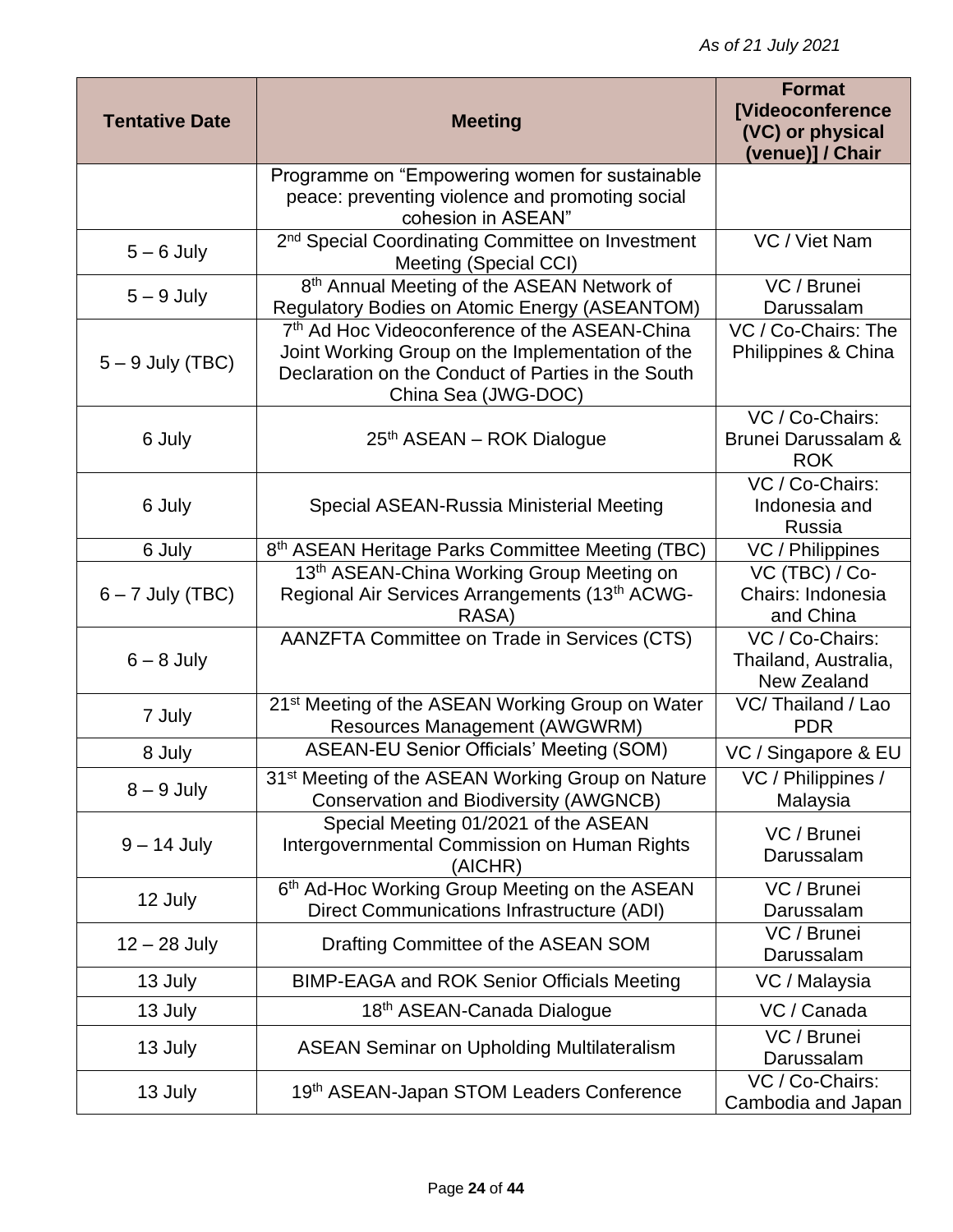| <b>Tentative Date</b> | <b>Meeting</b>                                                                                                                                                                 | <b>Format</b><br><b>[Videoconference</b><br>(VC) or physical<br>(venue)] / Chair |
|-----------------------|--------------------------------------------------------------------------------------------------------------------------------------------------------------------------------|----------------------------------------------------------------------------------|
|                       | Programme on "Empowering women for sustainable<br>peace: preventing violence and promoting social<br>cohesion in ASEAN"                                                        |                                                                                  |
| $5 - 6$ July          | 2 <sup>nd</sup> Special Coordinating Committee on Investment<br>Meeting (Special CCI)                                                                                          | VC / Viet Nam                                                                    |
| $5 - 9$ July          | 8 <sup>th</sup> Annual Meeting of the ASEAN Network of<br>Regulatory Bodies on Atomic Energy (ASEANTOM)                                                                        | VC / Brunei<br>Darussalam                                                        |
| $5 - 9$ July (TBC)    | 7th Ad Hoc Videoconference of the ASEAN-China<br>Joint Working Group on the Implementation of the<br>Declaration on the Conduct of Parties in the South<br>China Sea (JWG-DOC) | VC / Co-Chairs: The<br>Philippines & China                                       |
| 6 July                | 25th ASEAN - ROK Dialogue                                                                                                                                                      | VC / Co-Chairs:<br>Brunei Darussalam &<br><b>ROK</b>                             |
| 6 July                | Special ASEAN-Russia Ministerial Meeting                                                                                                                                       | VC / Co-Chairs:<br>Indonesia and<br>Russia                                       |
| 6 July                | 8th ASEAN Heritage Parks Committee Meeting (TBC)                                                                                                                               | VC / Philippines                                                                 |
| $6 - 7$ July (TBC)    | 13th ASEAN-China Working Group Meeting on<br>Regional Air Services Arrangements (13th ACWG-<br>RASA)                                                                           | VC (TBC) / Co-<br>Chairs: Indonesia<br>and China                                 |
| $6 - 8$ July          | AANZFTA Committee on Trade in Services (CTS)                                                                                                                                   | VC / Co-Chairs:<br>Thailand, Australia,<br>New Zealand                           |
| 7 July                | 21 <sup>st</sup> Meeting of the ASEAN Working Group on Water<br><b>Resources Management (AWGWRM)</b>                                                                           | VC/Thailand / Lao<br><b>PDR</b>                                                  |
| 8 July                | <b>ASEAN-EU Senior Officials' Meeting (SOM)</b>                                                                                                                                | VC / Singapore & EU                                                              |
| $8 - 9$ July          | 31 <sup>st</sup> Meeting of the ASEAN Working Group on Nature<br><b>Conservation and Biodiversity (AWGNCB)</b>                                                                 | VC / Philippines /<br>Malaysia                                                   |
| $9 - 14$ July         | Special Meeting 01/2021 of the ASEAN<br>Intergovernmental Commission on Human Rights<br>(AICHR)                                                                                | VC / Brunei<br>Darussalam                                                        |
| 12 July               | 6th Ad-Hoc Working Group Meeting on the ASEAN<br>Direct Communications Infrastructure (ADI)                                                                                    | VC / Brunei<br>Darussalam                                                        |
| $12 - 28$ July        | Drafting Committee of the ASEAN SOM                                                                                                                                            | VC / Brunei<br>Darussalam                                                        |
| 13 July               | <b>BIMP-EAGA and ROK Senior Officials Meeting</b>                                                                                                                              | VC / Malaysia                                                                    |
| 13 July               | 18th ASEAN-Canada Dialogue                                                                                                                                                     | VC / Canada                                                                      |
| 13 July               | <b>ASEAN Seminar on Upholding Multilateralism</b>                                                                                                                              | $\overline{VC}$ / Brunei<br>Darussalam                                           |
| 13 July               | 19th ASEAN-Japan STOM Leaders Conference                                                                                                                                       | VC / Co-Chairs:<br>Cambodia and Japan                                            |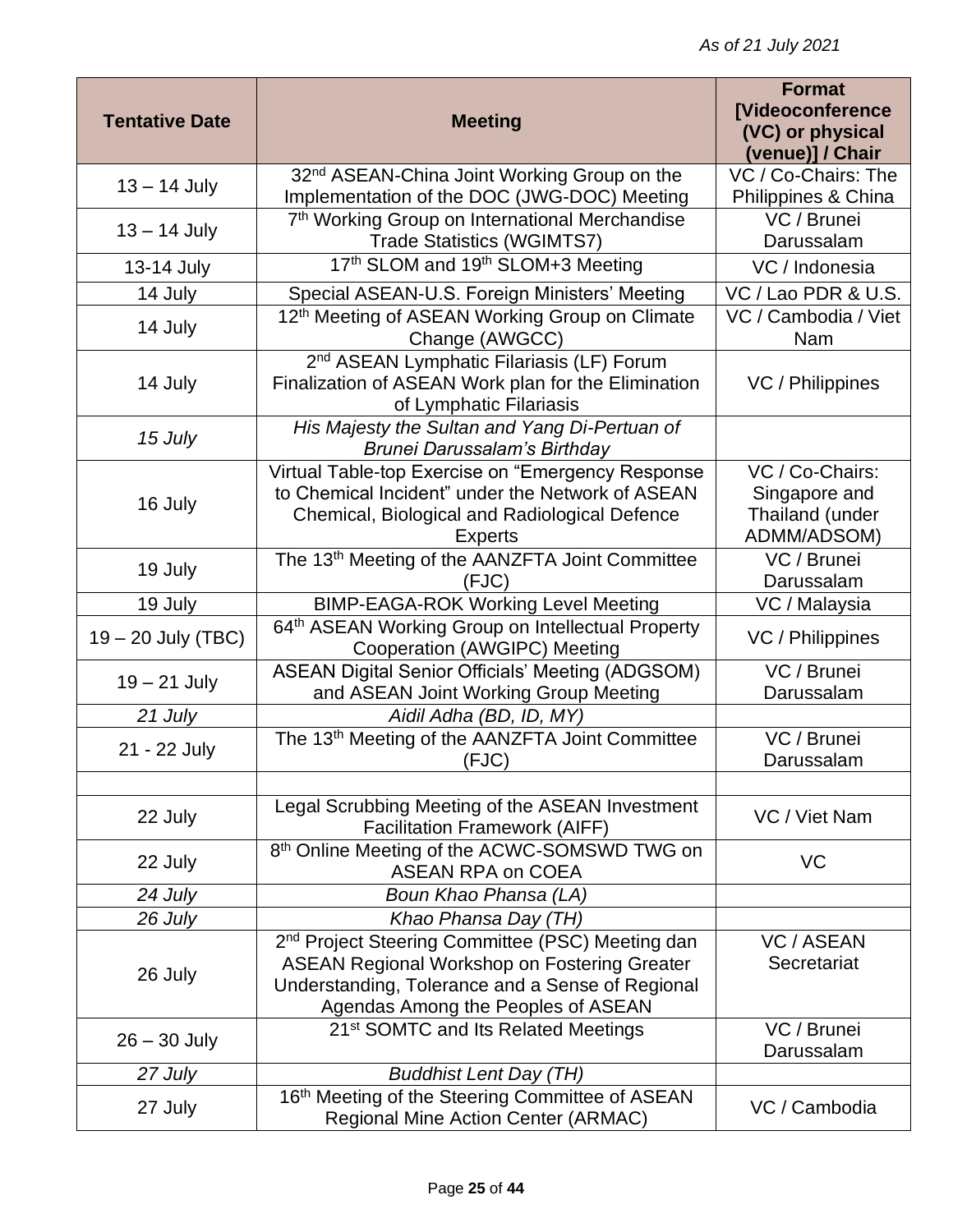| <b>Tentative Date</b> | <b>Meeting</b>                                                                                                                                                                                                | <b>Format</b><br><b>[Videoconference</b><br>(VC) or physical       |
|-----------------------|---------------------------------------------------------------------------------------------------------------------------------------------------------------------------------------------------------------|--------------------------------------------------------------------|
|                       |                                                                                                                                                                                                               | (venue)] / Chair                                                   |
| $13 - 14$ July        | 32 <sup>nd</sup> ASEAN-China Joint Working Group on the<br>Implementation of the DOC (JWG-DOC) Meeting                                                                                                        | VC / Co-Chairs: The<br>Philippines & China                         |
| $13 - 14$ July        | 7 <sup>th</sup> Working Group on International Merchandise<br><b>Trade Statistics (WGIMTS7)</b>                                                                                                               | VC / Brunei<br>Darussalam                                          |
| 13-14 July            | 17th SLOM and 19th SLOM+3 Meeting                                                                                                                                                                             | VC / Indonesia                                                     |
| 14 July               | Special ASEAN-U.S. Foreign Ministers' Meeting                                                                                                                                                                 | VC / Lao PDR & U.S.                                                |
| 14 July               | 12 <sup>th</sup> Meeting of ASEAN Working Group on Climate<br>Change (AWGCC)                                                                                                                                  | VC / Cambodia / Viet<br>Nam                                        |
| 14 July               | 2 <sup>nd</sup> ASEAN Lymphatic Filariasis (LF) Forum<br>Finalization of ASEAN Work plan for the Elimination<br>of Lymphatic Filariasis                                                                       | VC / Philippines                                                   |
| 15 July               | His Majesty the Sultan and Yang Di-Pertuan of<br>Brunei Darussalam's Birthday                                                                                                                                 |                                                                    |
| 16 July               | Virtual Table-top Exercise on "Emergency Response<br>to Chemical Incident" under the Network of ASEAN<br>Chemical, Biological and Radiological Defence<br><b>Experts</b>                                      | VC / Co-Chairs:<br>Singapore and<br>Thailand (under<br>ADMM/ADSOM) |
| 19 July               | The 13 <sup>th</sup> Meeting of the AANZFTA Joint Committee<br>(FJC)                                                                                                                                          | VC / Brunei<br>Darussalam                                          |
| 19 July               | <b>BIMP-EAGA-ROK Working Level Meeting</b>                                                                                                                                                                    | VC / Malaysia                                                      |
| 19 - 20 July (TBC)    | 64 <sup>th</sup> ASEAN Working Group on Intellectual Property<br>Cooperation (AWGIPC) Meeting                                                                                                                 | VC / Philippines                                                   |
| $19 - 21$ July        | <b>ASEAN Digital Senior Officials' Meeting (ADGSOM)</b><br>and ASEAN Joint Working Group Meeting                                                                                                              | VC / Brunei<br>Darussalam                                          |
| 21 July               | Aidil Adha (BD, ID, MY)                                                                                                                                                                                       |                                                                    |
| 21 - 22 July          | The 13 <sup>th</sup> Meeting of the AANZFTA Joint Committee<br>(FJC)                                                                                                                                          | VC / Brunei<br>Darussalam                                          |
|                       |                                                                                                                                                                                                               |                                                                    |
| 22 July               | Legal Scrubbing Meeting of the ASEAN Investment<br><b>Facilitation Framework (AIFF)</b>                                                                                                                       | VC / Viet Nam                                                      |
| 22 July               | 8th Online Meeting of the ACWC-SOMSWD TWG on<br><b>ASEAN RPA on COEA</b>                                                                                                                                      | <b>VC</b>                                                          |
| 24 July               | Boun Khao Phansa (LA)                                                                                                                                                                                         |                                                                    |
| 26 July               | Khao Phansa Day (TH)                                                                                                                                                                                          |                                                                    |
| 26 July               | 2 <sup>nd</sup> Project Steering Committee (PSC) Meeting dan<br><b>ASEAN Regional Workshop on Fostering Greater</b><br>Understanding, Tolerance and a Sense of Regional<br>Agendas Among the Peoples of ASEAN | <b>VC / ASEAN</b><br>Secretariat                                   |
| $26 - 30$ July        | 21 <sup>st</sup> SOMTC and Its Related Meetings                                                                                                                                                               | VC / Brunei<br>Darussalam                                          |
| 27 July               | <b>Buddhist Lent Day (TH)</b>                                                                                                                                                                                 |                                                                    |
| 27 July               | 16th Meeting of the Steering Committee of ASEAN<br>Regional Mine Action Center (ARMAC)                                                                                                                        | VC / Cambodia                                                      |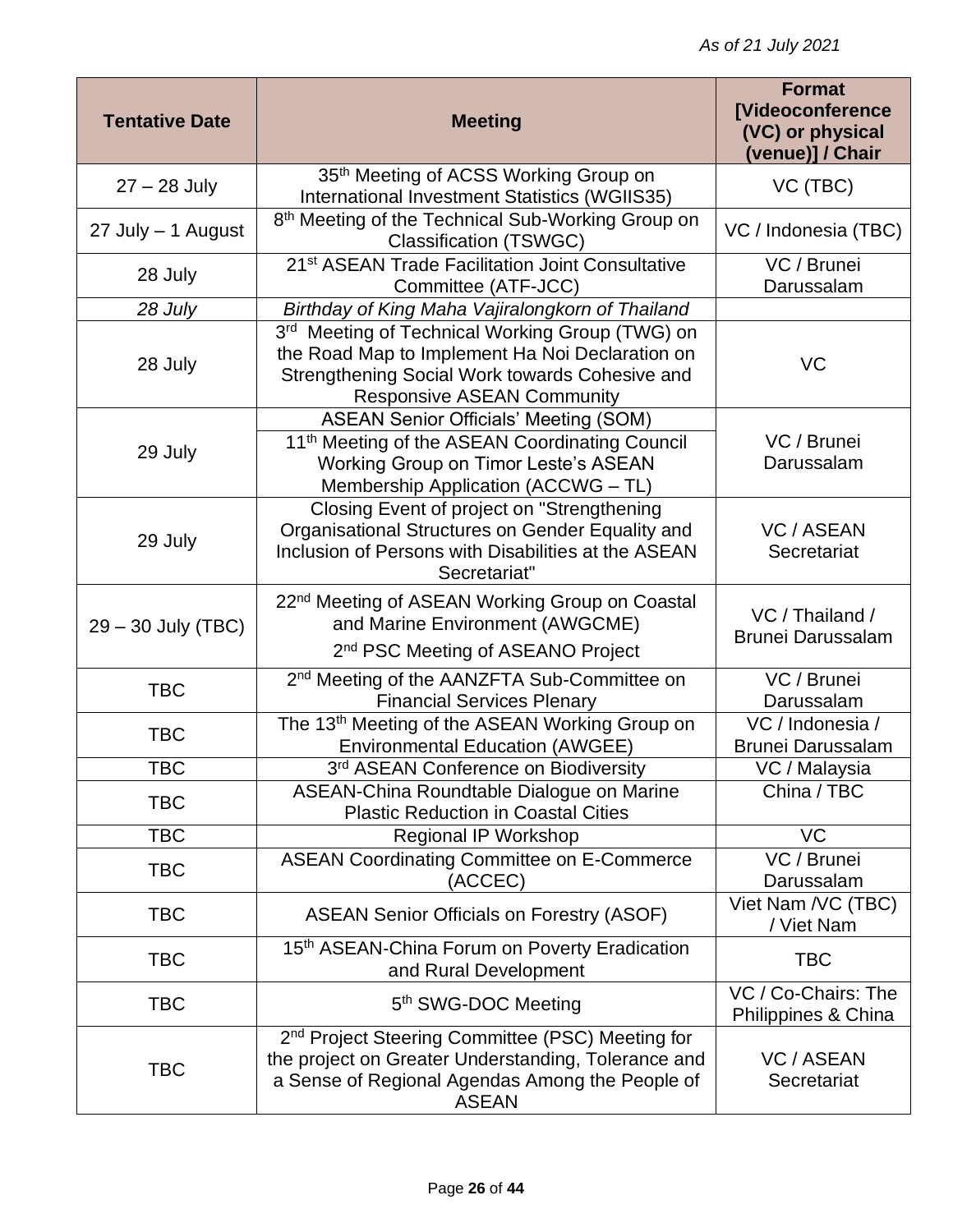| <b>Tentative Date</b> | <b>Meeting</b>                                                                                                                                                                                   | <b>Format</b><br>[Videoconference<br>(VC) or physical<br>(venue)] / Chair |
|-----------------------|--------------------------------------------------------------------------------------------------------------------------------------------------------------------------------------------------|---------------------------------------------------------------------------|
| $27 - 28$ July        | 35th Meeting of ACSS Working Group on<br>International Investment Statistics (WGIIS35)                                                                                                           | VC (TBC)                                                                  |
| 27 July - 1 August    | 8 <sup>th</sup> Meeting of the Technical Sub-Working Group on<br><b>Classification (TSWGC)</b>                                                                                                   | VC / Indonesia (TBC)                                                      |
| 28 July               | 21 <sup>st</sup> ASEAN Trade Facilitation Joint Consultative<br>Committee (ATF-JCC)                                                                                                              | VC / Brunei<br>Darussalam                                                 |
| 28 July               | Birthday of King Maha Vajiralongkorn of Thailand                                                                                                                                                 |                                                                           |
| 28 July               | 3rd Meeting of Technical Working Group (TWG) on<br>the Road Map to Implement Ha Noi Declaration on<br>Strengthening Social Work towards Cohesive and<br><b>Responsive ASEAN Community</b>        | <b>VC</b>                                                                 |
| 29 July               | <b>ASEAN Senior Officials' Meeting (SOM)</b><br>11 <sup>th</sup> Meeting of the ASEAN Coordinating Council<br><b>Working Group on Timor Leste's ASEAN</b><br>Membership Application (ACCWG - TL) | VC / Brunei<br>Darussalam                                                 |
| 29 July               | Closing Event of project on "Strengthening<br>Organisational Structures on Gender Equality and<br>Inclusion of Persons with Disabilities at the ASEAN<br>Secretariat"                            | <b>VC / ASEAN</b><br>Secretariat                                          |
| $29 - 30$ July (TBC)  | 22 <sup>nd</sup> Meeting of ASEAN Working Group on Coastal<br>and Marine Environment (AWGCME)<br>2 <sup>nd</sup> PSC Meeting of ASEANO Project                                                   | VC / Thailand /<br><b>Brunei Darussalam</b>                               |
| <b>TBC</b>            | 2 <sup>nd</sup> Meeting of the AANZFTA Sub-Committee on<br><b>Financial Services Plenary</b>                                                                                                     | VC / Brunei<br>Darussalam                                                 |
| <b>TBC</b>            | The 13 <sup>th</sup> Meeting of the ASEAN Working Group on<br><b>Environmental Education (AWGEE)</b>                                                                                             | VC / Indonesia /<br><b>Brunei Darussalam</b>                              |
| <b>TBC</b>            | 3rd ASEAN Conference on Biodiversity                                                                                                                                                             | VC / Malaysia                                                             |
| <b>TBC</b>            | ASEAN-China Roundtable Dialogue on Marine<br><b>Plastic Reduction in Coastal Cities</b>                                                                                                          | China / TBC                                                               |
| <b>TBC</b>            | Regional IP Workshop                                                                                                                                                                             | VC                                                                        |
| <b>TBC</b>            | <b>ASEAN Coordinating Committee on E-Commerce</b><br>(ACCEC)                                                                                                                                     | VC / Brunei<br>Darussalam                                                 |
| <b>TBC</b>            | <b>ASEAN Senior Officials on Forestry (ASOF)</b>                                                                                                                                                 | Viet Nam /VC (TBC)<br>/ Viet Nam                                          |
| <b>TBC</b>            | 15th ASEAN-China Forum on Poverty Eradication<br>and Rural Development                                                                                                                           | <b>TBC</b>                                                                |
| <b>TBC</b>            | 5 <sup>th</sup> SWG-DOC Meeting                                                                                                                                                                  | VC / Co-Chairs: The<br>Philippines & China                                |
| <b>TBC</b>            | 2 <sup>nd</sup> Project Steering Committee (PSC) Meeting for<br>the project on Greater Understanding, Tolerance and<br>a Sense of Regional Agendas Among the People of<br><b>ASEAN</b>           | <b>VC / ASEAN</b><br>Secretariat                                          |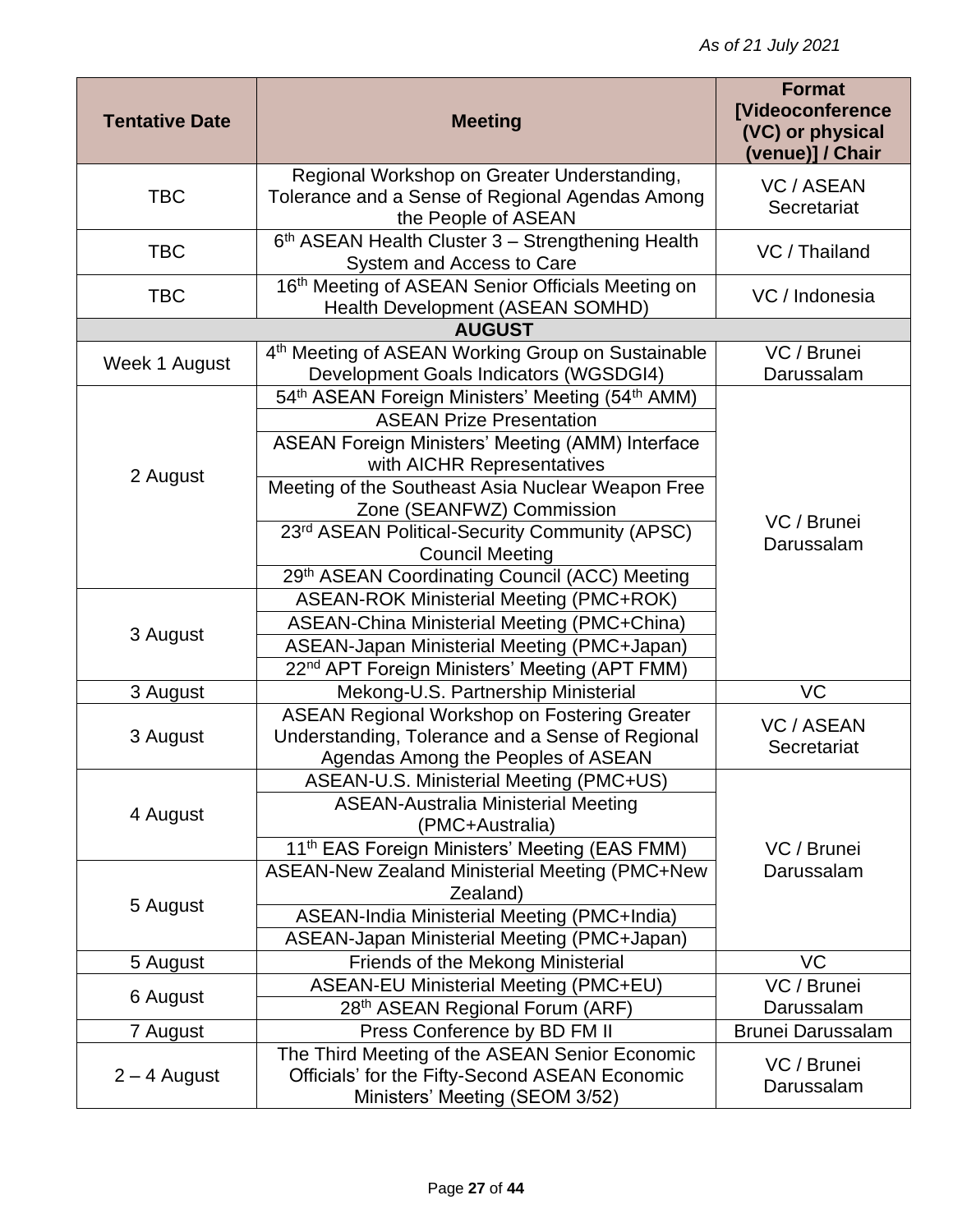| <b>Tentative Date</b> | <b>Meeting</b>                                                                                                                                | <b>Format</b><br><b>[Videoconference</b><br>(VC) or physical<br>(venue)] / Chair |
|-----------------------|-----------------------------------------------------------------------------------------------------------------------------------------------|----------------------------------------------------------------------------------|
|                       | Regional Workshop on Greater Understanding,                                                                                                   | <b>VC / ASEAN</b>                                                                |
| <b>TBC</b>            | Tolerance and a Sense of Regional Agendas Among<br>the People of ASEAN                                                                        | Secretariat                                                                      |
| <b>TBC</b>            | 6th ASEAN Health Cluster 3 - Strengthening Health<br>System and Access to Care                                                                | VC / Thailand                                                                    |
| <b>TBC</b>            | 16th Meeting of ASEAN Senior Officials Meeting on<br>Health Development (ASEAN SOMHD)                                                         | VC / Indonesia                                                                   |
|                       | <b>AUGUST</b>                                                                                                                                 |                                                                                  |
| Week 1 August         | 4 <sup>th</sup> Meeting of ASEAN Working Group on Sustainable<br>Development Goals Indicators (WGSDGI4)                                       | VC / Brunei<br>Darussalam                                                        |
|                       | 54th ASEAN Foreign Ministers' Meeting (54th AMM)                                                                                              |                                                                                  |
|                       | <b>ASEAN Prize Presentation</b>                                                                                                               |                                                                                  |
| 2 August              | ASEAN Foreign Ministers' Meeting (AMM) Interface<br>with AICHR Representatives                                                                |                                                                                  |
|                       | Meeting of the Southeast Asia Nuclear Weapon Free<br>Zone (SEANFWZ) Commission                                                                |                                                                                  |
|                       | 23rd ASEAN Political-Security Community (APSC)<br><b>Council Meeting</b>                                                                      | VC / Brunei<br>Darussalam                                                        |
|                       | 29th ASEAN Coordinating Council (ACC) Meeting                                                                                                 |                                                                                  |
|                       | ASEAN-ROK Ministerial Meeting (PMC+ROK)                                                                                                       |                                                                                  |
| 3 August              | ASEAN-China Ministerial Meeting (PMC+China)                                                                                                   |                                                                                  |
|                       | ASEAN-Japan Ministerial Meeting (PMC+Japan)                                                                                                   |                                                                                  |
|                       | 22 <sup>nd</sup> APT Foreign Ministers' Meeting (APT FMM)                                                                                     |                                                                                  |
| 3 August              | Mekong-U.S. Partnership Ministerial                                                                                                           | VC                                                                               |
| 3 August              | <b>ASEAN Regional Workshop on Fostering Greater</b><br>Understanding, Tolerance and a Sense of Regional<br>Agendas Among the Peoples of ASEAN | <b>VC / ASEAN</b><br>Secretariat                                                 |
|                       | ASEAN-U.S. Ministerial Meeting (PMC+US)                                                                                                       |                                                                                  |
| 4 August              | <b>ASEAN-Australia Ministerial Meeting</b><br>(PMC+Australia)                                                                                 |                                                                                  |
|                       | 11 <sup>th</sup> EAS Foreign Ministers' Meeting (EAS FMM)                                                                                     | VC / Brunei                                                                      |
|                       | <b>ASEAN-New Zealand Ministerial Meeting (PMC+New</b>                                                                                         | Darussalam                                                                       |
|                       | Zealand)                                                                                                                                      |                                                                                  |
| 5 August              | ASEAN-India Ministerial Meeting (PMC+India)                                                                                                   |                                                                                  |
|                       | ASEAN-Japan Ministerial Meeting (PMC+Japan)                                                                                                   |                                                                                  |
| 5 August              | Friends of the Mekong Ministerial                                                                                                             | <b>VC</b>                                                                        |
|                       | <b>ASEAN-EU Ministerial Meeting (PMC+EU)</b>                                                                                                  | VC / Brunei                                                                      |
| 6 August              | 28th ASEAN Regional Forum (ARF)                                                                                                               | Darussalam                                                                       |
| 7 August              | Press Conference by BD FM II                                                                                                                  | <b>Brunei Darussalam</b>                                                         |
| $2 - 4$ August        | The Third Meeting of the ASEAN Senior Economic<br>Officials' for the Fifty-Second ASEAN Economic<br>Ministers' Meeting (SEOM 3/52)            | VC / Brunei<br>Darussalam                                                        |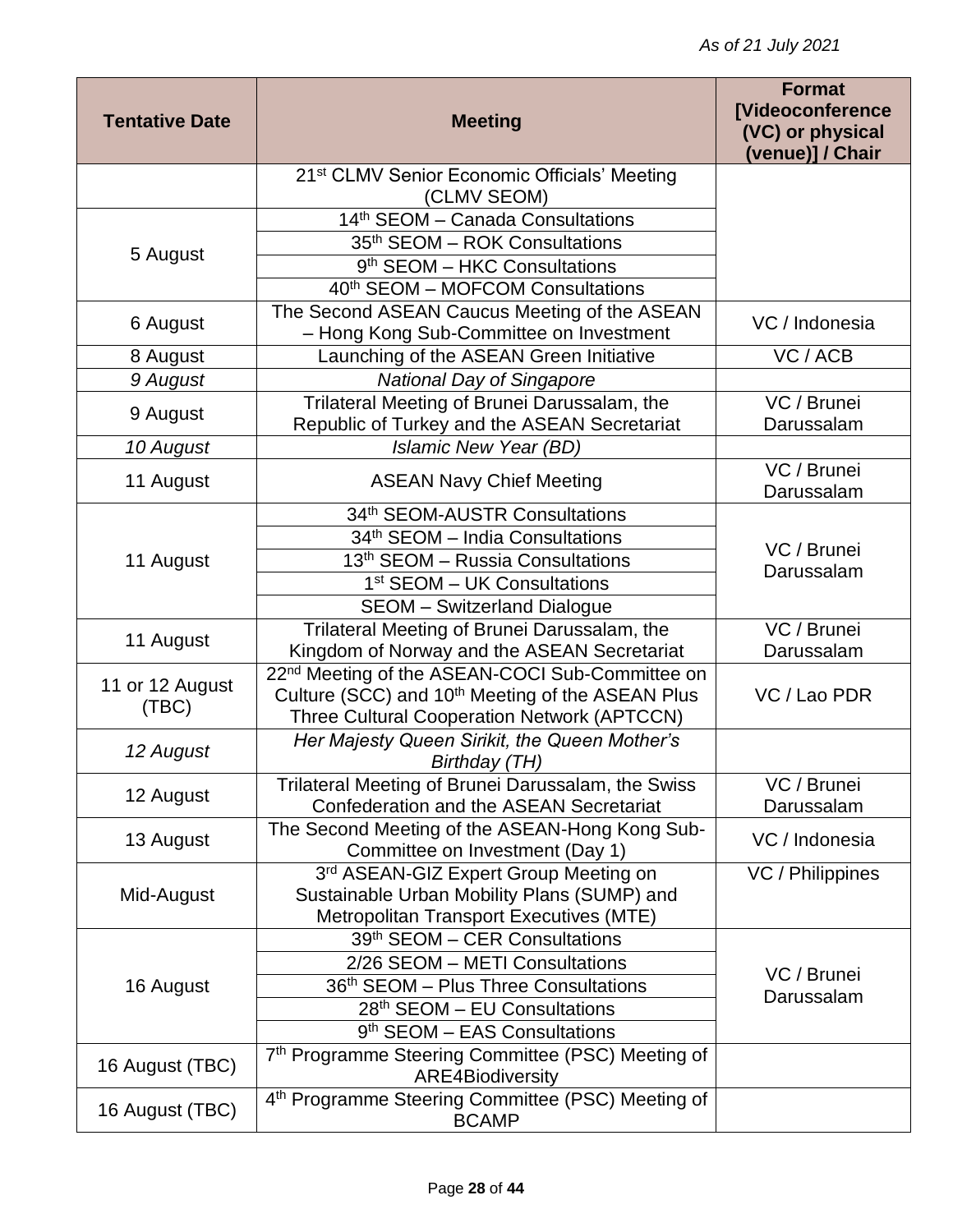| <b>Tentative Date</b> | <b>Meeting</b>                                                                                                     | <b>Format</b><br><b>[Videoconference</b><br>(VC) or physical<br>(venue)] / Chair |
|-----------------------|--------------------------------------------------------------------------------------------------------------------|----------------------------------------------------------------------------------|
|                       | 21 <sup>st</sup> CLMV Senior Economic Officials' Meeting<br>(CLMV SEOM)                                            |                                                                                  |
|                       | 14 <sup>th</sup> SEOM - Canada Consultations                                                                       |                                                                                  |
|                       | 35 <sup>th</sup> SEOM - ROK Consultations                                                                          |                                                                                  |
| 5 August              | 9 <sup>th</sup> SEOM - HKC Consultations                                                                           |                                                                                  |
|                       | 40 <sup>th</sup> SEOM - MOFCOM Consultations                                                                       |                                                                                  |
| 6 August              | The Second ASEAN Caucus Meeting of the ASEAN                                                                       | VC / Indonesia                                                                   |
|                       | - Hong Kong Sub-Committee on Investment                                                                            |                                                                                  |
| 8 August              | Launching of the ASEAN Green Initiative                                                                            | VC / ACB                                                                         |
| 9 August              | <b>National Day of Singapore</b>                                                                                   |                                                                                  |
| 9 August              | Trilateral Meeting of Brunei Darussalam, the                                                                       | VC / Brunei                                                                      |
|                       | Republic of Turkey and the ASEAN Secretariat                                                                       | Darussalam                                                                       |
| 10 August             | Islamic New Year (BD)                                                                                              |                                                                                  |
| 11 August             | <b>ASEAN Navy Chief Meeting</b>                                                                                    | VC / Brunei<br>Darussalam                                                        |
|                       | 34th SEOM-AUSTR Consultations                                                                                      |                                                                                  |
|                       | 34 <sup>th</sup> SEOM - India Consultations                                                                        | VC / Brunei                                                                      |
| 11 August             | 13 <sup>th</sup> SEOM - Russia Consultations                                                                       | Darussalam                                                                       |
|                       | 1 <sup>st</sup> SEOM – UK Consultations                                                                            |                                                                                  |
|                       | <b>SEOM</b> - Switzerland Dialogue                                                                                 |                                                                                  |
| 11 August             | Trilateral Meeting of Brunei Darussalam, the                                                                       | VC / Brunei                                                                      |
|                       | Kingdom of Norway and the ASEAN Secretariat                                                                        | Darussalam                                                                       |
| 11 or 12 August       | 22 <sup>nd</sup> Meeting of the ASEAN-COCI Sub-Committee on                                                        |                                                                                  |
| (TEC)                 | Culture (SCC) and 10 <sup>th</sup> Meeting of the ASEAN Plus<br><b>Three Cultural Cooperation Network (APTCCN)</b> | VC / Lao PDR                                                                     |
|                       | Her Majesty Queen Sirikit, the Queen Mother's                                                                      |                                                                                  |
| 12 August             | Birthday (TH)                                                                                                      |                                                                                  |
| 12 August             | Trilateral Meeting of Brunei Darussalam, the Swiss                                                                 | VC / Brunei                                                                      |
|                       | Confederation and the ASEAN Secretariat                                                                            | Darussalam                                                                       |
| 13 August             | The Second Meeting of the ASEAN-Hong Kong Sub-<br>Committee on Investment (Day 1)                                  | VC / Indonesia                                                                   |
|                       | 3rd ASEAN-GIZ Expert Group Meeting on                                                                              | VC / Philippines                                                                 |
| Mid-August            | Sustainable Urban Mobility Plans (SUMP) and                                                                        |                                                                                  |
|                       | Metropolitan Transport Executives (MTE)                                                                            |                                                                                  |
|                       | 39th SEOM - CER Consultations                                                                                      |                                                                                  |
| 16 August             | 2/26 SEOM - METI Consultations                                                                                     | VC / Brunei                                                                      |
|                       | 36th SEOM - Plus Three Consultations                                                                               | Darussalam                                                                       |
|                       | 28 <sup>th</sup> SEOM – EU Consultations                                                                           |                                                                                  |
|                       | 9 <sup>th</sup> SEOM – EAS Consultations                                                                           |                                                                                  |
| 16 August (TBC)       | 7th Programme Steering Committee (PSC) Meeting of<br><b>ARE4Biodiversity</b>                                       |                                                                                  |
| 16 August (TBC)       | 4th Programme Steering Committee (PSC) Meeting of<br><b>BCAMP</b>                                                  |                                                                                  |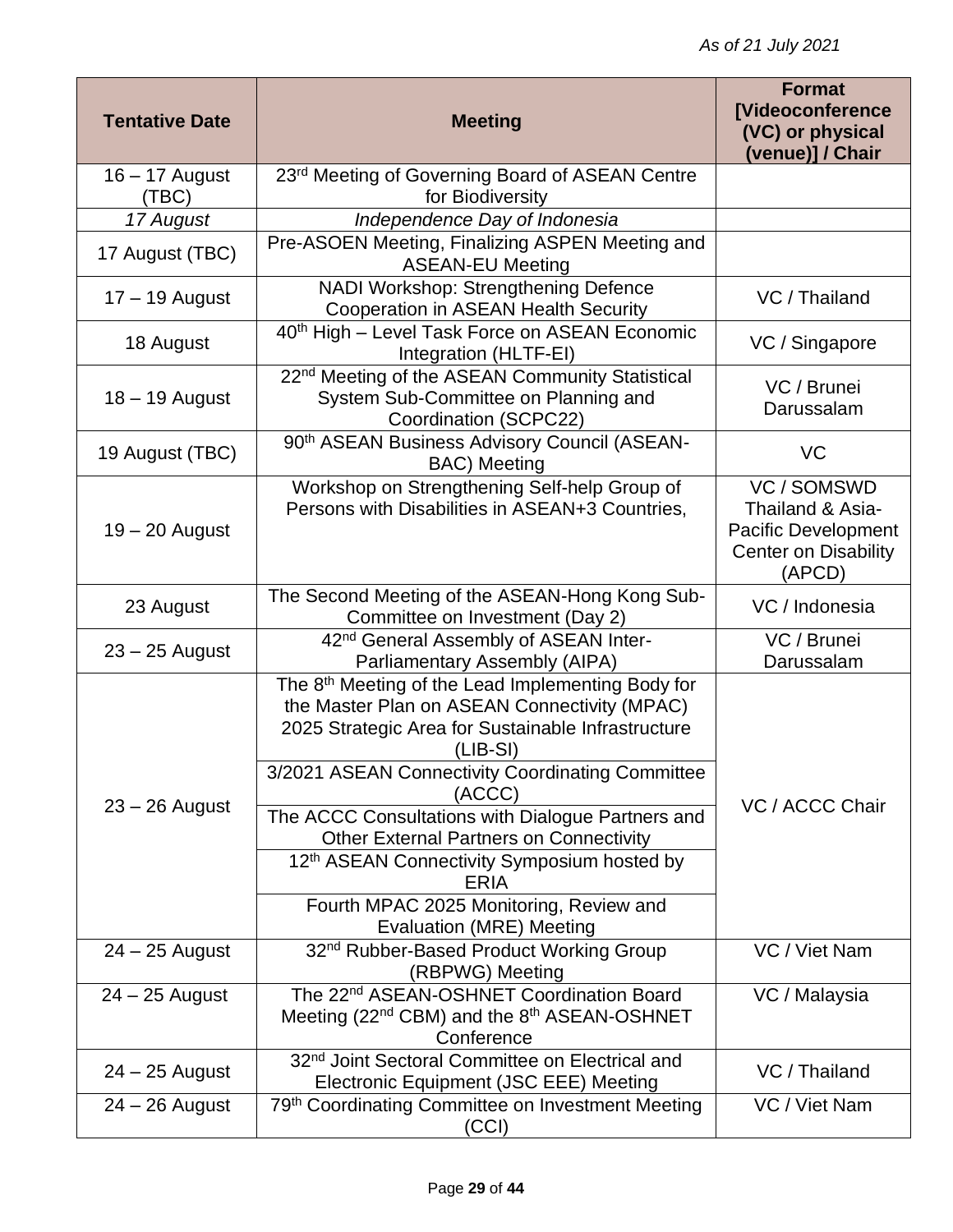| <b>Tentative Date</b> | <b>Meeting</b>                                                                                                                                                                                                                      | <b>Format</b><br><b>[Videoconference</b><br>(VC) or physical<br>(venue)] / Chair                       |
|-----------------------|-------------------------------------------------------------------------------------------------------------------------------------------------------------------------------------------------------------------------------------|--------------------------------------------------------------------------------------------------------|
| $16 - 17$ August      | 23rd Meeting of Governing Board of ASEAN Centre                                                                                                                                                                                     |                                                                                                        |
| (TBC)                 | for Biodiversity                                                                                                                                                                                                                    |                                                                                                        |
| 17 August             | Independence Day of Indonesia                                                                                                                                                                                                       |                                                                                                        |
| 17 August (TBC)       | Pre-ASOEN Meeting, Finalizing ASPEN Meeting and<br><b>ASEAN-EU Meeting</b>                                                                                                                                                          |                                                                                                        |
| $17 - 19$ August      | NADI Workshop: Strengthening Defence<br><b>Cooperation in ASEAN Health Security</b>                                                                                                                                                 | VC / Thailand                                                                                          |
| 18 August             | 40 <sup>th</sup> High - Level Task Force on ASEAN Economic<br>Integration (HLTF-EI)                                                                                                                                                 | VC / Singapore                                                                                         |
| $18 - 19$ August      | 22 <sup>nd</sup> Meeting of the ASEAN Community Statistical<br>System Sub-Committee on Planning and<br>Coordination (SCPC22)                                                                                                        | VC / Brunei<br>Darussalam                                                                              |
| 19 August (TBC)       | 90 <sup>th</sup> ASEAN Business Advisory Council (ASEAN-<br><b>BAC)</b> Meeting                                                                                                                                                     | VC                                                                                                     |
| $19 - 20$ August      | Workshop on Strengthening Self-help Group of<br>Persons with Disabilities in ASEAN+3 Countries,                                                                                                                                     | VC / SOMSWD<br>Thailand & Asia-<br><b>Pacific Development</b><br><b>Center on Disability</b><br>(APCD) |
| 23 August             | The Second Meeting of the ASEAN-Hong Kong Sub-<br>Committee on Investment (Day 2)                                                                                                                                                   | VC / Indonesia                                                                                         |
| $23 - 25$ August      | 42 <sup>nd</sup> General Assembly of ASEAN Inter-                                                                                                                                                                                   | VC / Brunei                                                                                            |
|                       | Parliamentary Assembly (AIPA)                                                                                                                                                                                                       | Darussalam                                                                                             |
|                       | The 8 <sup>th</sup> Meeting of the Lead Implementing Body for<br>the Master Plan on ASEAN Connectivity (MPAC)<br>2025 Strategic Area for Sustainable Infrastructure<br>(LIB-SI)<br>3/2021 ASEAN Connectivity Coordinating Committee |                                                                                                        |
| $23 - 26$ August      | (ACCC)                                                                                                                                                                                                                              | VC / ACCC Chair                                                                                        |
|                       | The ACCC Consultations with Dialogue Partners and<br><b>Other External Partners on Connectivity</b>                                                                                                                                 |                                                                                                        |
|                       | 12 <sup>th</sup> ASEAN Connectivity Symposium hosted by<br><b>ERIA</b>                                                                                                                                                              |                                                                                                        |
|                       | Fourth MPAC 2025 Monitoring, Review and<br>Evaluation (MRE) Meeting                                                                                                                                                                 |                                                                                                        |
| $24 - 25$ August      | 32 <sup>nd</sup> Rubber-Based Product Working Group<br>(RBPWG) Meeting                                                                                                                                                              | VC / Viet Nam                                                                                          |
| $24 - 25$ August      | The 22 <sup>nd</sup> ASEAN-OSHNET Coordination Board                                                                                                                                                                                | VC / Malaysia                                                                                          |
|                       | Meeting (22 <sup>nd</sup> CBM) and the 8 <sup>th</sup> ASEAN-OSHNET<br>Conference                                                                                                                                                   |                                                                                                        |
|                       | 32 <sup>nd</sup> Joint Sectoral Committee on Electrical and                                                                                                                                                                         |                                                                                                        |
| $24 - 25$ August      | Electronic Equipment (JSC EEE) Meeting                                                                                                                                                                                              | VC / Thailand                                                                                          |
| $24 - 26$ August      | 79th Coordinating Committee on Investment Meeting<br>(CCI)                                                                                                                                                                          | VC / Viet Nam                                                                                          |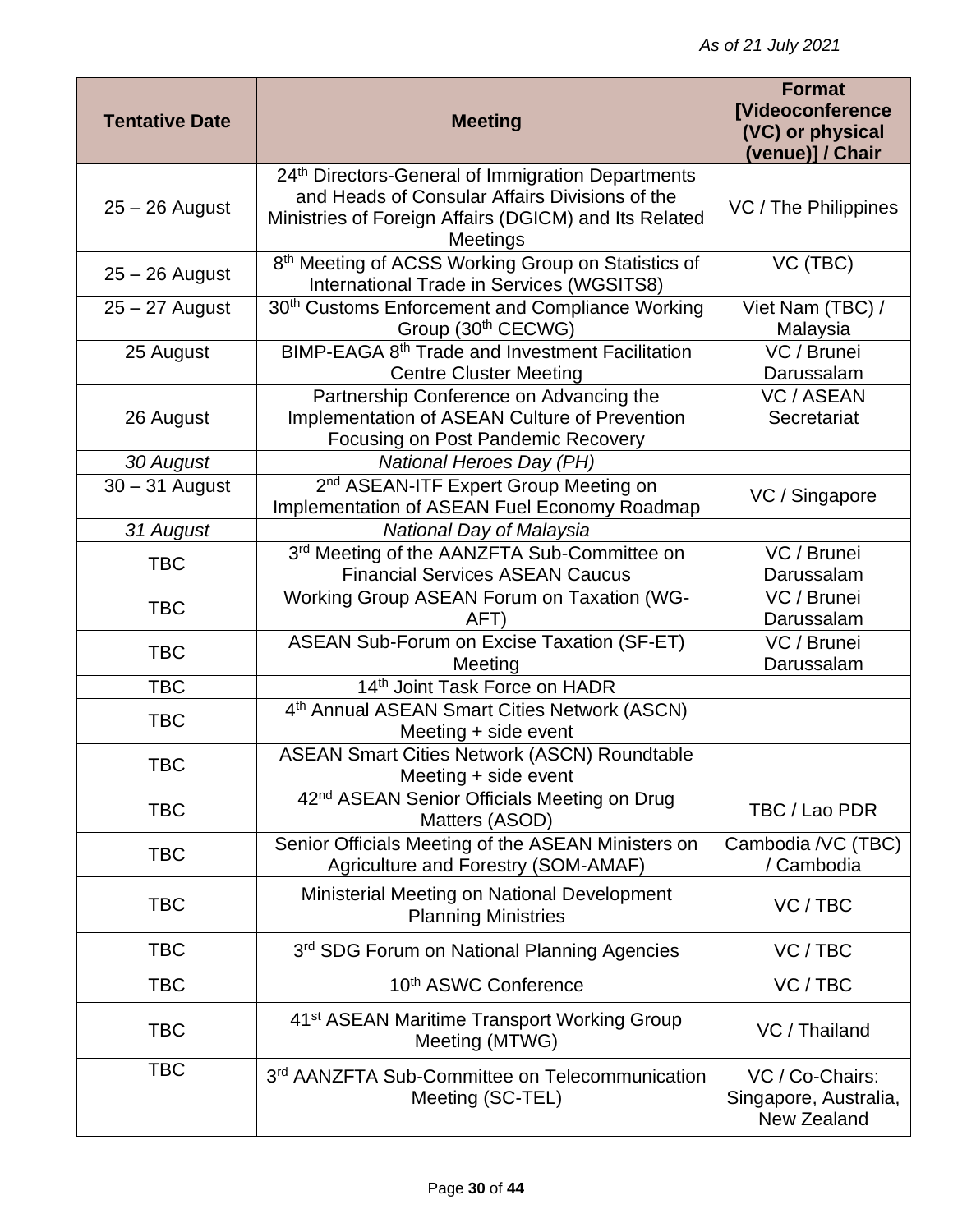| <b>Tentative Date</b> | <b>Meeting</b>                                                                                                                                                           | <b>Format</b><br><b>[Videoconference</b><br>(VC) or physical<br>(venue)] / Chair |
|-----------------------|--------------------------------------------------------------------------------------------------------------------------------------------------------------------------|----------------------------------------------------------------------------------|
| $25 - 26$ August      | 24th Directors-General of Immigration Departments<br>and Heads of Consular Affairs Divisions of the<br>Ministries of Foreign Affairs (DGICM) and Its Related<br>Meetings | VC / The Philippines                                                             |
| $25 - 26$ August      | 8th Meeting of ACSS Working Group on Statistics of<br><b>International Trade in Services (WGSITS8)</b>                                                                   | VC (TBC)                                                                         |
| $25 - 27$ August      | 30 <sup>th</sup> Customs Enforcement and Compliance Working<br>Group (30th CECWG)                                                                                        | Viet Nam (TBC) /<br>Malaysia                                                     |
| 25 August             | BIMP-EAGA 8 <sup>th</sup> Trade and Investment Facilitation<br><b>Centre Cluster Meeting</b>                                                                             | $\overline{VC}$ / Brunei<br>Darussalam                                           |
| 26 August             | Partnership Conference on Advancing the<br>Implementation of ASEAN Culture of Prevention<br>Focusing on Post Pandemic Recovery                                           | <b>VC / ASEAN</b><br>Secretariat                                                 |
| 30 August             | National Heroes Day (PH)                                                                                                                                                 |                                                                                  |
| $30 - 31$ August      | 2 <sup>nd</sup> ASEAN-ITF Expert Group Meeting on<br>Implementation of ASEAN Fuel Economy Roadmap                                                                        | VC / Singapore                                                                   |
| 31 August             | National Day of Malaysia                                                                                                                                                 |                                                                                  |
| <b>TBC</b>            | 3rd Meeting of the AANZFTA Sub-Committee on<br><b>Financial Services ASEAN Caucus</b>                                                                                    | VC / Brunei<br>Darussalam                                                        |
| <b>TBC</b>            | Working Group ASEAN Forum on Taxation (WG-<br>AFT)                                                                                                                       | VC / Brunei<br>Darussalam                                                        |
| <b>TBC</b>            | <b>ASEAN Sub-Forum on Excise Taxation (SF-ET)</b><br>Meeting                                                                                                             | VC / Brunei<br>Darussalam                                                        |
| <b>TBC</b>            | 14 <sup>th</sup> Joint Task Force on HADR                                                                                                                                |                                                                                  |
| <b>TBC</b>            | 4th Annual ASEAN Smart Cities Network (ASCN)<br>Meeting + side event                                                                                                     |                                                                                  |
| <b>TBC</b>            | <b>ASEAN Smart Cities Network (ASCN) Roundtable</b><br>Meeting + side event                                                                                              |                                                                                  |
| <b>TBC</b>            | 42 <sup>nd</sup> ASEAN Senior Officials Meeting on Drug<br>Matters (ASOD)                                                                                                | TBC / Lao PDR                                                                    |
| <b>TBC</b>            | Senior Officials Meeting of the ASEAN Ministers on<br>Agriculture and Forestry (SOM-AMAF)                                                                                | Cambodia /VC (TBC)<br>/ Cambodia                                                 |
| <b>TBC</b>            | Ministerial Meeting on National Development<br><b>Planning Ministries</b>                                                                                                | VC/TBC                                                                           |
| <b>TBC</b>            | 3rd SDG Forum on National Planning Agencies                                                                                                                              | VC/TBC                                                                           |
| <b>TBC</b>            | 10th ASWC Conference                                                                                                                                                     | VC / TBC                                                                         |
| <b>TBC</b>            | 41 <sup>st</sup> ASEAN Maritime Transport Working Group<br>Meeting (MTWG)                                                                                                | VC / Thailand                                                                    |
| <b>TBC</b>            | 3rd AANZFTA Sub-Committee on Telecommunication<br>Meeting (SC-TEL)                                                                                                       | VC / Co-Chairs:<br>Singapore, Australia,<br>New Zealand                          |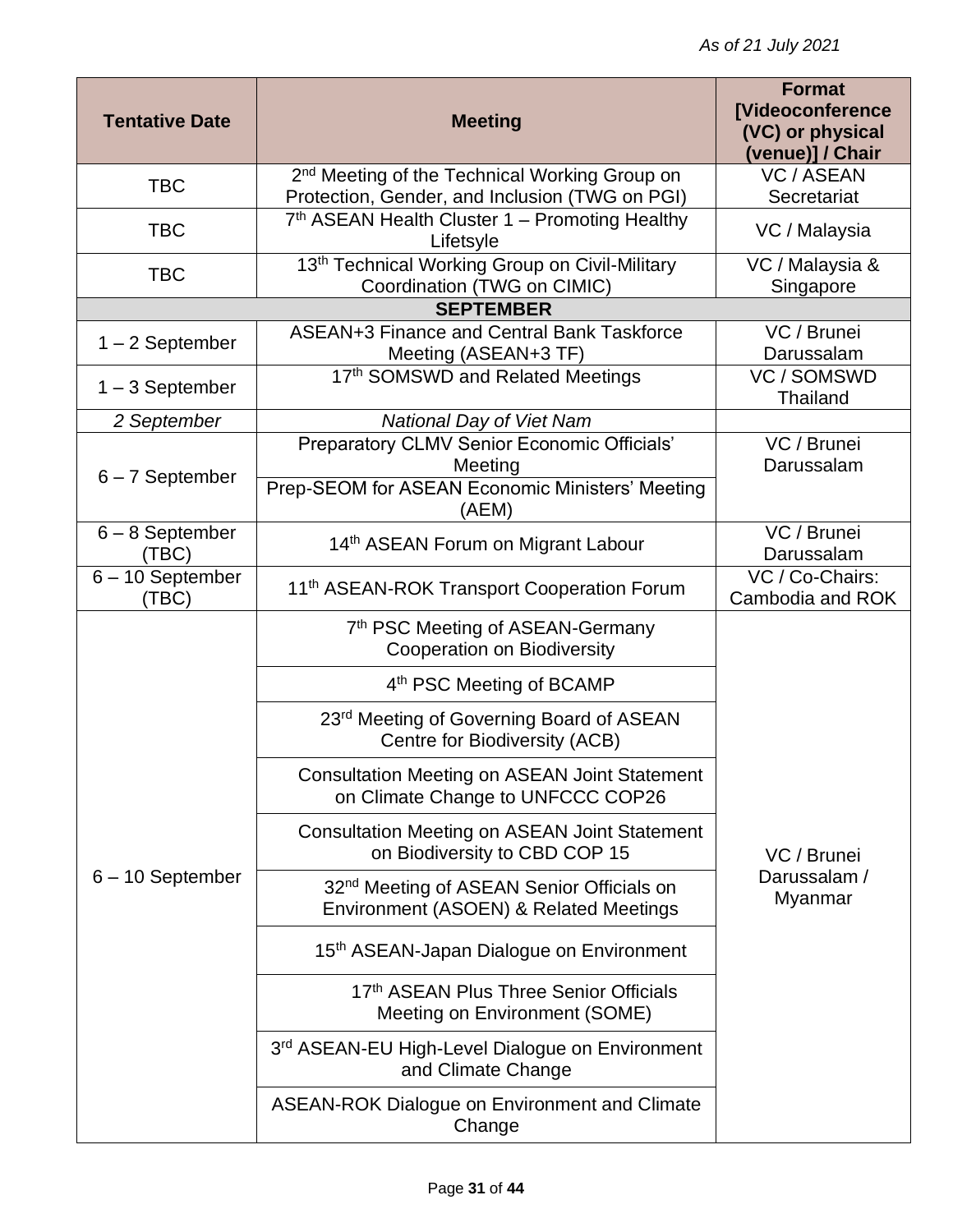| <b>Tentative Date</b>       | <b>Meeting</b>                                                                                                            | <b>Format</b><br><b>[Videoconference</b><br>(VC) or physical<br>(venue)] / Chair |
|-----------------------------|---------------------------------------------------------------------------------------------------------------------------|----------------------------------------------------------------------------------|
| <b>TBC</b>                  | 2 <sup>nd</sup> Meeting of the Technical Working Group on                                                                 | <b>VC / ASEAN</b>                                                                |
| <b>TBC</b>                  | Protection, Gender, and Inclusion (TWG on PGI)<br>7 <sup>th</sup> ASEAN Health Cluster 1 – Promoting Healthy<br>Lifetsyle | Secretariat<br>VC / Malaysia                                                     |
| <b>TBC</b>                  | 13th Technical Working Group on Civil-Military<br>Coordination (TWG on CIMIC)                                             | VC / Malaysia &<br>Singapore                                                     |
|                             | <b>SEPTEMBER</b>                                                                                                          |                                                                                  |
| $1 - 2$ September           | ASEAN+3 Finance and Central Bank Taskforce<br>Meeting (ASEAN+3 TF)                                                        | VC / Brunei<br>Darussalam                                                        |
| $1 - 3$ September           | 17th SOMSWD and Related Meetings                                                                                          | VC / SOMSWD<br><b>Thailand</b>                                                   |
| 2 September                 | <b>National Day of Viet Nam</b>                                                                                           |                                                                                  |
| $6 - 7$ September           | Preparatory CLMV Senior Economic Officials'<br>Meeting                                                                    | VC / Brunei<br>Darussalam                                                        |
|                             | Prep-SEOM for ASEAN Economic Ministers' Meeting<br>(AEM)                                                                  |                                                                                  |
| $6 - 8$ September<br>(TBC)  | 14 <sup>th</sup> ASEAN Forum on Migrant Labour                                                                            | VC / Brunei<br>Darussalam                                                        |
| $6 - 10$ September<br>(TBC) | 11 <sup>th</sup> ASEAN-ROK Transport Cooperation Forum                                                                    | VC / Co-Chairs:<br>Cambodia and ROK                                              |
|                             | 7th PSC Meeting of ASEAN-Germany<br><b>Cooperation on Biodiversity</b>                                                    |                                                                                  |
|                             | 4th PSC Meeting of BCAMP                                                                                                  |                                                                                  |
|                             | 23rd Meeting of Governing Board of ASEAN<br>Centre for Biodiversity (ACB)                                                 |                                                                                  |
|                             | <b>Consultation Meeting on ASEAN Joint Statement</b><br>on Climate Change to UNFCCC COP26                                 |                                                                                  |
|                             | <b>Consultation Meeting on ASEAN Joint Statement</b><br>on Biodiversity to CBD COP 15                                     | VC / Brunei                                                                      |
| $6 - 10$ September          | 32 <sup>nd</sup> Meeting of ASEAN Senior Officials on<br>Environment (ASOEN) & Related Meetings                           | Darussalam /<br>Myanmar                                                          |
|                             | 15th ASEAN-Japan Dialogue on Environment                                                                                  |                                                                                  |
|                             | 17th ASEAN Plus Three Senior Officials<br>Meeting on Environment (SOME)                                                   |                                                                                  |
|                             | 3rd ASEAN-EU High-Level Dialogue on Environment<br>and Climate Change                                                     |                                                                                  |
|                             | <b>ASEAN-ROK Dialogue on Environment and Climate</b><br>Change                                                            |                                                                                  |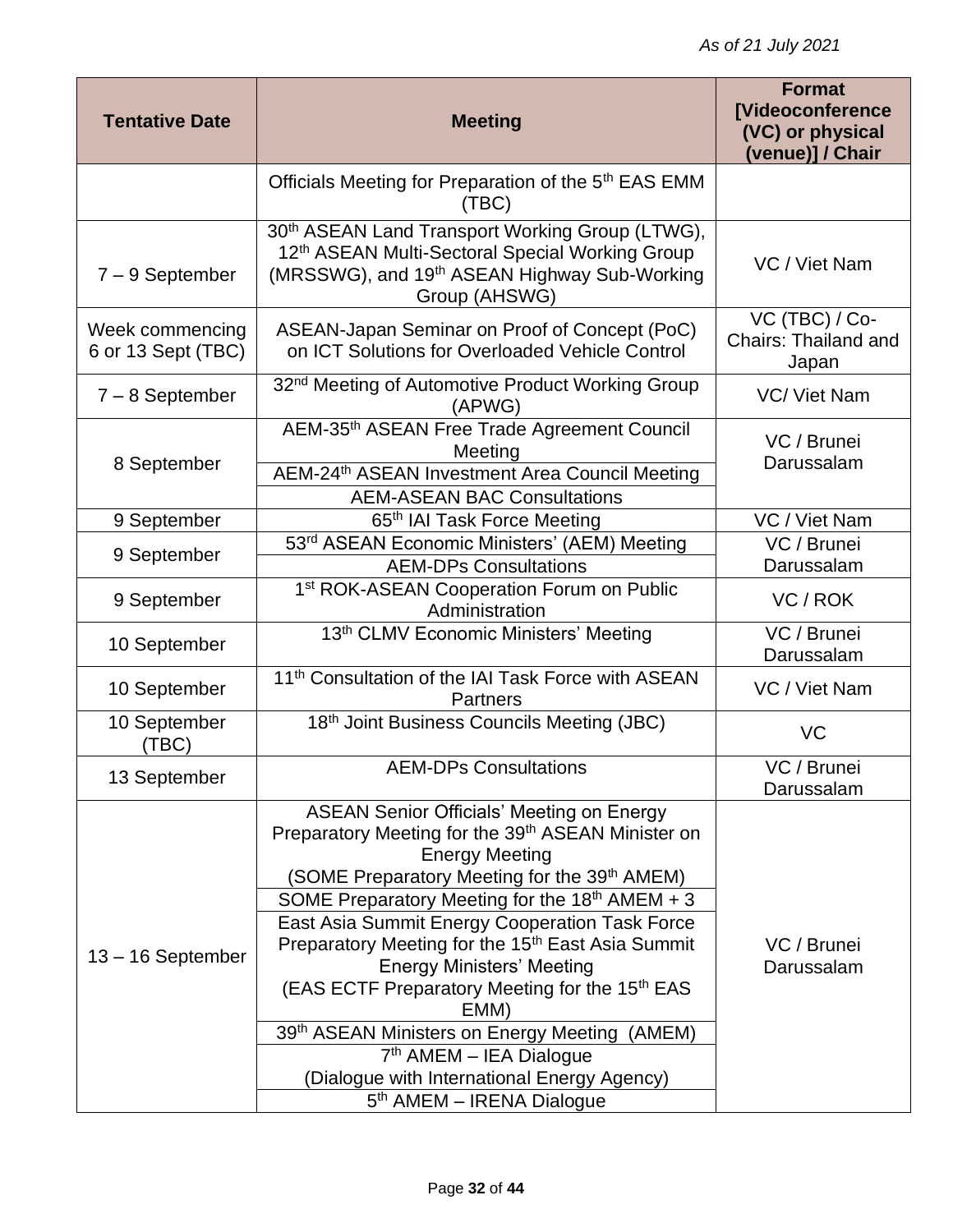| <b>Tentative Date</b>                 | <b>Meeting</b>                                                                                                                                                                                                                                                                                                                                                                                                                                                                                                                                                                                                                       | <b>Format</b><br><b>[Videoconference</b><br>(VC) or physical<br>(venue)] / Chair |
|---------------------------------------|--------------------------------------------------------------------------------------------------------------------------------------------------------------------------------------------------------------------------------------------------------------------------------------------------------------------------------------------------------------------------------------------------------------------------------------------------------------------------------------------------------------------------------------------------------------------------------------------------------------------------------------|----------------------------------------------------------------------------------|
|                                       | Officials Meeting for Preparation of the 5 <sup>th</sup> EAS EMM<br>(TBC)                                                                                                                                                                                                                                                                                                                                                                                                                                                                                                                                                            |                                                                                  |
| $7 - 9$ September                     | 30 <sup>th</sup> ASEAN Land Transport Working Group (LTWG),<br>12th ASEAN Multi-Sectoral Special Working Group<br>(MRSSWG), and 19 <sup>th</sup> ASEAN Highway Sub-Working<br>Group (AHSWG)                                                                                                                                                                                                                                                                                                                                                                                                                                          | VC / Viet Nam                                                                    |
| Week commencing<br>6 or 13 Sept (TBC) | ASEAN-Japan Seminar on Proof of Concept (PoC)<br>on ICT Solutions for Overloaded Vehicle Control                                                                                                                                                                                                                                                                                                                                                                                                                                                                                                                                     | VC (TBC) / Co-<br><b>Chairs: Thailand and</b><br>Japan                           |
| $7 - 8$ September                     | 32 <sup>nd</sup> Meeting of Automotive Product Working Group<br>(APWG)                                                                                                                                                                                                                                                                                                                                                                                                                                                                                                                                                               | VC/ Viet Nam                                                                     |
| 8 September                           | AEM-35th ASEAN Free Trade Agreement Council<br>Meeting<br>AEM-24 <sup>th</sup> ASEAN Investment Area Council Meeting<br><b>AEM-ASEAN BAC Consultations</b>                                                                                                                                                                                                                                                                                                                                                                                                                                                                           | VC / Brunei<br>Darussalam                                                        |
| 9 September                           | 65 <sup>th</sup> IAI Task Force Meeting                                                                                                                                                                                                                                                                                                                                                                                                                                                                                                                                                                                              | VC / Viet Nam                                                                    |
|                                       | 53rd ASEAN Economic Ministers' (AEM) Meeting                                                                                                                                                                                                                                                                                                                                                                                                                                                                                                                                                                                         | VC / Brunei                                                                      |
| 9 September                           | <b>AEM-DPs Consultations</b>                                                                                                                                                                                                                                                                                                                                                                                                                                                                                                                                                                                                         | Darussalam                                                                       |
| 9 September                           | 1st ROK-ASEAN Cooperation Forum on Public<br>Administration                                                                                                                                                                                                                                                                                                                                                                                                                                                                                                                                                                          | VC/ROK                                                                           |
| 10 September                          | 13th CLMV Economic Ministers' Meeting                                                                                                                                                                                                                                                                                                                                                                                                                                                                                                                                                                                                | VC / Brunei<br>Darussalam                                                        |
| 10 September                          | 11 <sup>th</sup> Consultation of the IAI Task Force with ASEAN<br><b>Partners</b>                                                                                                                                                                                                                                                                                                                                                                                                                                                                                                                                                    | VC / Viet Nam                                                                    |
| 10 September<br>(TEC)                 | 18th Joint Business Councils Meeting (JBC)                                                                                                                                                                                                                                                                                                                                                                                                                                                                                                                                                                                           | VC                                                                               |
| 13 September                          | <b>AEM-DPs Consultations</b>                                                                                                                                                                                                                                                                                                                                                                                                                                                                                                                                                                                                         | VC / Brunei<br>Darussalam                                                        |
| 13 - 16 September                     | <b>ASEAN Senior Officials' Meeting on Energy</b><br>Preparatory Meeting for the 39 <sup>th</sup> ASEAN Minister on<br><b>Energy Meeting</b><br>(SOME Preparatory Meeting for the 39th AMEM)<br>SOME Preparatory Meeting for the 18th AMEM + 3<br>East Asia Summit Energy Cooperation Task Force<br>Preparatory Meeting for the 15 <sup>th</sup> East Asia Summit<br><b>Energy Ministers' Meeting</b><br>(EAS ECTF Preparatory Meeting for the 15th EAS<br>EMM)<br>39th ASEAN Ministers on Energy Meeting (AMEM)<br>$7th$ AMEM – IEA Dialogue<br>(Dialogue with International Energy Agency)<br>5 <sup>th</sup> AMEM - IRENA Dialogue | VC / Brunei<br>Darussalam                                                        |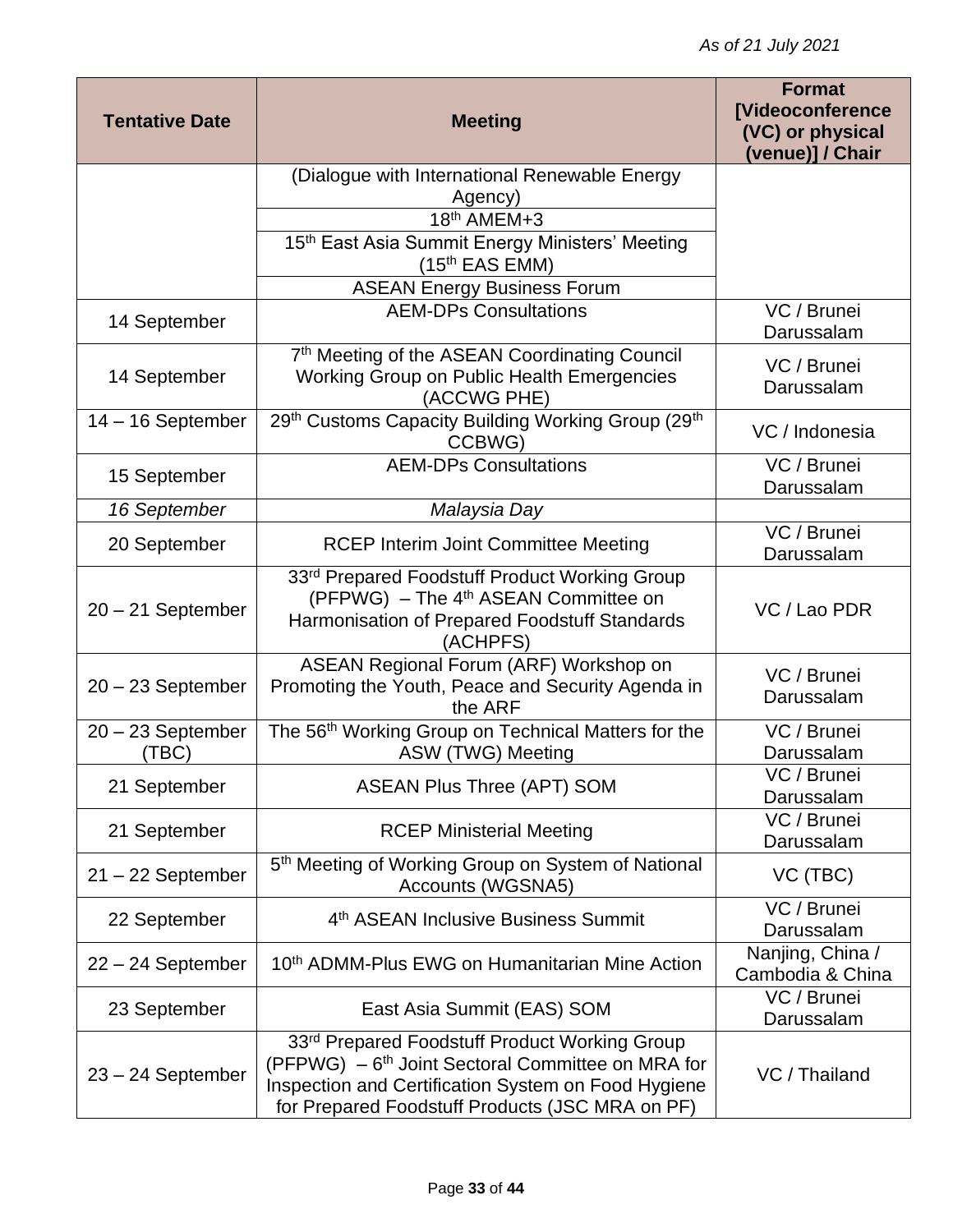| <b>Tentative Date</b>        | <b>Meeting</b>                                                                                                                                                                                                                       | <b>Format</b><br><b>[Videoconference</b><br>(VC) or physical<br>(venue)] / Chair |
|------------------------------|--------------------------------------------------------------------------------------------------------------------------------------------------------------------------------------------------------------------------------------|----------------------------------------------------------------------------------|
|                              | (Dialogue with International Renewable Energy                                                                                                                                                                                        |                                                                                  |
|                              | Agency)<br>18th AMEM+3                                                                                                                                                                                                               |                                                                                  |
|                              | 15th East Asia Summit Energy Ministers' Meeting                                                                                                                                                                                      |                                                                                  |
|                              | (15 <sup>th</sup> EAS EMM)                                                                                                                                                                                                           |                                                                                  |
|                              | <b>ASEAN Energy Business Forum</b>                                                                                                                                                                                                   |                                                                                  |
| 14 September                 | <b>AEM-DPs Consultations</b>                                                                                                                                                                                                         | VC / Brunei<br>Darussalam                                                        |
| 14 September                 | 7th Meeting of the ASEAN Coordinating Council<br>Working Group on Public Health Emergencies<br>(ACCWG PHE)                                                                                                                           | VC / Brunei<br>Darussalam                                                        |
| $14 - 16$ September          | 29th Customs Capacity Building Working Group (29th<br>CCBWG)                                                                                                                                                                         | VC / Indonesia                                                                   |
| 15 September                 | <b>AEM-DPs Consultations</b>                                                                                                                                                                                                         | VC / Brunei<br>Darussalam                                                        |
| 16 September                 | Malaysia Day                                                                                                                                                                                                                         |                                                                                  |
| 20 September                 | <b>RCEP Interim Joint Committee Meeting</b>                                                                                                                                                                                          | VC / Brunei<br>Darussalam                                                        |
| $20 - 21$ September          | 33rd Prepared Foodstuff Product Working Group<br>(PFPWG) - The 4 <sup>th</sup> ASEAN Committee on<br>Harmonisation of Prepared Foodstuff Standards<br>(ACHPFS)                                                                       | VC / Lao PDR                                                                     |
| $20 - 23$ September          | ASEAN Regional Forum (ARF) Workshop on<br>Promoting the Youth, Peace and Security Agenda in<br>the ARF                                                                                                                               | VC / Brunei<br>Darussalam                                                        |
| $20 - 23$ September<br>(TBC) | The 56 <sup>th</sup> Working Group on Technical Matters for the<br>ASW (TWG) Meeting                                                                                                                                                 | VC / Brunei<br>Darussalam                                                        |
| 21 September                 | <b>ASEAN Plus Three (APT) SOM</b>                                                                                                                                                                                                    | VC / Brunei<br>Darussalam                                                        |
| 21 September                 | <b>RCEP Ministerial Meeting</b>                                                                                                                                                                                                      | $\overline{VC}$ / Brunei<br>Darussalam                                           |
| $21 - 22$ September          | 5 <sup>th</sup> Meeting of Working Group on System of National<br>Accounts (WGSNA5)                                                                                                                                                  | VC (TBC)                                                                         |
| 22 September                 | 4 <sup>th</sup> ASEAN Inclusive Business Summit                                                                                                                                                                                      | VC / Brunei<br>Darussalam                                                        |
| $22 - 24$ September          | 10 <sup>th</sup> ADMM-Plus EWG on Humanitarian Mine Action                                                                                                                                                                           | Nanjing, China /<br>Cambodia & China                                             |
| 23 September                 | East Asia Summit (EAS) SOM                                                                                                                                                                                                           | VC / Brunei<br>Darussalam                                                        |
| $23 - 24$ September          | 33 <sup>rd</sup> Prepared Foodstuff Product Working Group<br>(PFPWG) - 6 <sup>th</sup> Joint Sectoral Committee on MRA for<br>Inspection and Certification System on Food Hygiene<br>for Prepared Foodstuff Products (JSC MRA on PF) | VC / Thailand                                                                    |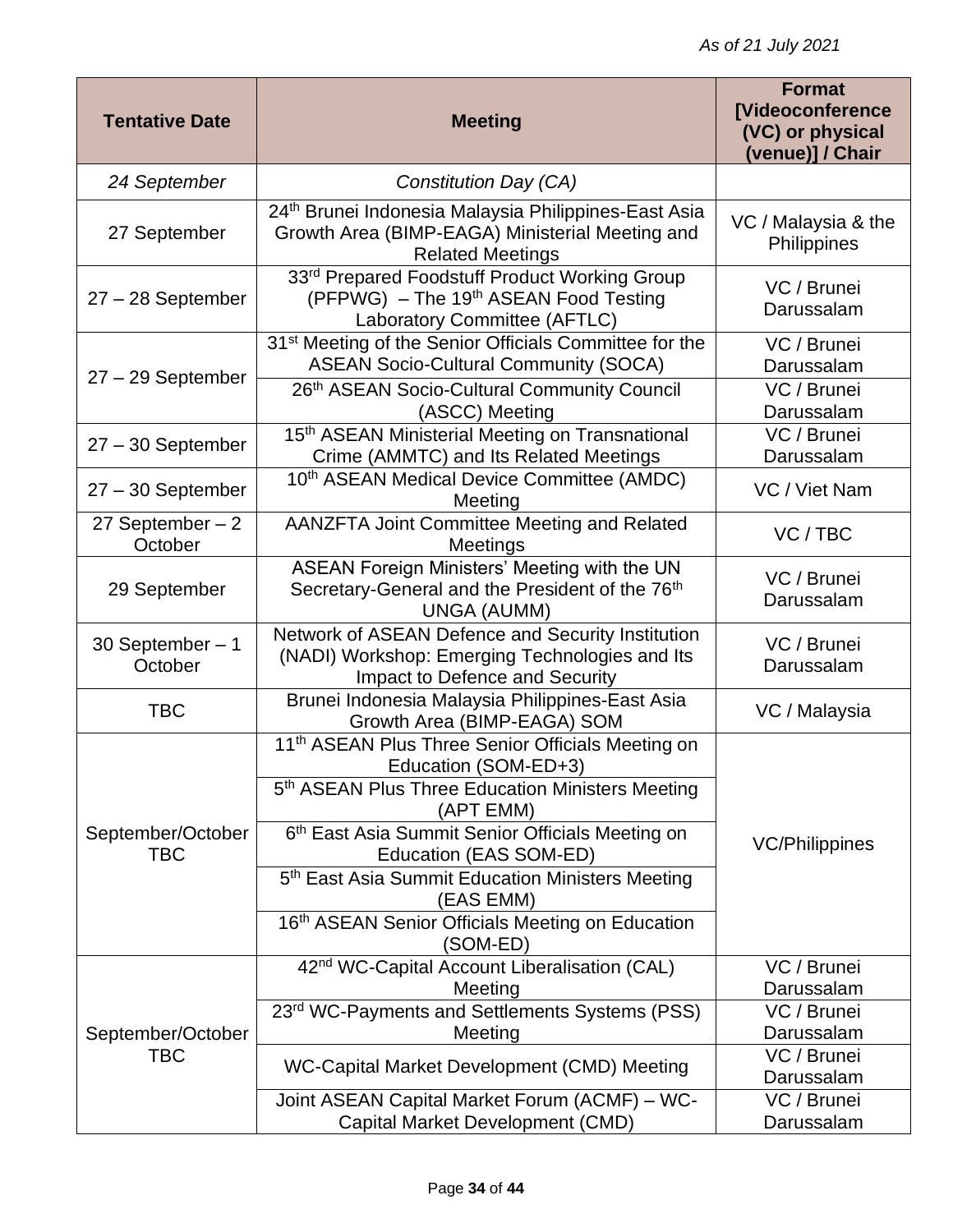| <b>Tentative Date</b>           | <b>Meeting</b>                                                                                                                                 | <b>Format</b><br><b>[Videoconference</b><br>(VC) or physical<br>(venue)] / Chair |
|---------------------------------|------------------------------------------------------------------------------------------------------------------------------------------------|----------------------------------------------------------------------------------|
| 24 September                    | Constitution Day (CA)                                                                                                                          |                                                                                  |
| 27 September                    | 24 <sup>th</sup> Brunei Indonesia Malaysia Philippines-East Asia<br>Growth Area (BIMP-EAGA) Ministerial Meeting and<br><b>Related Meetings</b> | VC / Malaysia & the<br>Philippines                                               |
| $27 - 28$ September             | 33rd Prepared Foodstuff Product Working Group<br>(PFPWG) - The 19th ASEAN Food Testing<br>Laboratory Committee (AFTLC)                         | VC / Brunei<br>Darussalam                                                        |
| $27 - 29$ September             | 31 <sup>st</sup> Meeting of the Senior Officials Committee for the<br><b>ASEAN Socio-Cultural Community (SOCA)</b>                             | VC / Brunei<br>Darussalam                                                        |
|                                 | 26th ASEAN Socio-Cultural Community Council<br>(ASCC) Meeting                                                                                  | VC / Brunei<br>Darussalam                                                        |
| $27 - 30$ September             | 15 <sup>th</sup> ASEAN Ministerial Meeting on Transnational<br>Crime (AMMTC) and Its Related Meetings                                          | VC / Brunei<br>Darussalam                                                        |
| $27 - 30$ September             | 10th ASEAN Medical Device Committee (AMDC)<br>Meeting                                                                                          | VC / Viet Nam                                                                    |
| 27 September $-2$<br>October    | AANZFTA Joint Committee Meeting and Related<br>Meetings                                                                                        | VC / TBC                                                                         |
| 29 September                    | ASEAN Foreign Ministers' Meeting with the UN<br>Secretary-General and the President of the 76 <sup>th</sup><br>UNGA (AUMM)                     | VC / Brunei<br>Darussalam                                                        |
| 30 September $-1$<br>October    | Network of ASEAN Defence and Security Institution<br>(NADI) Workshop: Emerging Technologies and Its<br>Impact to Defence and Security          | VC / Brunei<br>Darussalam                                                        |
| <b>TBC</b>                      | Brunei Indonesia Malaysia Philippines-East Asia<br>Growth Area (BIMP-EAGA) SOM                                                                 | VC / Malaysia                                                                    |
|                                 | 11 <sup>th</sup> ASEAN Plus Three Senior Officials Meeting on<br>Education (SOM-ED+3)                                                          |                                                                                  |
|                                 | 5 <sup>th</sup> ASEAN Plus Three Education Ministers Meeting<br>(APT EMM)                                                                      |                                                                                  |
| September/October<br><b>TBC</b> | 6 <sup>th</sup> East Asia Summit Senior Officials Meeting on<br>Education (EAS SOM-ED)                                                         | <b>VC/Philippines</b>                                                            |
|                                 | 5 <sup>th</sup> East Asia Summit Education Ministers Meeting<br>(EAS EMM)                                                                      |                                                                                  |
|                                 | 16th ASEAN Senior Officials Meeting on Education<br>(SOM-ED)                                                                                   |                                                                                  |
|                                 | 42 <sup>nd</sup> WC-Capital Account Liberalisation (CAL)<br>Meeting                                                                            | VC / Brunei<br>Darussalam                                                        |
|                                 | 23rd WC-Payments and Settlements Systems (PSS)                                                                                                 | VC / Brunei                                                                      |
| September/October               | Meeting                                                                                                                                        | Darussalam                                                                       |
| <b>TBC</b>                      | WC-Capital Market Development (CMD) Meeting                                                                                                    | VC / Brunei<br>Darussalam                                                        |
|                                 | Joint ASEAN Capital Market Forum (ACMF) - WC-<br>Capital Market Development (CMD)                                                              | VC / Brunei<br>Darussalam                                                        |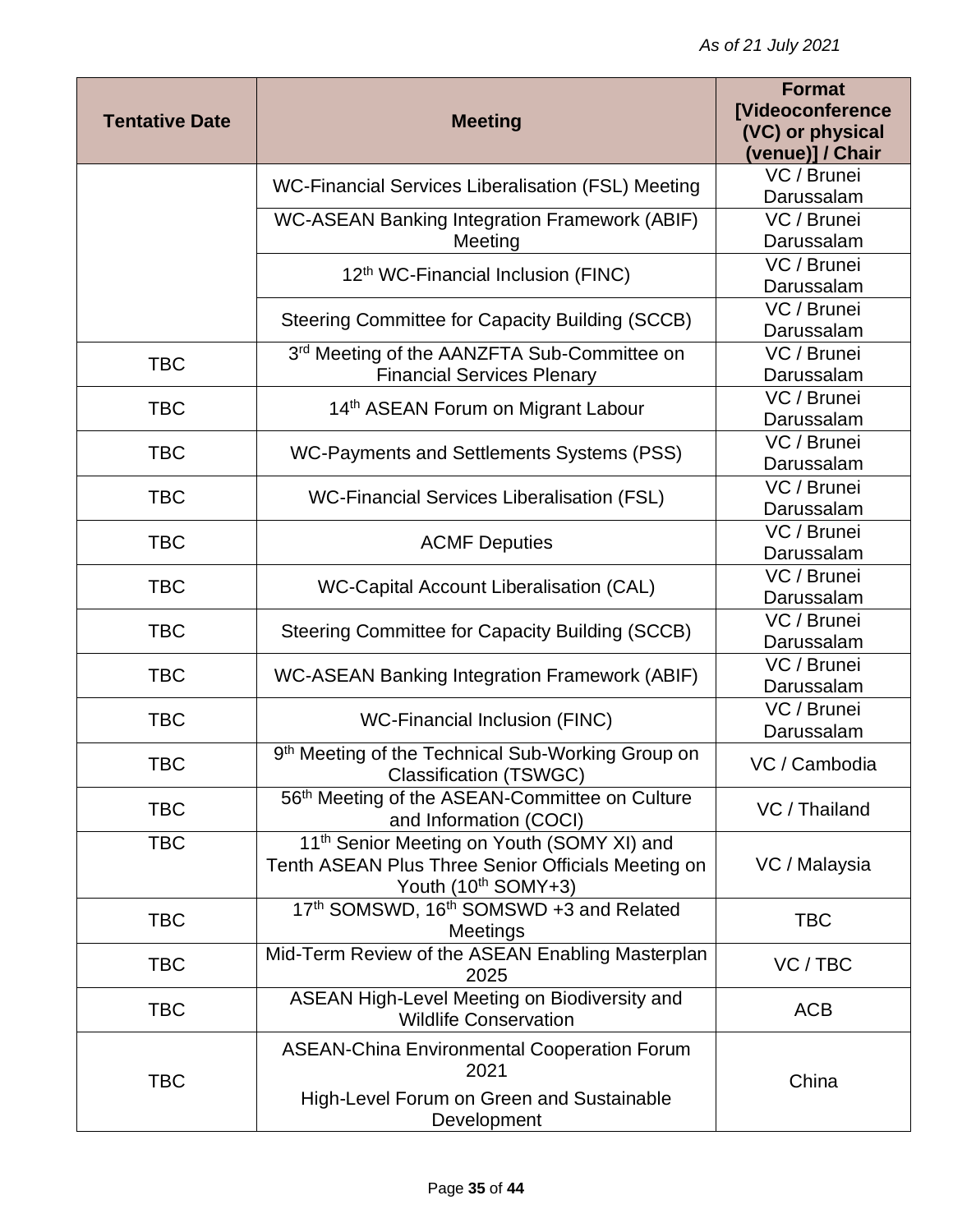| <b>Tentative Date</b> |                                                                                                                                     | <b>Format</b><br><b>[Videoconference</b> |
|-----------------------|-------------------------------------------------------------------------------------------------------------------------------------|------------------------------------------|
|                       | <b>Meeting</b>                                                                                                                      | (VC) or physical<br>(venue)] / Chair     |
|                       | WC-Financial Services Liberalisation (FSL) Meeting                                                                                  | VC / Brunei                              |
|                       |                                                                                                                                     | Darussalam                               |
|                       | <b>WC-ASEAN Banking Integration Framework (ABIF)</b>                                                                                | VC / Brunei                              |
|                       | Meeting                                                                                                                             | Darussalam                               |
|                       | 12 <sup>th</sup> WC-Financial Inclusion (FINC)                                                                                      | VC / Brunei<br>Darussalam                |
|                       | Steering Committee for Capacity Building (SCCB)                                                                                     | VC / Brunei<br>Darussalam                |
| <b>TBC</b>            | 3 <sup>rd</sup> Meeting of the AANZFTA Sub-Committee on                                                                             | VC / Brunei                              |
|                       | <b>Financial Services Plenary</b>                                                                                                   | Darussalam                               |
| <b>TBC</b>            | 14 <sup>th</sup> ASEAN Forum on Migrant Labour                                                                                      | VC / Brunei<br>Darussalam                |
| <b>TBC</b>            | WC-Payments and Settlements Systems (PSS)                                                                                           | VC / Brunei<br>Darussalam                |
| <b>TBC</b>            | <b>WC-Financial Services Liberalisation (FSL)</b>                                                                                   | VC / Brunei<br>Darussalam                |
| <b>TBC</b>            | <b>ACMF Deputies</b>                                                                                                                | VC / Brunei<br>Darussalam                |
| <b>TBC</b>            | WC-Capital Account Liberalisation (CAL)                                                                                             | VC / Brunei                              |
|                       |                                                                                                                                     | Darussalam                               |
| <b>TBC</b>            | Steering Committee for Capacity Building (SCCB)                                                                                     | VC / Brunei<br>Darussalam                |
| <b>TBC</b>            | <b>WC-ASEAN Banking Integration Framework (ABIF)</b>                                                                                | VC / Brunei<br>Darussalam                |
| <b>TBC</b>            | <b>WC-Financial Inclusion (FINC)</b>                                                                                                | VC / Brunei<br>Darussalam                |
| <b>TBC</b>            | 9th Meeting of the Technical Sub-Working Group on<br><b>Classification (TSWGC)</b>                                                  | VC / Cambodia                            |
| <b>TBC</b>            | 56 <sup>th</sup> Meeting of the ASEAN-Committee on Culture<br>and Information (COCI)                                                | VC / Thailand                            |
| <b>TBC</b>            | 11 <sup>th</sup> Senior Meeting on Youth (SOMY XI) and<br>Tenth ASEAN Plus Three Senior Officials Meeting on<br>Youth (10th SOMY+3) | VC / Malaysia                            |
| <b>TBC</b>            | 17th SOMSWD, 16th SOMSWD +3 and Related<br>Meetings                                                                                 | <b>TBC</b>                               |
| <b>TBC</b>            | Mid-Term Review of the ASEAN Enabling Masterplan<br>2025                                                                            | VC / TBC                                 |
| <b>TBC</b>            | ASEAN High-Level Meeting on Biodiversity and<br><b>Wildlife Conservation</b>                                                        | <b>ACB</b>                               |
| <b>TBC</b>            | <b>ASEAN-China Environmental Cooperation Forum</b><br>2021<br>High-Level Forum on Green and Sustainable<br>Development              | China                                    |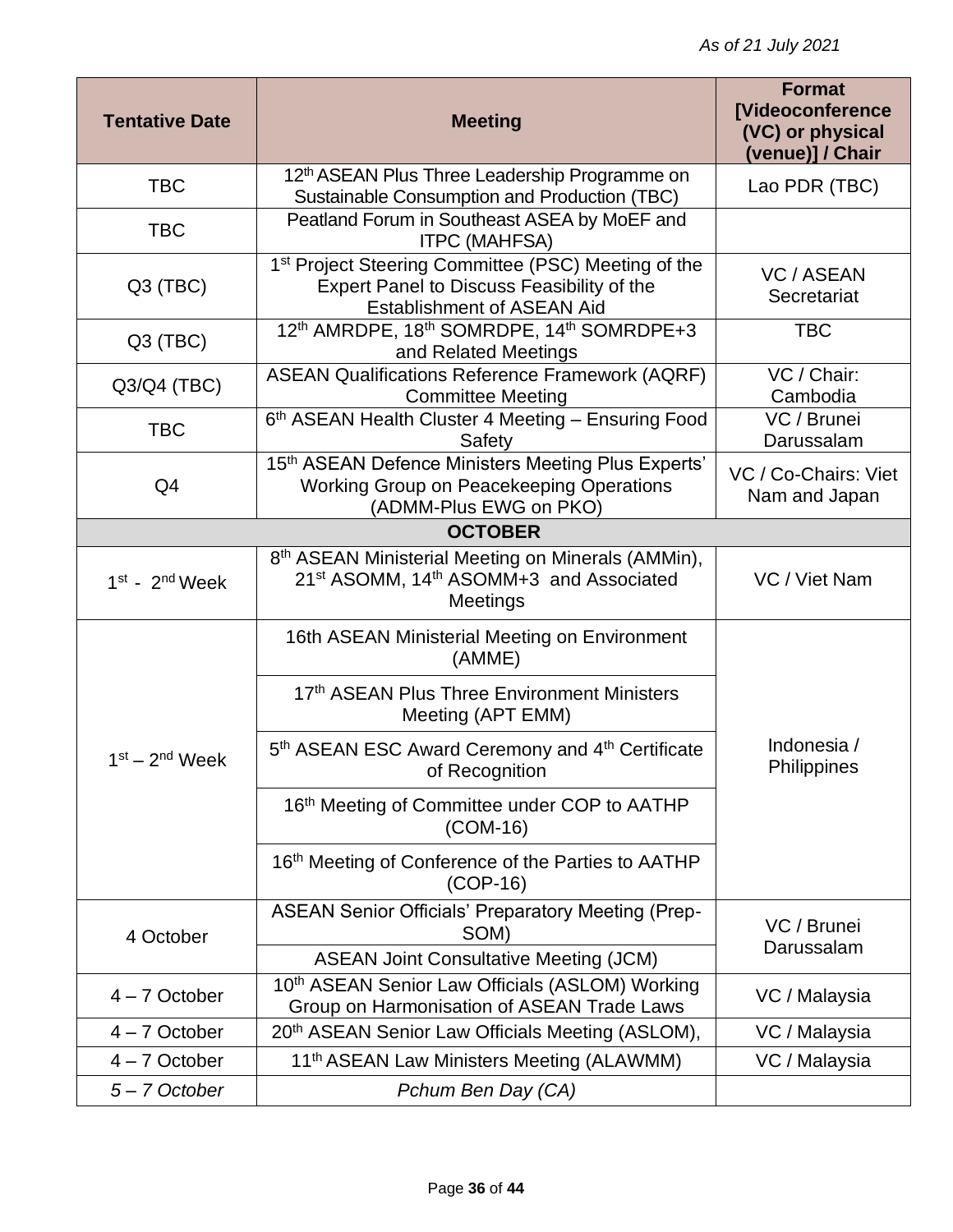| <b>Tentative Date</b> | <b>Meeting</b>                                                                                                                                | <b>Format</b><br><b>[Videoconference</b><br>(VC) or physical<br>(venue)] / Chair |
|-----------------------|-----------------------------------------------------------------------------------------------------------------------------------------------|----------------------------------------------------------------------------------|
| <b>TBC</b>            | 12 <sup>th</sup> ASEAN Plus Three Leadership Programme on<br>Sustainable Consumption and Production (TBC)                                     | Lao PDR (TBC)                                                                    |
| <b>TBC</b>            | Peatland Forum in Southeast ASEA by MoEF and<br><b>ITPC (MAHFSA)</b>                                                                          |                                                                                  |
| $Q3$ (TBC)            | 1st Project Steering Committee (PSC) Meeting of the<br>Expert Panel to Discuss Feasibility of the<br><b>Establishment of ASEAN Aid</b>        | VC / ASEAN<br>Secretariat                                                        |
| Q3 (TBC)              | 12 <sup>th</sup> AMRDPE, 18 <sup>th</sup> SOMRDPE, 14 <sup>th</sup> SOMRDPE+3<br>and Related Meetings                                         | <b>TBC</b>                                                                       |
| Q3/Q4 (TBC)           | <b>ASEAN Qualifications Reference Framework (AQRF)</b><br><b>Committee Meeting</b>                                                            | VC / Chair:<br>Cambodia                                                          |
| <b>TBC</b>            | 6th ASEAN Health Cluster 4 Meeting - Ensuring Food<br>Safety                                                                                  | VC / Brunei<br>Darussalam                                                        |
| Q <sub>4</sub>        | 15th ASEAN Defence Ministers Meeting Plus Experts'<br>Working Group on Peacekeeping Operations<br>(ADMM-Plus EWG on PKO)                      | VC / Co-Chairs: Viet<br>Nam and Japan                                            |
|                       | <b>OCTOBER</b>                                                                                                                                |                                                                                  |
| $1st$ - $2nd$ Week    | 8 <sup>th</sup> ASEAN Ministerial Meeting on Minerals (AMMin),<br>21 <sup>st</sup> ASOMM, 14 <sup>th</sup> ASOMM+3 and Associated<br>Meetings | VC / Viet Nam                                                                    |
|                       | 16th ASEAN Ministerial Meeting on Environment<br>(AMME)                                                                                       |                                                                                  |
|                       | 17th ASEAN Plus Three Environment Ministers<br>Meeting (APT EMM)                                                                              |                                                                                  |
| $1st - 2nd$ Week      | 5 <sup>th</sup> ASEAN ESC Award Ceremony and 4 <sup>th</sup> Certificate<br>of Recognition                                                    | Indonesia /<br>Philippines                                                       |
|                       | 16th Meeting of Committee under COP to AATHP<br>$(COM-16)$                                                                                    |                                                                                  |
|                       | 16th Meeting of Conference of the Parties to AATHP<br>$(COP-16)$                                                                              |                                                                                  |
| 4 October             | ASEAN Senior Officials' Preparatory Meeting (Prep-<br>SOM)                                                                                    | VC / Brunei<br>Darussalam                                                        |
|                       | <b>ASEAN Joint Consultative Meeting (JCM)</b>                                                                                                 |                                                                                  |
| $4 - 7$ October       | 10th ASEAN Senior Law Officials (ASLOM) Working<br>Group on Harmonisation of ASEAN Trade Laws                                                 | VC / Malaysia                                                                    |
| $4 - 7$ October       | 20 <sup>th</sup> ASEAN Senior Law Officials Meeting (ASLOM),                                                                                  | VC / Malaysia                                                                    |
| $4 - 7$ October       | 11 <sup>th</sup> ASEAN Law Ministers Meeting (ALAWMM)                                                                                         | VC / Malaysia                                                                    |
| 5-7 October           | Pchum Ben Day (CA)                                                                                                                            |                                                                                  |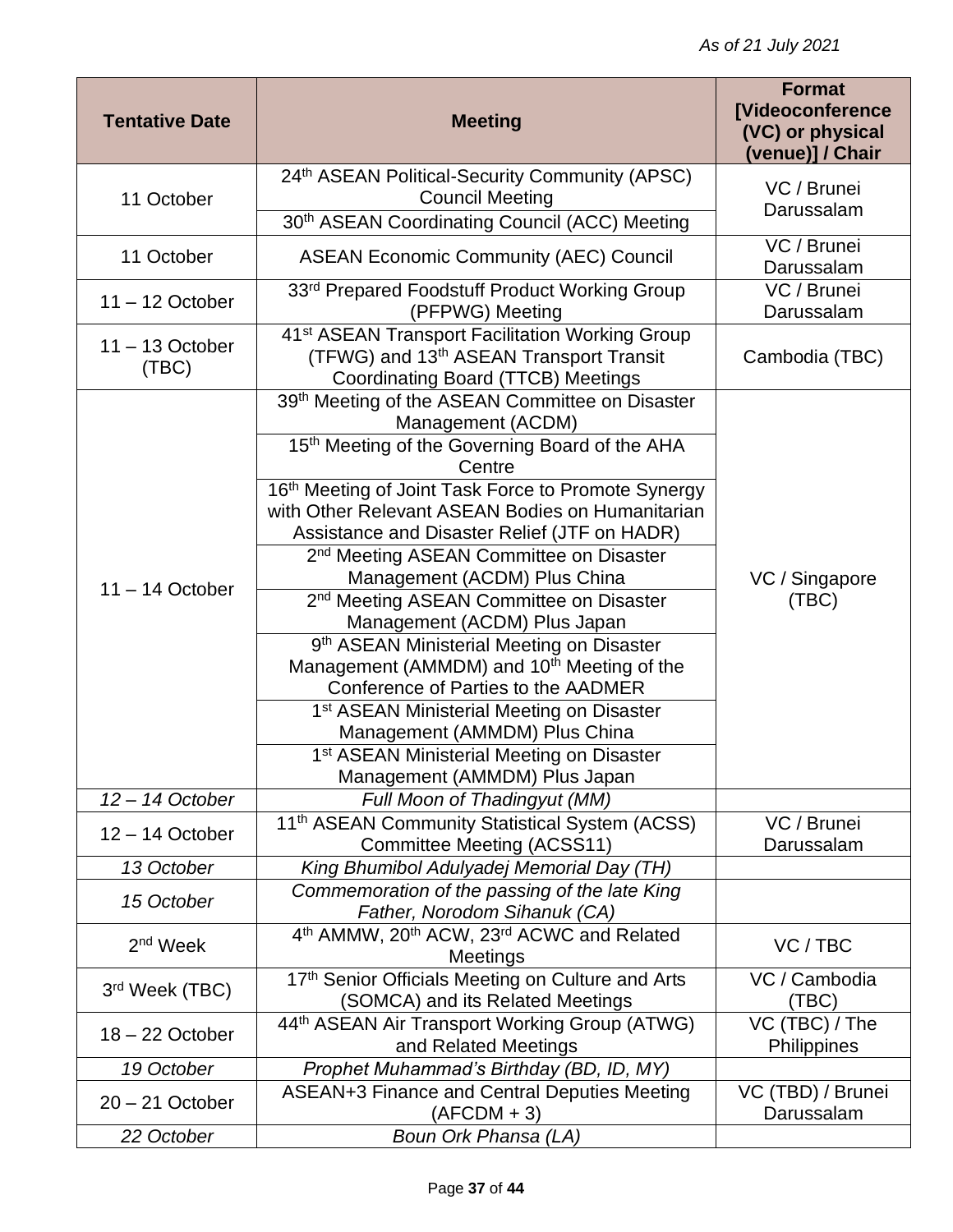| <b>Tentative Date</b>      | <b>Meeting</b>                                                                                      | <b>Format</b><br><b>[Videoconference</b><br>(VC) or physical<br>(venue)] / Chair |
|----------------------------|-----------------------------------------------------------------------------------------------------|----------------------------------------------------------------------------------|
| 11 October                 | 24th ASEAN Political-Security Community (APSC)                                                      | VC / Brunei                                                                      |
|                            | <b>Council Meeting</b>                                                                              | Darussalam                                                                       |
|                            | 30th ASEAN Coordinating Council (ACC) Meeting                                                       | VC / Brunei                                                                      |
| 11 October                 | <b>ASEAN Economic Community (AEC) Council</b>                                                       | Darussalam                                                                       |
| $11 - 12$ October          | 33rd Prepared Foodstuff Product Working Group<br>(PFPWG) Meeting                                    | VC / Brunei<br>Darussalam                                                        |
|                            | 41 <sup>st</sup> ASEAN Transport Facilitation Working Group                                         |                                                                                  |
| $11 - 13$ October<br>(TEC) | (TFWG) and 13 <sup>th</sup> ASEAN Transport Transit                                                 | Cambodia (TBC)                                                                   |
|                            | Coordinating Board (TTCB) Meetings<br>39th Meeting of the ASEAN Committee on Disaster               |                                                                                  |
|                            | Management (ACDM)                                                                                   |                                                                                  |
|                            | 15th Meeting of the Governing Board of the AHA                                                      |                                                                                  |
|                            | Centre                                                                                              |                                                                                  |
|                            | 16th Meeting of Joint Task Force to Promote Synergy                                                 |                                                                                  |
|                            | with Other Relevant ASEAN Bodies on Humanitarian                                                    |                                                                                  |
|                            | Assistance and Disaster Relief (JTF on HADR)<br>2 <sup>nd</sup> Meeting ASEAN Committee on Disaster |                                                                                  |
|                            | Management (ACDM) Plus China                                                                        | VC / Singapore<br>(TBC)                                                          |
| $11 - 14$ October          | 2 <sup>nd</sup> Meeting ASEAN Committee on Disaster                                                 |                                                                                  |
|                            | Management (ACDM) Plus Japan                                                                        |                                                                                  |
|                            | 9 <sup>th</sup> ASEAN Ministerial Meeting on Disaster                                               |                                                                                  |
|                            | Management (AMMDM) and 10 <sup>th</sup> Meeting of the                                              |                                                                                  |
|                            | Conference of Parties to the AADMER                                                                 |                                                                                  |
|                            | 1 <sup>st</sup> ASEAN Ministerial Meeting on Disaster                                               |                                                                                  |
|                            | Management (AMMDM) Plus China                                                                       |                                                                                  |
|                            | 1 <sup>st</sup> ASEAN Ministerial Meeting on Disaster                                               |                                                                                  |
|                            | Management (AMMDM) Plus Japan                                                                       |                                                                                  |
| $12 - 14$ October          | <b>Full Moon of Thadingyut (MM)</b>                                                                 |                                                                                  |
| $12 - 14$ October          | 11 <sup>th</sup> ASEAN Community Statistical System (ACSS)<br><b>Committee Meeting (ACSS11)</b>     | VC / Brunei<br>Darussalam                                                        |
| 13 October                 | King Bhumibol Adulyadej Memorial Day (TH)                                                           |                                                                                  |
| 15 October                 | Commemoration of the passing of the late King<br>Father, Norodom Sihanuk (CA)                       |                                                                                  |
|                            | 4 <sup>th</sup> AMMW, 20 <sup>th</sup> ACW, 23 <sup>rd</sup> ACWC and Related                       |                                                                                  |
| 2 <sup>nd</sup> Week       | Meetings                                                                                            | VC/TBC                                                                           |
| 3rd Week (TBC)             | 17th Senior Officials Meeting on Culture and Arts<br>(SOMCA) and its Related Meetings               | VC / Cambodia<br>(TBC)                                                           |
|                            | 44th ASEAN Air Transport Working Group (ATWG)                                                       | VC (TBC) / The                                                                   |
| $18 - 22$ October          | and Related Meetings                                                                                | Philippines                                                                      |
| 19 October                 | Prophet Muhammad's Birthday (BD, ID, MY)                                                            |                                                                                  |
| $20 - 21$ October          | ASEAN+3 Finance and Central Deputies Meeting<br>$(AFCDM + 3)$                                       | VC (TBD) / Brunei<br>Darussalam                                                  |
| 22 October                 | Boun Ork Phansa (LA)                                                                                |                                                                                  |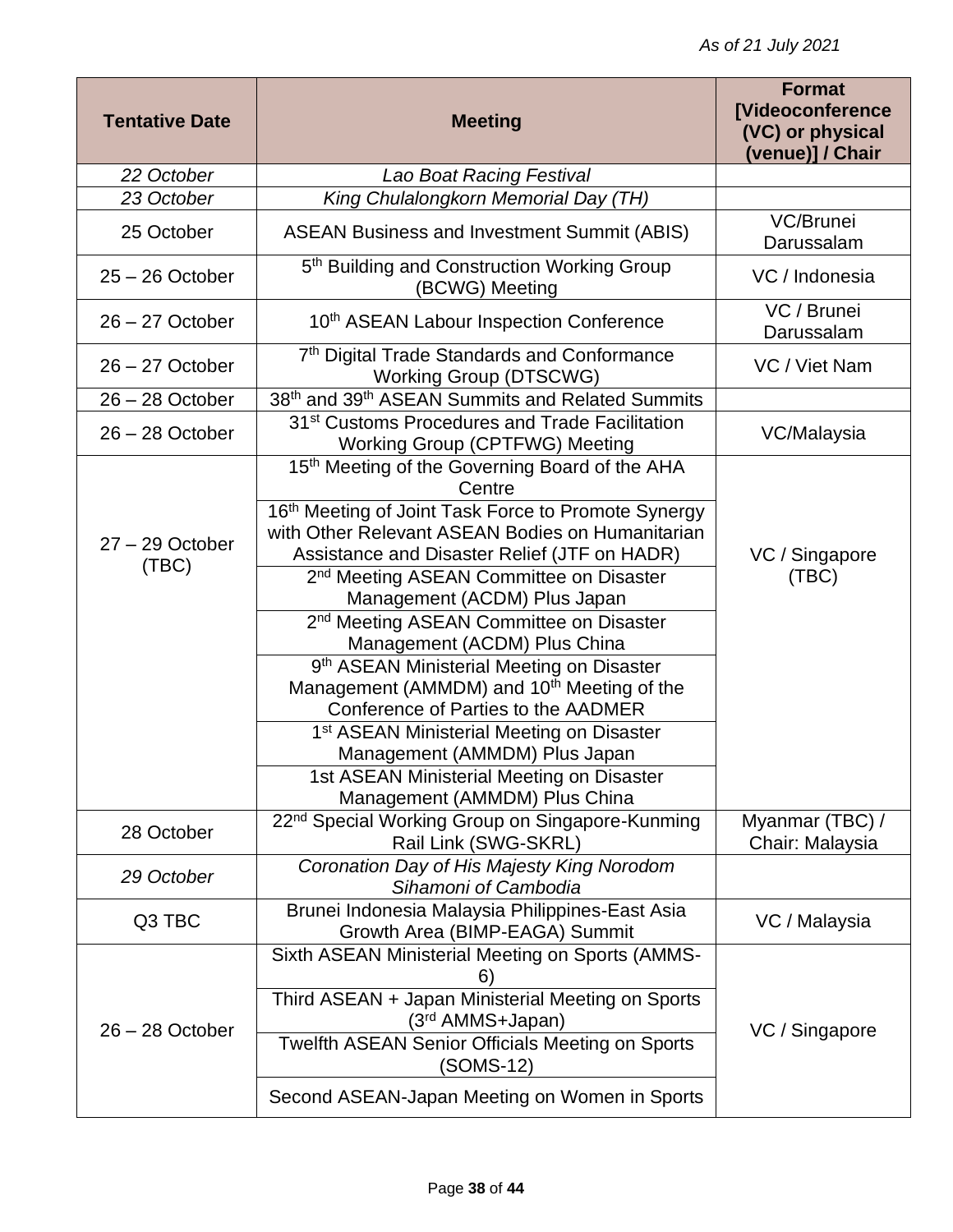| <b>Tentative Date</b>      | <b>Meeting</b>                                                                                                                                                                                                                                                                                                                                                                                                                                                                                                                                                                                                                                                                                                                                  | <b>Format</b><br>[Videoconference<br>(VC) or physical<br>(venue)] / Chair |
|----------------------------|-------------------------------------------------------------------------------------------------------------------------------------------------------------------------------------------------------------------------------------------------------------------------------------------------------------------------------------------------------------------------------------------------------------------------------------------------------------------------------------------------------------------------------------------------------------------------------------------------------------------------------------------------------------------------------------------------------------------------------------------------|---------------------------------------------------------------------------|
| 22 October                 | Lao Boat Racing Festival                                                                                                                                                                                                                                                                                                                                                                                                                                                                                                                                                                                                                                                                                                                        |                                                                           |
| 23 October                 | King Chulalongkorn Memorial Day (TH)                                                                                                                                                                                                                                                                                                                                                                                                                                                                                                                                                                                                                                                                                                            |                                                                           |
| 25 October                 | <b>ASEAN Business and Investment Summit (ABIS)</b>                                                                                                                                                                                                                                                                                                                                                                                                                                                                                                                                                                                                                                                                                              | VC/Brunei<br>Darussalam                                                   |
| $25 - 26$ October          | 5 <sup>th</sup> Building and Construction Working Group<br>(BCWG) Meeting                                                                                                                                                                                                                                                                                                                                                                                                                                                                                                                                                                                                                                                                       | VC / Indonesia                                                            |
| $26 - 27$ October          | 10th ASEAN Labour Inspection Conference                                                                                                                                                                                                                                                                                                                                                                                                                                                                                                                                                                                                                                                                                                         | VC / Brunei<br>Darussalam                                                 |
| $26 - 27$ October          | 7th Digital Trade Standards and Conformance<br><b>Working Group (DTSCWG)</b>                                                                                                                                                                                                                                                                                                                                                                                                                                                                                                                                                                                                                                                                    | VC / Viet Nam                                                             |
| $26 - 28$ October          | 38th and 39th ASEAN Summits and Related Summits                                                                                                                                                                                                                                                                                                                                                                                                                                                                                                                                                                                                                                                                                                 |                                                                           |
| $26 - 28$ October          | 31 <sup>st</sup> Customs Procedures and Trade Facilitation<br><b>Working Group (CPTFWG) Meeting</b>                                                                                                                                                                                                                                                                                                                                                                                                                                                                                                                                                                                                                                             | VC/Malaysia                                                               |
| $27 - 29$ October<br>(TEC) | 15 <sup>th</sup> Meeting of the Governing Board of the AHA<br>Centre<br>16th Meeting of Joint Task Force to Promote Synergy<br>with Other Relevant ASEAN Bodies on Humanitarian<br>Assistance and Disaster Relief (JTF on HADR)<br>2 <sup>nd</sup> Meeting ASEAN Committee on Disaster<br>Management (ACDM) Plus Japan<br>2 <sup>nd</sup> Meeting ASEAN Committee on Disaster<br>Management (ACDM) Plus China<br>9 <sup>th</sup> ASEAN Ministerial Meeting on Disaster<br>Management (AMMDM) and 10 <sup>th</sup> Meeting of the<br>Conference of Parties to the AADMER<br>1 <sup>st</sup> ASEAN Ministerial Meeting on Disaster<br>Management (AMMDM) Plus Japan<br>1st ASEAN Ministerial Meeting on Disaster<br>Management (AMMDM) Plus China | VC / Singapore<br>(TBC)                                                   |
| 28 October                 | 22 <sup>nd</sup> Special Working Group on Singapore-Kunming<br>Rail Link (SWG-SKRL)                                                                                                                                                                                                                                                                                                                                                                                                                                                                                                                                                                                                                                                             | Myanmar (TBC) /<br>Chair: Malaysia                                        |
| 29 October                 | Coronation Day of His Majesty King Norodom<br>Sihamoni of Cambodia                                                                                                                                                                                                                                                                                                                                                                                                                                                                                                                                                                                                                                                                              |                                                                           |
| Q3 TBC                     | Brunei Indonesia Malaysia Philippines-East Asia<br>Growth Area (BIMP-EAGA) Summit                                                                                                                                                                                                                                                                                                                                                                                                                                                                                                                                                                                                                                                               | VC / Malaysia                                                             |
| $26 - 28$ October          | Sixth ASEAN Ministerial Meeting on Sports (AMMS-<br>b.<br>Third ASEAN + Japan Ministerial Meeting on Sports<br>(3 <sup>rd</sup> AMMS+Japan)<br><b>Twelfth ASEAN Senior Officials Meeting on Sports</b><br>(SOMS-12)<br>Second ASEAN-Japan Meeting on Women in Sports                                                                                                                                                                                                                                                                                                                                                                                                                                                                            | VC / Singapore                                                            |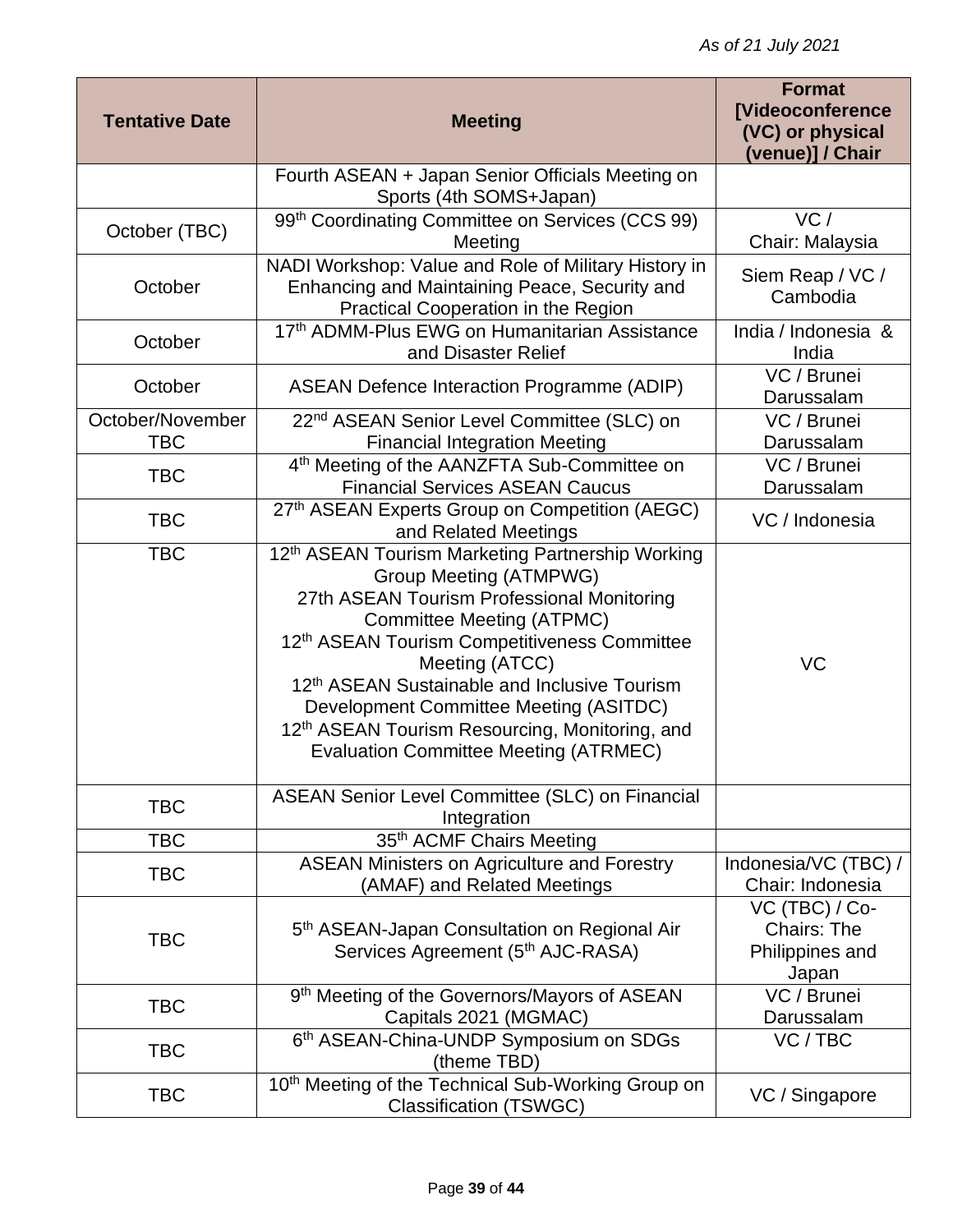| <b>Tentative Date</b>          | <b>Meeting</b>                                                                                                                                                                                                                                                                                                                                                                                                                                                 | <b>Format</b><br><b>[Videoconference</b><br>(VC) or physical<br>(venue)] / Chair |
|--------------------------------|----------------------------------------------------------------------------------------------------------------------------------------------------------------------------------------------------------------------------------------------------------------------------------------------------------------------------------------------------------------------------------------------------------------------------------------------------------------|----------------------------------------------------------------------------------|
|                                | Fourth ASEAN + Japan Senior Officials Meeting on<br>Sports (4th SOMS+Japan)                                                                                                                                                                                                                                                                                                                                                                                    |                                                                                  |
| October (TBC)                  | 99th Coordinating Committee on Services (CCS 99)<br>Meeting                                                                                                                                                                                                                                                                                                                                                                                                    | VC/<br>Chair: Malaysia                                                           |
| October                        | NADI Workshop: Value and Role of Military History in<br>Enhancing and Maintaining Peace, Security and<br>Practical Cooperation in the Region                                                                                                                                                                                                                                                                                                                   | Siem Reap / VC /<br>Cambodia                                                     |
| October                        | 17th ADMM-Plus EWG on Humanitarian Assistance<br>and Disaster Relief                                                                                                                                                                                                                                                                                                                                                                                           | India / Indonesia &<br>India                                                     |
| October                        | <b>ASEAN Defence Interaction Programme (ADIP)</b>                                                                                                                                                                                                                                                                                                                                                                                                              | VC / Brunei<br>Darussalam                                                        |
| October/November<br><b>TBC</b> | 22 <sup>nd</sup> ASEAN Senior Level Committee (SLC) on<br><b>Financial Integration Meeting</b>                                                                                                                                                                                                                                                                                                                                                                 | VC / Brunei<br>Darussalam                                                        |
| <b>TBC</b>                     | 4 <sup>th</sup> Meeting of the AANZFTA Sub-Committee on<br><b>Financial Services ASEAN Caucus</b>                                                                                                                                                                                                                                                                                                                                                              | VC / Brunei<br>Darussalam                                                        |
| <b>TBC</b>                     | 27th ASEAN Experts Group on Competition (AEGC)<br>and Related Meetings                                                                                                                                                                                                                                                                                                                                                                                         | VC / Indonesia                                                                   |
| <b>TBC</b>                     | 12 <sup>th</sup> ASEAN Tourism Marketing Partnership Working<br><b>Group Meeting (ATMPWG)</b><br>27th ASEAN Tourism Professional Monitoring<br>Committee Meeting (ATPMC)<br>12th ASEAN Tourism Competitiveness Committee<br>Meeting (ATCC)<br>12 <sup>th</sup> ASEAN Sustainable and Inclusive Tourism<br>Development Committee Meeting (ASITDC)<br>12 <sup>th</sup> ASEAN Tourism Resourcing, Monitoring, and<br><b>Evaluation Committee Meeting (ATRMEC)</b> | VC                                                                               |
| <b>TBC</b>                     | ASEAN Senior Level Committee (SLC) on Financial<br>Integration                                                                                                                                                                                                                                                                                                                                                                                                 |                                                                                  |
| <b>TBC</b>                     | 35th ACMF Chairs Meeting                                                                                                                                                                                                                                                                                                                                                                                                                                       |                                                                                  |
| <b>TBC</b>                     | <b>ASEAN Ministers on Agriculture and Forestry</b><br>(AMAF) and Related Meetings                                                                                                                                                                                                                                                                                                                                                                              | Indonesia/VC (TBC) /<br>Chair: Indonesia                                         |
| <b>TBC</b>                     | 5 <sup>th</sup> ASEAN-Japan Consultation on Regional Air<br>Services Agreement (5th AJC-RASA)                                                                                                                                                                                                                                                                                                                                                                  | VC (TBC) / Co-<br><b>Chairs: The</b><br>Philippines and<br>Japan                 |
| <b>TBC</b>                     | 9th Meeting of the Governors/Mayors of ASEAN<br>Capitals 2021 (MGMAC)                                                                                                                                                                                                                                                                                                                                                                                          | VC / Brunei<br>Darussalam                                                        |
| <b>TBC</b>                     | 6th ASEAN-China-UNDP Symposium on SDGs<br>(theme TBD)                                                                                                                                                                                                                                                                                                                                                                                                          | VC / TBC                                                                         |
| <b>TBC</b>                     | 10 <sup>th</sup> Meeting of the Technical Sub-Working Group on<br><b>Classification (TSWGC)</b>                                                                                                                                                                                                                                                                                                                                                                | VC / Singapore                                                                   |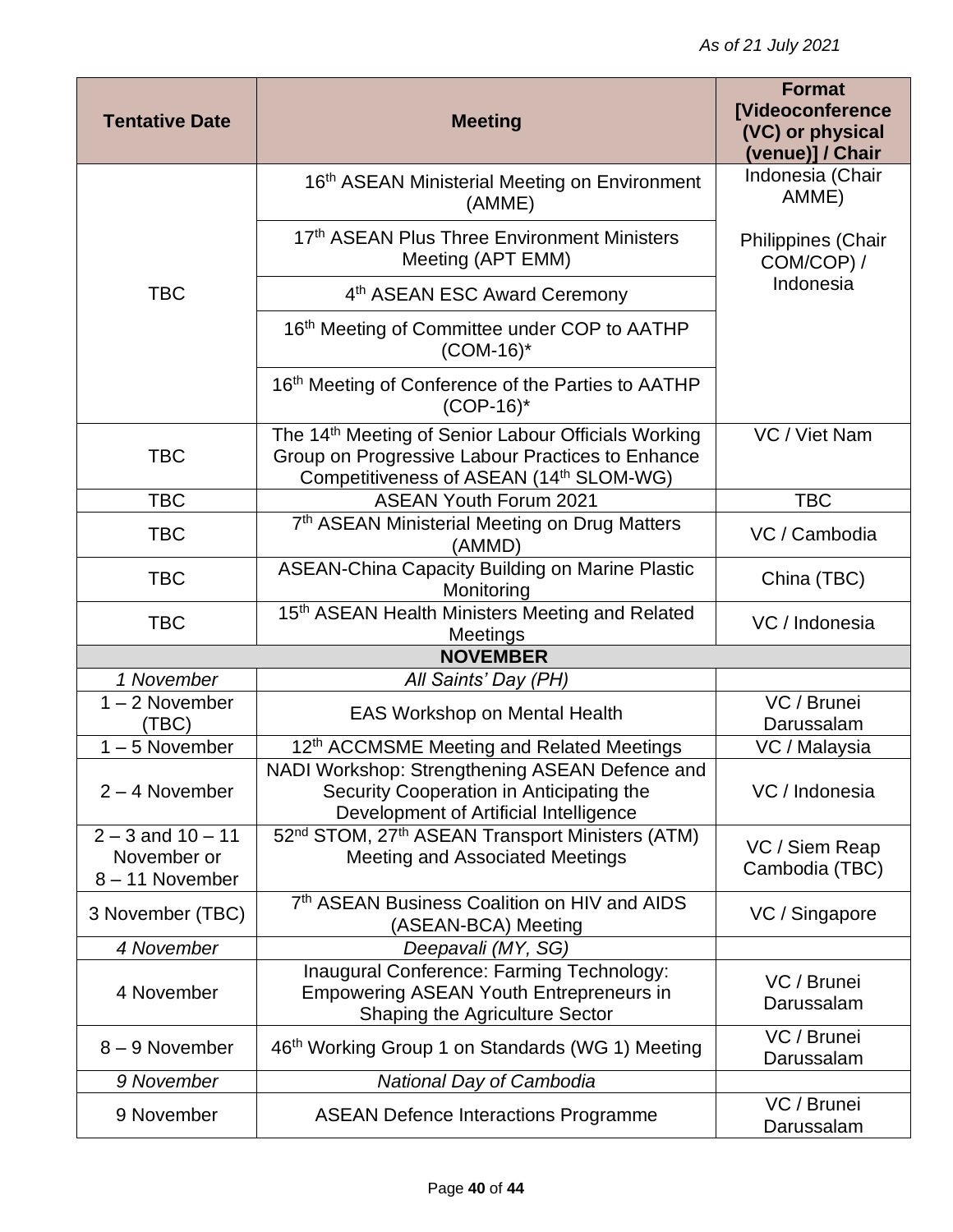| <b>Tentative Date</b>                                   | <b>Meeting</b>                                                                                                                                                 | <b>Format</b><br><b>[Videoconference</b><br>(VC) or physical<br>(venue)] / Chair |
|---------------------------------------------------------|----------------------------------------------------------------------------------------------------------------------------------------------------------------|----------------------------------------------------------------------------------|
|                                                         | 16th ASEAN Ministerial Meeting on Environment<br>(AMME)                                                                                                        | Indonesia (Chair<br>AMME)                                                        |
|                                                         | 17th ASEAN Plus Three Environment Ministers<br>Meeting (APT EMM)                                                                                               | Philippines (Chair<br>COM/COP) /                                                 |
| <b>TBC</b>                                              | 4 <sup>th</sup> ASEAN ESC Award Ceremony                                                                                                                       | Indonesia                                                                        |
|                                                         | 16 <sup>th</sup> Meeting of Committee under COP to AATHP<br>$(COM-16)^*$                                                                                       |                                                                                  |
|                                                         | 16th Meeting of Conference of the Parties to AATHP<br>$(COP-16)^*$                                                                                             |                                                                                  |
| <b>TBC</b>                                              | The 14 <sup>th</sup> Meeting of Senior Labour Officials Working<br>Group on Progressive Labour Practices to Enhance<br>Competitiveness of ASEAN (14th SLOM-WG) | VC / Viet Nam                                                                    |
| <b>TBC</b>                                              | <b>ASEAN Youth Forum 2021</b>                                                                                                                                  | <b>TBC</b>                                                                       |
| <b>TBC</b>                                              | 7th ASEAN Ministerial Meeting on Drug Matters<br>(AMMD)                                                                                                        | VC / Cambodia                                                                    |
| <b>TBC</b>                                              | <b>ASEAN-China Capacity Building on Marine Plastic</b><br>Monitoring                                                                                           | China (TBC)                                                                      |
| <b>TBC</b>                                              | 15th ASEAN Health Ministers Meeting and Related<br>Meetings                                                                                                    | VC / Indonesia                                                                   |
|                                                         | <b>NOVEMBER</b>                                                                                                                                                |                                                                                  |
| 1 November                                              | All Saints' Day (PH)                                                                                                                                           |                                                                                  |
| $1 - 2$ November<br>(TBC)                               | <b>EAS Workshop on Mental Health</b>                                                                                                                           | VC / Brunei<br>Darussalam                                                        |
| $1 - 5$ November                                        | 12th ACCMSME Meeting and Related Meetings                                                                                                                      | VC / Malaysia                                                                    |
| $2 - 4$ November                                        | NADI Workshop: Strengthening ASEAN Defence and<br>Security Cooperation in Anticipating the<br>Development of Artificial Intelligence                           | VC / Indonesia                                                                   |
| $2 - 3$ and $10 - 11$<br>November or<br>8 - 11 November | 52 <sup>nd</sup> STOM, 27 <sup>th</sup> ASEAN Transport Ministers (ATM)<br><b>Meeting and Associated Meetings</b>                                              | VC / Siem Reap<br>Cambodia (TBC)                                                 |
| 3 November (TBC)                                        | 7th ASEAN Business Coalition on HIV and AIDS<br>(ASEAN-BCA) Meeting                                                                                            | VC / Singapore                                                                   |
| 4 November                                              | Deepavali (MY, SG)                                                                                                                                             |                                                                                  |
| 4 November                                              | Inaugural Conference: Farming Technology:<br><b>Empowering ASEAN Youth Entrepreneurs in</b><br>Shaping the Agriculture Sector                                  | VC / Brunei<br>Darussalam                                                        |
| 8 - 9 November                                          | 46 <sup>th</sup> Working Group 1 on Standards (WG 1) Meeting                                                                                                   | VC / Brunei<br>Darussalam                                                        |
| 9 November                                              | National Day of Cambodia                                                                                                                                       |                                                                                  |
| 9 November                                              | <b>ASEAN Defence Interactions Programme</b>                                                                                                                    | VC / Brunei<br>Darussalam                                                        |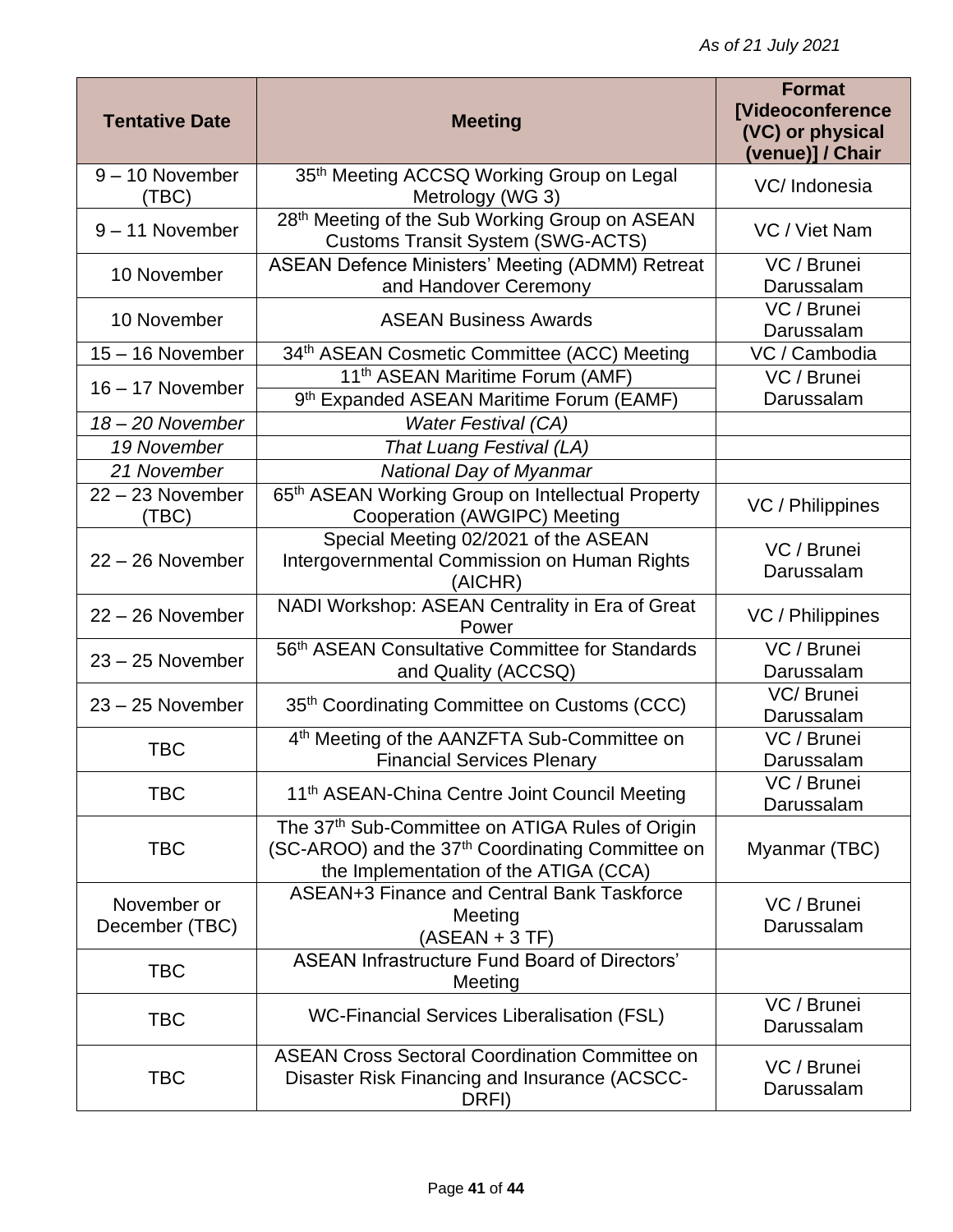| <b>Tentative Date</b>         | <b>Meeting</b>                                                                                                                                           | <b>Format</b><br>[Videoconference<br>(VC) or physical<br>(venue)] / Chair |
|-------------------------------|----------------------------------------------------------------------------------------------------------------------------------------------------------|---------------------------------------------------------------------------|
| $9 - 10$ November<br>(TBC)    | 35th Meeting ACCSQ Working Group on Legal<br>Metrology (WG 3)                                                                                            | VC/Indonesia                                                              |
| $9 - 11$ November             | 28th Meeting of the Sub Working Group on ASEAN<br><b>Customs Transit System (SWG-ACTS)</b>                                                               | VC / Viet Nam                                                             |
| 10 November                   | <b>ASEAN Defence Ministers' Meeting (ADMM) Retreat</b><br>and Handover Ceremony                                                                          | VC / Brunei<br>Darussalam                                                 |
| 10 November                   | <b>ASEAN Business Awards</b>                                                                                                                             | VC / Brunei<br>Darussalam                                                 |
| $15 - 16$ November            | 34th ASEAN Cosmetic Committee (ACC) Meeting                                                                                                              | VC / Cambodia                                                             |
| 16 - 17 November              | 11 <sup>th</sup> ASEAN Maritime Forum (AMF)                                                                                                              | VC / Brunei                                                               |
|                               | 9th Expanded ASEAN Maritime Forum (EAMF)                                                                                                                 | Darussalam                                                                |
| 18 - 20 November              | <b>Water Festival (CA)</b>                                                                                                                               |                                                                           |
| 19 November                   | That Luang Festival (LA)                                                                                                                                 |                                                                           |
| 21 November                   | National Day of Myanmar                                                                                                                                  |                                                                           |
| $22 - 23$ November<br>(TBC)   | 65th ASEAN Working Group on Intellectual Property<br>Cooperation (AWGIPC) Meeting                                                                        | VC / Philippines                                                          |
| $22 - 26$ November            | Special Meeting 02/2021 of the ASEAN<br>Intergovernmental Commission on Human Rights<br>(AICHR)                                                          | VC / Brunei<br>Darussalam                                                 |
| $22 - 26$ November            | NADI Workshop: ASEAN Centrality in Era of Great<br>Power                                                                                                 | VC / Philippines                                                          |
| $23 - 25$ November            | 56 <sup>th</sup> ASEAN Consultative Committee for Standards<br>and Quality (ACCSQ)                                                                       | VC / Brunei<br>Darussalam                                                 |
| $23 - 25$ November            | 35 <sup>th</sup> Coordinating Committee on Customs (CCC)                                                                                                 | VC/Brunei<br>Darussalam                                                   |
| <b>TBC</b>                    | 4 <sup>th</sup> Meeting of the AANZFTA Sub-Committee on<br><b>Financial Services Plenary</b>                                                             | VC / Brunei<br>Darussalam                                                 |
| <b>TBC</b>                    | 11 <sup>th</sup> ASEAN-China Centre Joint Council Meeting                                                                                                | VC / Brunei<br>Darussalam                                                 |
| <b>TBC</b>                    | The 37th Sub-Committee on ATIGA Rules of Origin<br>(SC-AROO) and the 37 <sup>th</sup> Coordinating Committee on<br>the Implementation of the ATIGA (CCA) | Myanmar (TBC)                                                             |
| November or<br>December (TBC) | ASEAN+3 Finance and Central Bank Taskforce<br>Meeting<br>$(ASEAN + 3 TF)$                                                                                | VC / Brunei<br>Darussalam                                                 |
| <b>TBC</b>                    | <b>ASEAN Infrastructure Fund Board of Directors'</b><br>Meeting                                                                                          |                                                                           |
| <b>TBC</b>                    | <b>WC-Financial Services Liberalisation (FSL)</b>                                                                                                        | VC / Brunei<br>Darussalam                                                 |
| <b>TBC</b>                    | <b>ASEAN Cross Sectoral Coordination Committee on</b><br>Disaster Risk Financing and Insurance (ACSCC-<br>DRFI)                                          | VC / Brunei<br>Darussalam                                                 |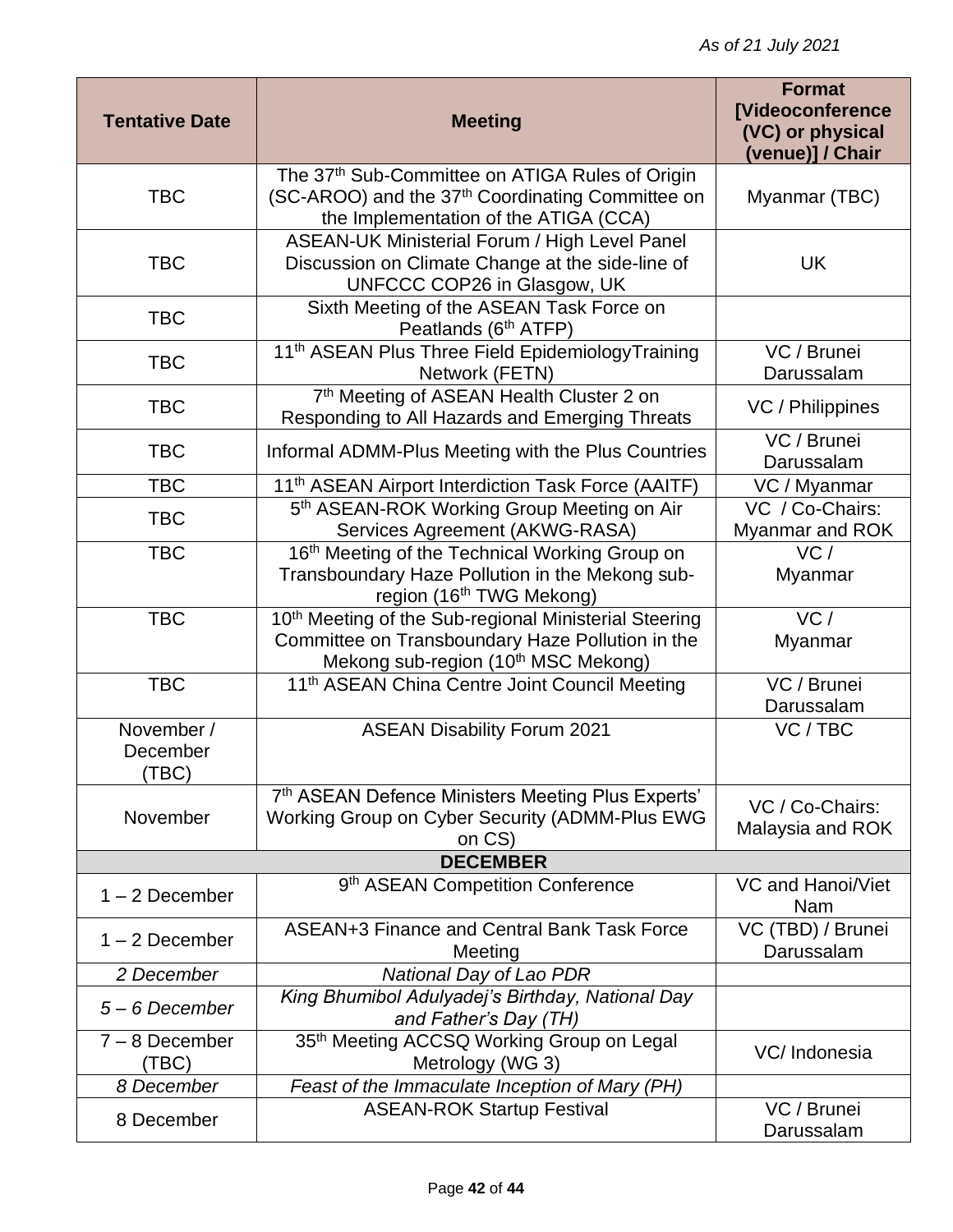| <b>Tentative Date</b>           | <b>Meeting</b>                                                                                                                                               | <b>Format</b><br><b>[Videoconference</b><br>(VC) or physical<br>(venue)] / Chair |
|---------------------------------|--------------------------------------------------------------------------------------------------------------------------------------------------------------|----------------------------------------------------------------------------------|
| <b>TBC</b>                      | The 37th Sub-Committee on ATIGA Rules of Origin<br>(SC-AROO) and the 37 <sup>th</sup> Coordinating Committee on<br>the Implementation of the ATIGA (CCA)     | Myanmar (TBC)                                                                    |
| <b>TBC</b>                      | <b>ASEAN-UK Ministerial Forum / High Level Panel</b><br>Discussion on Climate Change at the side-line of<br>UNFCCC COP26 in Glasgow, UK                      | UK                                                                               |
| <b>TBC</b>                      | Sixth Meeting of the ASEAN Task Force on<br>Peatlands (6 <sup>th</sup> ATFP)                                                                                 |                                                                                  |
| <b>TBC</b>                      | 11 <sup>th</sup> ASEAN Plus Three Field EpidemiologyTraining<br>Network (FETN)                                                                               | VC / Brunei<br>Darussalam                                                        |
| <b>TBC</b>                      | 7th Meeting of ASEAN Health Cluster 2 on<br>Responding to All Hazards and Emerging Threats                                                                   | VC / Philippines                                                                 |
| <b>TBC</b>                      | Informal ADMM-Plus Meeting with the Plus Countries                                                                                                           | VC / Brunei<br>Darussalam                                                        |
| <b>TBC</b>                      | 11 <sup>th</sup> ASEAN Airport Interdiction Task Force (AAITF)                                                                                               | VC / Myanmar                                                                     |
| <b>TBC</b>                      | 5th ASEAN-ROK Working Group Meeting on Air<br>Services Agreement (AKWG-RASA)                                                                                 | VC / Co-Chairs:<br>Myanmar and ROK                                               |
| <b>TBC</b>                      | 16th Meeting of the Technical Working Group on<br>Transboundary Haze Pollution in the Mekong sub-<br>region (16 <sup>th</sup> TWG Mekong)                    | VC/<br>Myanmar                                                                   |
| <b>TBC</b>                      | 10th Meeting of the Sub-regional Ministerial Steering<br>Committee on Transboundary Haze Pollution in the<br>Mekong sub-region (10 <sup>th</sup> MSC Mekong) | $\overline{VC}$ /<br>Myanmar                                                     |
| <b>TBC</b>                      | 11 <sup>th</sup> ASEAN China Centre Joint Council Meeting                                                                                                    | VC / Brunei<br>Darussalam                                                        |
| November /<br>December<br>(TBC) | <b>ASEAN Disability Forum 2021</b>                                                                                                                           | VC / TBC                                                                         |
| November                        | 7th ASEAN Defence Ministers Meeting Plus Experts'<br>Working Group on Cyber Security (ADMM-Plus EWG<br>on CS)                                                | VC / Co-Chairs:<br>Malaysia and ROK                                              |
|                                 | <b>DECEMBER</b>                                                                                                                                              |                                                                                  |
| $1 - 2$ December                | 9 <sup>th</sup> ASEAN Competition Conference                                                                                                                 | VC and Hanoi/Viet<br>Nam                                                         |
| $1 - 2$ December                | ASEAN+3 Finance and Central Bank Task Force<br>Meeting                                                                                                       | VC (TBD) / Brunei<br>Darussalam                                                  |
| 2 December                      | National Day of Lao PDR                                                                                                                                      |                                                                                  |
| $5 - 6$ December                | King Bhumibol Adulyadej's Birthday, National Day<br>and Father's Day (TH)                                                                                    |                                                                                  |
| $7 - 8$ December<br>(TBC)       | 35th Meeting ACCSQ Working Group on Legal<br>Metrology (WG 3)                                                                                                | VC/Indonesia                                                                     |
| 8 December                      | Feast of the Immaculate Inception of Mary (PH)                                                                                                               |                                                                                  |
| 8 December                      | <b>ASEAN-ROK Startup Festival</b>                                                                                                                            | VC / Brunei<br>Darussalam                                                        |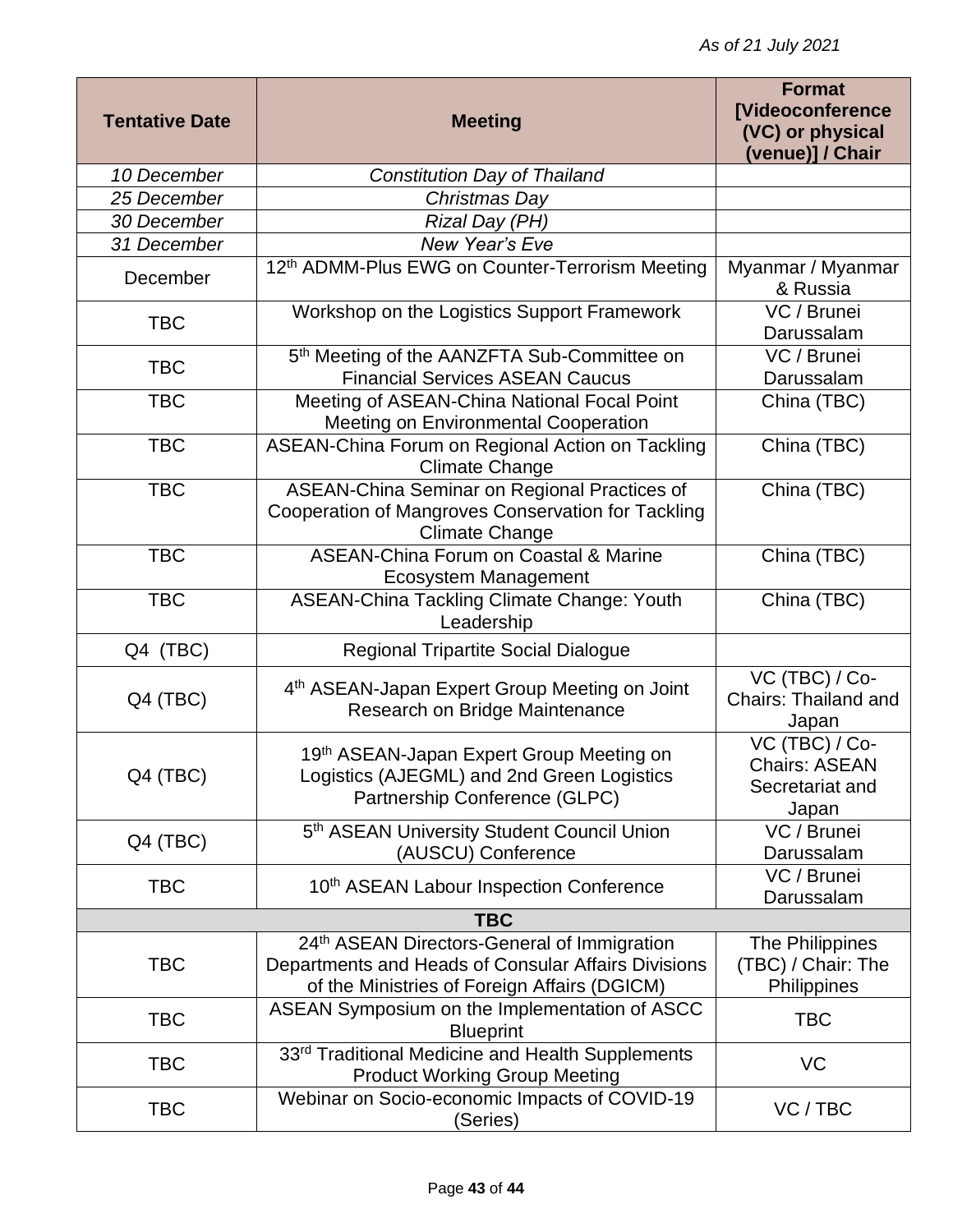| <b>Tentative Date</b> | <b>Meeting</b>                                                                                                                                     | <b>Format</b><br>[Videoconference<br>(VC) or physical<br>(venue)] / Chair |
|-----------------------|----------------------------------------------------------------------------------------------------------------------------------------------------|---------------------------------------------------------------------------|
| 10 December           | Constitution Day of Thailand                                                                                                                       |                                                                           |
| 25 December           | Christmas Day                                                                                                                                      |                                                                           |
| 30 December           | Rizal Day (PH)                                                                                                                                     |                                                                           |
| 31 December           | New Year's Eve                                                                                                                                     |                                                                           |
| December              | 12th ADMM-Plus EWG on Counter-Terrorism Meeting                                                                                                    | Myanmar / Myanmar<br>& Russia                                             |
| <b>TBC</b>            | Workshop on the Logistics Support Framework                                                                                                        | VC / Brunei<br>Darussalam                                                 |
| <b>TBC</b>            | 5th Meeting of the AANZFTA Sub-Committee on<br><b>Financial Services ASEAN Caucus</b>                                                              | VC / Brunei<br>Darussalam                                                 |
| <b>TBC</b>            | Meeting of ASEAN-China National Focal Point<br>Meeting on Environmental Cooperation                                                                | China (TBC)                                                               |
| <b>TBC</b>            | ASEAN-China Forum on Regional Action on Tackling<br><b>Climate Change</b>                                                                          | China (TBC)                                                               |
| <b>TBC</b>            | ASEAN-China Seminar on Regional Practices of<br>Cooperation of Mangroves Conservation for Tackling<br><b>Climate Change</b>                        | China (TBC)                                                               |
| <b>TBC</b>            | <b>ASEAN-China Forum on Coastal &amp; Marine</b><br>Ecosystem Management                                                                           | China (TBC)                                                               |
| <b>TBC</b>            | <b>ASEAN-China Tackling Climate Change: Youth</b><br>Leadership                                                                                    | China (TBC)                                                               |
| Q4 (TBC)              | <b>Regional Tripartite Social Dialogue</b>                                                                                                         |                                                                           |
| Q4 (TBC)              | 4 <sup>th</sup> ASEAN-Japan Expert Group Meeting on Joint<br>Research on Bridge Maintenance                                                        | VC (TBC) / Co-<br><b>Chairs: Thailand and</b><br>Japan                    |
| Q4 (TBC)              | 19th ASEAN-Japan Expert Group Meeting on<br>Logistics (AJEGML) and 2nd Green Logistics<br>Partnership Conference (GLPC)                            | VC (TBC) / Co-<br><b>Chairs: ASEAN</b><br>Secretariat and<br>Japan        |
| Q4 (TBC)              | 5th ASEAN University Student Council Union<br>(AUSCU) Conference                                                                                   | VC / Brunei<br>Darussalam                                                 |
| <b>TBC</b>            | 10 <sup>th</sup> ASEAN Labour Inspection Conference                                                                                                | VC / Brunei<br>Darussalam                                                 |
| <b>TBC</b>            |                                                                                                                                                    |                                                                           |
| <b>TBC</b>            | 24th ASEAN Directors-General of Immigration<br>Departments and Heads of Consular Affairs Divisions<br>of the Ministries of Foreign Affairs (DGICM) | The Philippines<br>(TBC) / Chair: The<br>Philippines                      |
| <b>TBC</b>            | ASEAN Symposium on the Implementation of ASCC<br><b>Blueprint</b>                                                                                  | <b>TBC</b>                                                                |
| <b>TBC</b>            | 33rd Traditional Medicine and Health Supplements<br><b>Product Working Group Meeting</b>                                                           | VC                                                                        |
| <b>TBC</b>            | Webinar on Socio-economic Impacts of COVID-19<br>(Series)                                                                                          | VC/TBC                                                                    |